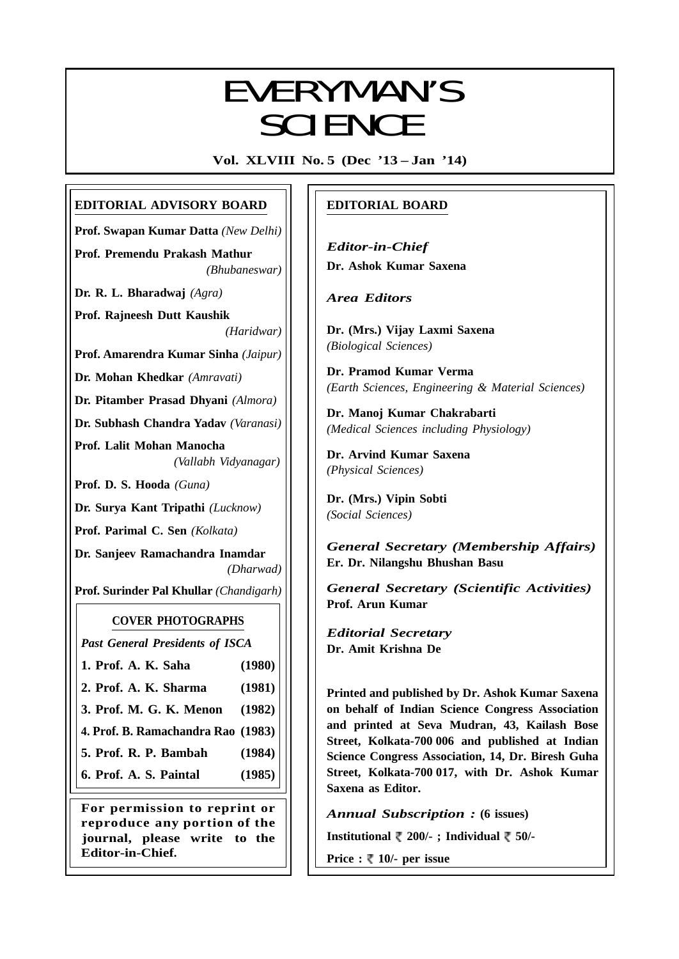# EVERYMANIC EVERYMAN'S **SCIENCE**

**Vol. XLVIII No. 5 (Dec '13 – Jan '14)**

# **EDITORIAL ADVISORY BOARD**

**Prof. Swapan Kumar Datta** *(New Delhi)*

**Prof. Premendu Prakash Mathur** *(Bhubaneswar)*

**Dr. R. L. Bharadwaj** *(Agra)*

**Prof. Rajneesh Dutt Kaushik** *(Haridwar)*

**Prof. Amarendra Kumar Sinha** *(Jaipur)*

**Dr. Mohan Khedkar** *(Amravati)*

**Dr. Pitamber Prasad Dhyani** *(Almora)*

**Dr. Subhash Chandra Yadav** *(Varanasi)*

**Prof. Lalit Mohan Manocha** *(Vallabh Vidyanagar)*

**Prof. D. S. Hooda** *(Guna)*

**Dr. Surya Kant Tripathi** *(Lucknow)*

**Prof. Parimal C. Sen** *(Kolkata)*

**Dr. Sanjeev Ramachandra Inamdar** *(Dharwad)*

**Prof. Surinder Pal Khullar** *(Chandigarh)*

# **COVER PHOTOGRAPHS**

*Past General Presidents of ISCA*

- **1. Prof. A. K. Saha (1980)**
- **2. Prof. A. K. Sharma (1981)**
- **3. Prof. M. G. K. Menon (1982)**

**4. Prof. B. Ramachandra Rao (1983)**

**5. Prof. R. P. Bambah (1984)**

**6. Prof. A. S. Paintal (1985)**

**For permission to reprint or reproduce any portion of the journal, please write to the Editor-in-Chief.**

# **EDITORIAL BOARD**

*Editor-in-Chief* **Dr. Ashok Kumar Saxena**

*Area Editors*

**Dr. (Mrs.) Vijay Laxmi Saxena** *(Biological Sciences)*

**Dr. Pramod Kumar Verma** *(Earth Sciences, Engineering & Material Sciences)*

**Dr. Manoj Kumar Chakrabarti** *(Medical Sciences including Physiology)*

**Dr. Arvind Kumar Saxena** *(Physical Sciences)*

**Dr. (Mrs.) Vipin Sobti** *(Social Sciences)*

*General Secretary (Membership Affairs)* **Er. Dr. Nilangshu Bhushan Basu**

*General Secretary (Scientific Activities)* **Prof. Arun Kumar**

*Editorial Secretary* **Dr. Amit Krishna De**

**Printed and published by Dr. Ashok Kumar Saxena on behalf of Indian Science Congress Association and printed at Seva Mudran, 43, Kailash Bose Street, Kolkata-700 006 and published at Indian Science Congress Association, 14, Dr. Biresh Guha Street, Kolkata-700 017, with Dr. Ashok Kumar Saxena as Editor.**

*Annual Subscription :* **(6 issues)**

**Institutional 200/- ; Individual 50/-**

**Price : ₹ 10/- per issue** 

317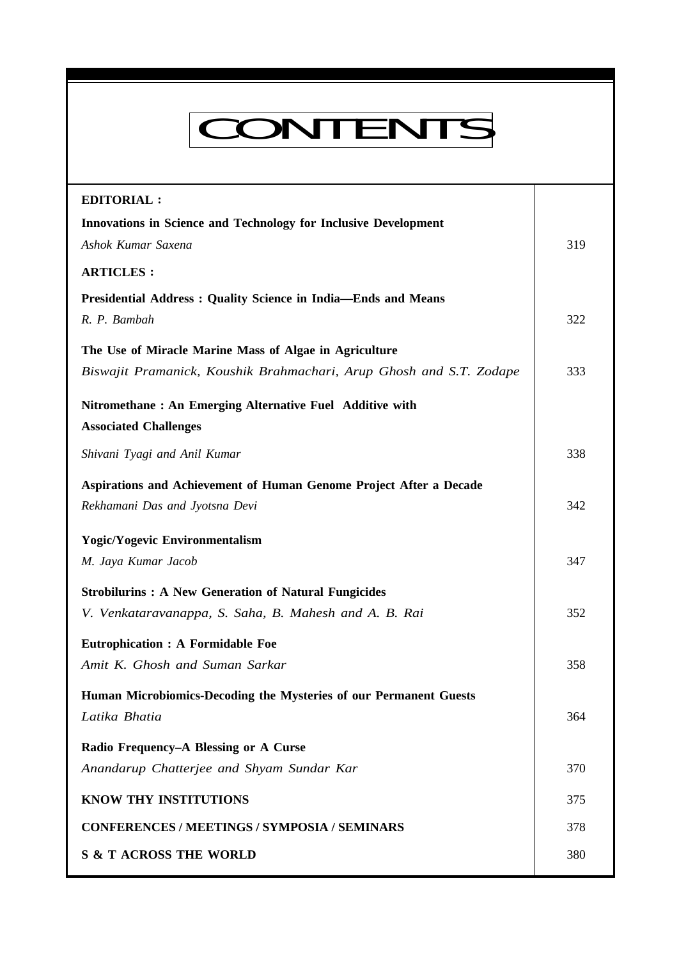# CONTENTS

**Everyman's Science Vol. XLVIII No. 5, Dec '13 — Jan '14**

| <b>EDITORIAL:</b>                                                      |     |
|------------------------------------------------------------------------|-----|
| <b>Innovations in Science and Technology for Inclusive Development</b> |     |
| Ashok Kumar Saxena                                                     | 319 |
| <b>ARTICLES:</b>                                                       |     |
| Presidential Address: Quality Science in India-Ends and Means          |     |
| R. P. Bambah                                                           | 322 |
| The Use of Miracle Marine Mass of Algae in Agriculture                 |     |
| Biswajit Pramanick, Koushik Brahmachari, Arup Ghosh and S.T. Zodape    | 333 |
| Nitromethane: An Emerging Alternative Fuel Additive with               |     |
| <b>Associated Challenges</b>                                           |     |
| Shivani Tyagi and Anil Kumar                                           | 338 |
| Aspirations and Achievement of Human Genome Project After a Decade     |     |
| Rekhamani Das and Jyotsna Devi                                         | 342 |
| <b>Yogic/Yogevic Environmentalism</b>                                  |     |
| M. Jaya Kumar Jacob                                                    | 347 |
| <b>Strobilurins: A New Generation of Natural Fungicides</b>            |     |
| V. Venkataravanappa, S. Saha, B. Mahesh and A. B. Rai                  | 352 |
| <b>Eutrophication : A Formidable Foe</b>                               |     |
| Amit K. Ghosh and Suman Sarkar                                         | 358 |
| Human Microbiomics-Decoding the Mysteries of our Permanent Guests      |     |
| Latika Bhatia                                                          | 364 |
| Radio Frequency-A Blessing or A Curse                                  |     |
| Anandarup Chatterjee and Shyam Sundar Kar                              | 370 |
| KNOW THY INSTITUTIONS                                                  | 375 |
| <b>CONFERENCES / MEETINGS / SYMPOSIA / SEMINARS</b>                    | 378 |
| <b>S &amp; T ACROSS THE WORLD</b>                                      | 380 |
|                                                                        |     |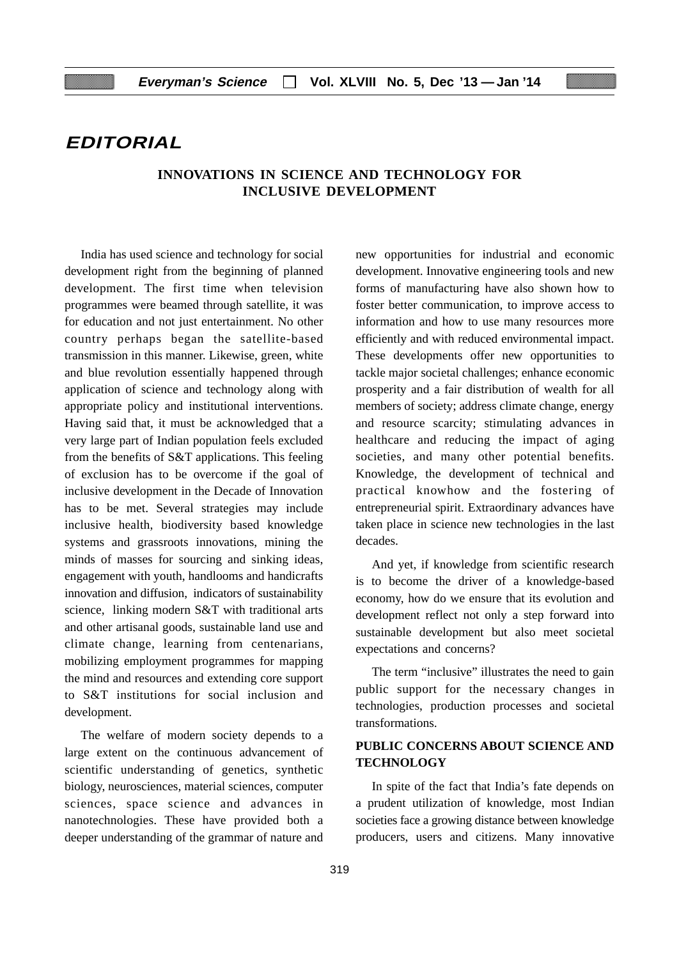# **EDITORIAL**

# **INNOVATIONS IN SCIENCE AND TECHNOLOGY FOR INCLUSIVE DEVELOPMENT**

India has used science and technology for social development right from the beginning of planned development. The first time when television programmes were beamed through satellite, it was for education and not just entertainment. No other country perhaps began the satellite-based transmission in this manner. Likewise, green, white and blue revolution essentially happened through application of science and technology along with appropriate policy and institutional interventions. Having said that, it must be acknowledged that a very large part of Indian population feels excluded from the benefits of S&T applications. This feeling of exclusion has to be overcome if the goal of inclusive development in the Decade of Innovation has to be met. Several strategies may include inclusive health, biodiversity based knowledge systems and grassroots innovations, mining the minds of masses for sourcing and sinking ideas, engagement with youth, handlooms and handicrafts innovation and diffusion, indicators of sustainability science, linking modern S&T with traditional arts and other artisanal goods, sustainable land use and climate change, learning from centenarians, mobilizing employment programmes for mapping the mind and resources and extending core support to S&T institutions for social inclusion and development.

The welfare of modern society depends to a large extent on the continuous advancement of scientific understanding of genetics, synthetic biology, neurosciences, material sciences, computer sciences, space science and advances in nanotechnologies. These have provided both a deeper understanding of the grammar of nature and

new opportunities for industrial and economic development. Innovative engineering tools and new forms of manufacturing have also shown how to foster better communication, to improve access to information and how to use many resources more efficiently and with reduced environmental impact. These developments offer new opportunities to tackle major societal challenges; enhance economic prosperity and a fair distribution of wealth for all members of society; address climate change, energy and resource scarcity; stimulating advances in healthcare and reducing the impact of aging societies, and many other potential benefits. Knowledge, the development of technical and practical knowhow and the fostering of entrepreneurial spirit. Extraordinary advances have taken place in science new technologies in the last decades.

And yet, if knowledge from scientific research is to become the driver of a knowledge-based economy, how do we ensure that its evolution and development reflect not only a step forward into sustainable development but also meet societal expectations and concerns?

The term "inclusive" illustrates the need to gain public support for the necessary changes in technologies, production processes and societal transformations.

# **PUBLIC CONCERNS ABOUT SCIENCE AND TECHNOLOGY**

In spite of the fact that India's fate depends on a prudent utilization of knowledge, most Indian societies face a growing distance between knowledge producers, users and citizens. Many innovative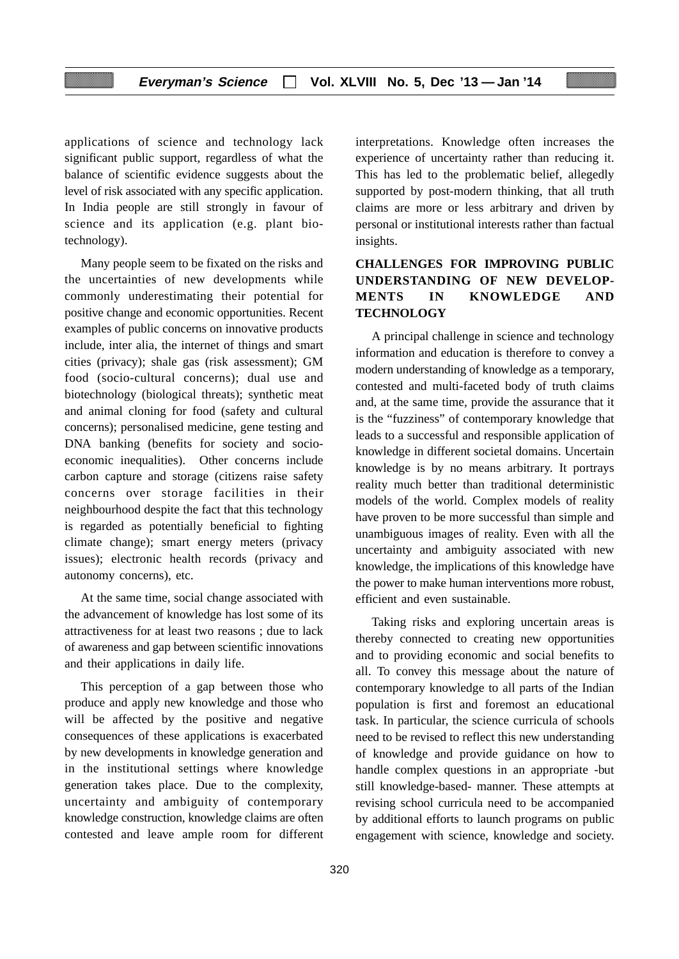applications of science and technology lack significant public support, regardless of what the balance of scientific evidence suggests about the level of risk associated with any specific application. In India people are still strongly in favour of science and its application (e.g. plant biotechnology).

Many people seem to be fixated on the risks and the uncertainties of new developments while commonly underestimating their potential for positive change and economic opportunities. Recent examples of public concerns on innovative products include, inter alia, the internet of things and smart cities (privacy); shale gas (risk assessment); GM food (socio-cultural concerns); dual use and biotechnology (biological threats); synthetic meat and animal cloning for food (safety and cultural concerns); personalised medicine, gene testing and DNA banking (benefits for society and socioeconomic inequalities). Other concerns include carbon capture and storage (citizens raise safety concerns over storage facilities in their neighbourhood despite the fact that this technology is regarded as potentially beneficial to fighting climate change); smart energy meters (privacy issues); electronic health records (privacy and autonomy concerns), etc.

At the same time, social change associated with the advancement of knowledge has lost some of its attractiveness for at least two reasons ; due to lack of awareness and gap between scientific innovations and their applications in daily life.

This perception of a gap between those who produce and apply new knowledge and those who will be affected by the positive and negative consequences of these applications is exacerbated by new developments in knowledge generation and in the institutional settings where knowledge generation takes place. Due to the complexity, uncertainty and ambiguity of contemporary knowledge construction, knowledge claims are often contested and leave ample room for different

interpretations. Knowledge often increases the experience of uncertainty rather than reducing it. This has led to the problematic belief, allegedly supported by post-modern thinking, that all truth claims are more or less arbitrary and driven by personal or institutional interests rather than factual insights.

# **CHALLENGES FOR IMPROVING PUBLIC UNDERSTANDING OF NEW DEVELOP-MENTS IN KNOWLEDGE AND TECHNOLOGY**

A principal challenge in science and technology information and education is therefore to convey a modern understanding of knowledge as a temporary, contested and multi-faceted body of truth claims and, at the same time, provide the assurance that it is the "fuzziness" of contemporary knowledge that leads to a successful and responsible application of knowledge in different societal domains. Uncertain knowledge is by no means arbitrary. It portrays reality much better than traditional deterministic models of the world. Complex models of reality have proven to be more successful than simple and unambiguous images of reality. Even with all the uncertainty and ambiguity associated with new knowledge, the implications of this knowledge have the power to make human interventions more robust, efficient and even sustainable.

Taking risks and exploring uncertain areas is thereby connected to creating new opportunities and to providing economic and social benefits to all. To convey this message about the nature of contemporary knowledge to all parts of the Indian population is first and foremost an educational task. In particular, the science curricula of schools need to be revised to reflect this new understanding of knowledge and provide guidance on how to handle complex questions in an appropriate -but still knowledge-based- manner. These attempts at revising school curricula need to be accompanied by additional efforts to launch programs on public engagement with science, knowledge and society.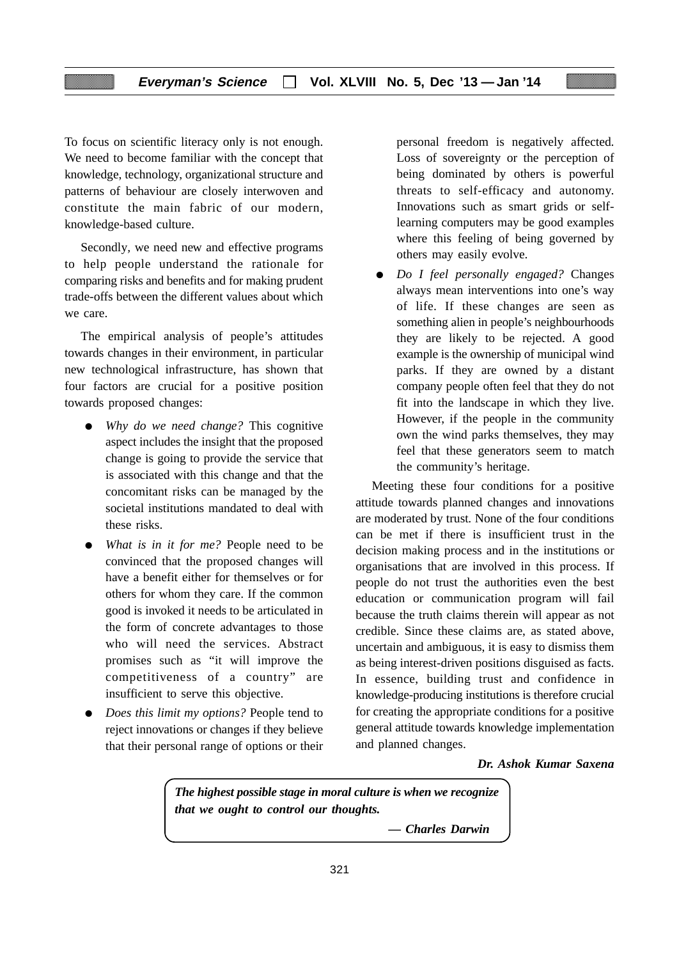To focus on scientific literacy only is not enough. We need to become familiar with the concept that knowledge, technology, organizational structure and patterns of behaviour are closely interwoven and constitute the main fabric of our modern, knowledge-based culture.

Secondly*,* we need new and effective programs to help people understand the rationale for comparing risks and benefits and for making prudent trade-offs between the different values about which we care.

The empirical analysis of people's attitudes towards changes in their environment, in particular new technological infrastructure, has shown that four factors are crucial for a positive position towards proposed changes:

- *Why do we need change?* This cognitive aspect includes the insight that the proposed change is going to provide the service that is associated with this change and that the concomitant risks can be managed by the societal institutions mandated to deal with these risks.
- *What is in it for me?* People need to be convinced that the proposed changes will have a benefit either for themselves or for others for whom they care. If the common good is invoked it needs to be articulated in the form of concrete advantages to those who will need the services. Abstract promises such as "it will improve the competitiveness of a country" are insufficient to serve this objective.
- *Does this limit my options?* People tend to reject innovations or changes if they believe that their personal range of options or their

personal freedom is negatively affected. Loss of sovereignty or the perception of being dominated by others is powerful threats to self-efficacy and autonomy. Innovations such as smart grids or selflearning computers may be good examples where this feeling of being governed by others may easily evolve.

● *Do I feel personally engaged?* Changes always mean interventions into one's way of life. If these changes are seen as something alien in people's neighbourhoods they are likely to be rejected. A good example is the ownership of municipal wind parks. If they are owned by a distant company people often feel that they do not fit into the landscape in which they live. However, if the people in the community own the wind parks themselves, they may feel that these generators seem to match the community's heritage.

Meeting these four conditions for a positive attitude towards planned changes and innovations are moderated by trust*.* None of the four conditions can be met if there is insufficient trust in the decision making process and in the institutions or organisations that are involved in this process. If people do not trust the authorities even the best education or communication program will fail because the truth claims therein will appear as not credible. Since these claims are, as stated above, uncertain and ambiguous, it is easy to dismiss them as being interest-driven positions disguised as facts. In essence, building trust and confidence in knowledge-producing institutions is therefore crucial for creating the appropriate conditions for a positive general attitude towards knowledge implementation and planned changes.

*Dr. Ashok Kumar Saxena*

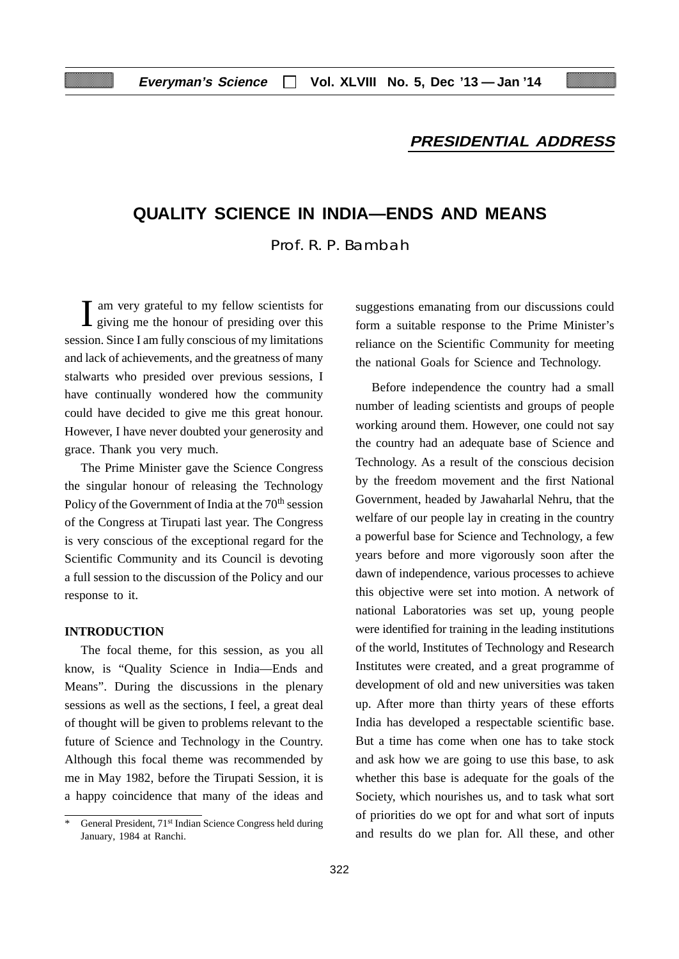# **PRESIDENTIAL ADDRESS**

# **QUALITY SCIENCE IN INDIA—ENDS AND MEANS**

Prof. R. P. Bambah

I am very grateful to my fellow scientists for giving me the honour of presiding over this am very grateful to my fellow scientists for session. Since I am fully conscious of my limitations and lack of achievements, and the greatness of many stalwarts who presided over previous sessions, I have continually wondered how the community could have decided to give me this great honour. However, I have never doubted your generosity and grace. Thank you very much.

The Prime Minister gave the Science Congress the singular honour of releasing the Technology Policy of the Government of India at the 70<sup>th</sup> session of the Congress at Tirupati last year. The Congress is very conscious of the exceptional regard for the Scientific Community and its Council is devoting a full session to the discussion of the Policy and our response to it.

#### **INTRODUCTION**

The focal theme, for this session, as you all know, is "Quality Science in India—Ends and Means". During the discussions in the plenary sessions as well as the sections, I feel, a great deal of thought will be given to problems relevant to the future of Science and Technology in the Country. Although this focal theme was recommended by me in May 1982, before the Tirupati Session, it is a happy coincidence that many of the ideas and suggestions emanating from our discussions could form a suitable response to the Prime Minister's reliance on the Scientific Community for meeting the national Goals for Science and Technology.

Before independence the country had a small number of leading scientists and groups of people working around them. However, one could not say the country had an adequate base of Science and Technology. As a result of the conscious decision by the freedom movement and the first National Government, headed by Jawaharlal Nehru, that the welfare of our people lay in creating in the country a powerful base for Science and Technology, a few years before and more vigorously soon after the dawn of independence, various processes to achieve this objective were set into motion. A network of national Laboratories was set up, young people were identified for training in the leading institutions of the world, Institutes of Technology and Research Institutes were created, and a great programme of development of old and new universities was taken up. After more than thirty years of these efforts India has developed a respectable scientific base. But a time has come when one has to take stock and ask how we are going to use this base, to ask whether this base is adequate for the goals of the Society, which nourishes us, and to task what sort of priorities do we opt for and what sort of inputs and results do we plan for. All these, and other

General President, 71<sup>st</sup> Indian Science Congress held during January, 1984 at Ranchi.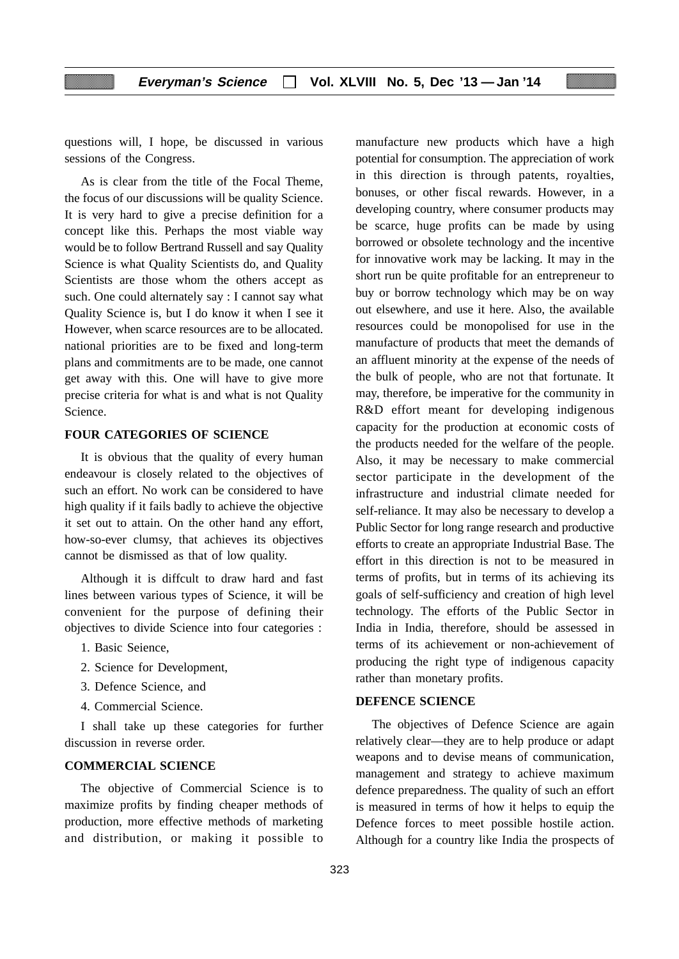questions will, I hope, be discussed in various sessions of the Congress.

As is clear from the title of the Focal Theme, the focus of our discussions will be quality Science. It is very hard to give a precise definition for a concept like this. Perhaps the most viable way would be to follow Bertrand Russell and say Quality Science is what Quality Scientists do, and Quality Scientists are those whom the others accept as such. One could alternately say : I cannot say what Quality Science is, but I do know it when I see it However, when scarce resources are to be allocated. national priorities are to be fixed and long-term plans and commitments are to be made, one cannot get away with this. One will have to give more precise criteria for what is and what is not Quality Science.

#### **FOUR CATEGORIES OF SCIENCE**

It is obvious that the quality of every human endeavour is closely related to the objectives of such an effort. No work can be considered to have high quality if it fails badly to achieve the objective it set out to attain. On the other hand any effort, how-so-ever clumsy, that achieves its objectives cannot be dismissed as that of low quality.

Although it is diffcult to draw hard and fast lines between various types of Science, it will be convenient for the purpose of defining their objectives to divide Science into four categories :

- 1. Basic Seience,
- 2. Science for Development,
- 3. Defence Science, and
- 4. Commercial Science.

I shall take up these categories for further discussion in reverse order.

# **COMMERCIAL SCIENCE**

The objective of Commercial Science is to maximize profits by finding cheaper methods of production, more effective methods of marketing and distribution, or making it possible to

manufacture new products which have a high potential for consumption. The appreciation of work in this direction is through patents, royalties, bonuses, or other fiscal rewards. However, in a developing country, where consumer products may be scarce, huge profits can be made by using borrowed or obsolete technology and the incentive for innovative work may be lacking. It may in the short run be quite profitable for an entrepreneur to buy or borrow technology which may be on way out elsewhere, and use it here. Also, the available resources could be monopolised for use in the manufacture of products that meet the demands of an affluent minority at the expense of the needs of the bulk of people, who are not that fortunate. It may, therefore, be imperative for the community in R&D effort meant for developing indigenous capacity for the production at economic costs of the products needed for the welfare of the people. Also, it may be necessary to make commercial sector participate in the development of the infrastructure and industrial climate needed for self-reliance. It may also be necessary to develop a Public Sector for long range research and productive efforts to create an appropriate Industrial Base. The effort in this direction is not to be measured in terms of profits, but in terms of its achieving its goals of self-sufficiency and creation of high level technology. The efforts of the Public Sector in India in India, therefore, should be assessed in terms of its achievement or non-achievement of producing the right type of indigenous capacity rather than monetary profits.

# **DEFENCE SCIENCE**

The objectives of Defence Science are again relatively clear—they are to help produce or adapt weapons and to devise means of communication, management and strategy to achieve maximum defence preparedness. The quality of such an effort is measured in terms of how it helps to equip the Defence forces to meet possible hostile action. Although for a country like India the prospects of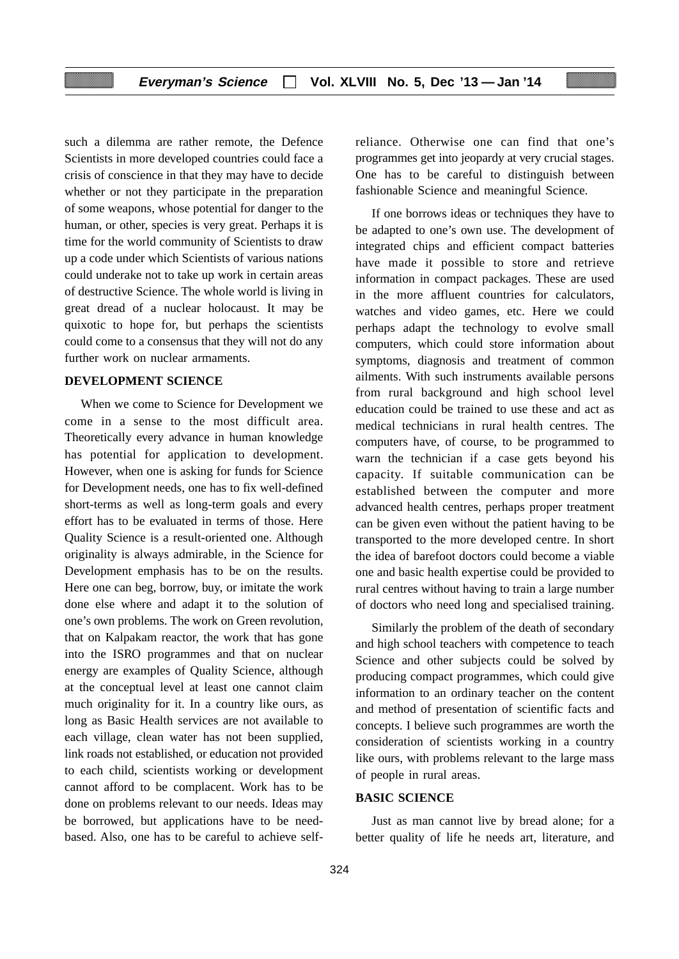such a dilemma are rather remote, the Defence Scientists in more developed countries could face a crisis of conscience in that they may have to decide whether or not they participate in the preparation of some weapons, whose potential for danger to the human, or other, species is very great. Perhaps it is time for the world community of Scientists to draw up a code under which Scientists of various nations could underake not to take up work in certain areas of destructive Science. The whole world is living in great dread of a nuclear holocaust. It may be quixotic to hope for, but perhaps the scientists could come to a consensus that they will not do any further work on nuclear armaments.

# **DEVELOPMENT SCIENCE**

When we come to Science for Development we come in a sense to the most difficult area. Theoretically every advance in human knowledge has potential for application to development. However, when one is asking for funds for Science for Development needs, one has to fix well-defined short-terms as well as long-term goals and every effort has to be evaluated in terms of those. Here Quality Science is a result-oriented one. Although originality is always admirable, in the Science for Development emphasis has to be on the results. Here one can beg, borrow, buy, or imitate the work done else where and adapt it to the solution of one's own problems. The work on Green revolution, that on Kalpakam reactor, the work that has gone into the ISRO programmes and that on nuclear energy are examples of Quality Science, although at the conceptual level at least one cannot claim much originality for it. In a country like ours, as long as Basic Health services are not available to each village, clean water has not been supplied, link roads not established, or education not provided to each child, scientists working or development cannot afford to be complacent. Work has to be done on problems relevant to our needs. Ideas may be borrowed, but applications have to be needbased. Also, one has to be careful to achieve selfreliance. Otherwise one can find that one's programmes get into jeopardy at very crucial stages. One has to be careful to distinguish between fashionable Science and meaningful Science.

If one borrows ideas or techniques they have to be adapted to one's own use. The development of integrated chips and efficient compact batteries have made it possible to store and retrieve information in compact packages. These are used in the more affluent countries for calculators, watches and video games, etc. Here we could perhaps adapt the technology to evolve small computers, which could store information about symptoms, diagnosis and treatment of common ailments. With such instruments available persons from rural background and high school level education could be trained to use these and act as medical technicians in rural health centres. The computers have, of course, to be programmed to warn the technician if a case gets beyond his capacity. If suitable communication can be established between the computer and more advanced health centres, perhaps proper treatment can be given even without the patient having to be transported to the more developed centre. In short the idea of barefoot doctors could become a viable one and basic health expertise could be provided to rural centres without having to train a large number of doctors who need long and specialised training.

Similarly the problem of the death of secondary and high school teachers with competence to teach Science and other subjects could be solved by producing compact programmes, which could give information to an ordinary teacher on the content and method of presentation of scientific facts and concepts. I believe such programmes are worth the consideration of scientists working in a country like ours, with problems relevant to the large mass of people in rural areas.

# **BASIC SCIENCE**

Just as man cannot live by bread alone; for a better quality of life he needs art, literature, and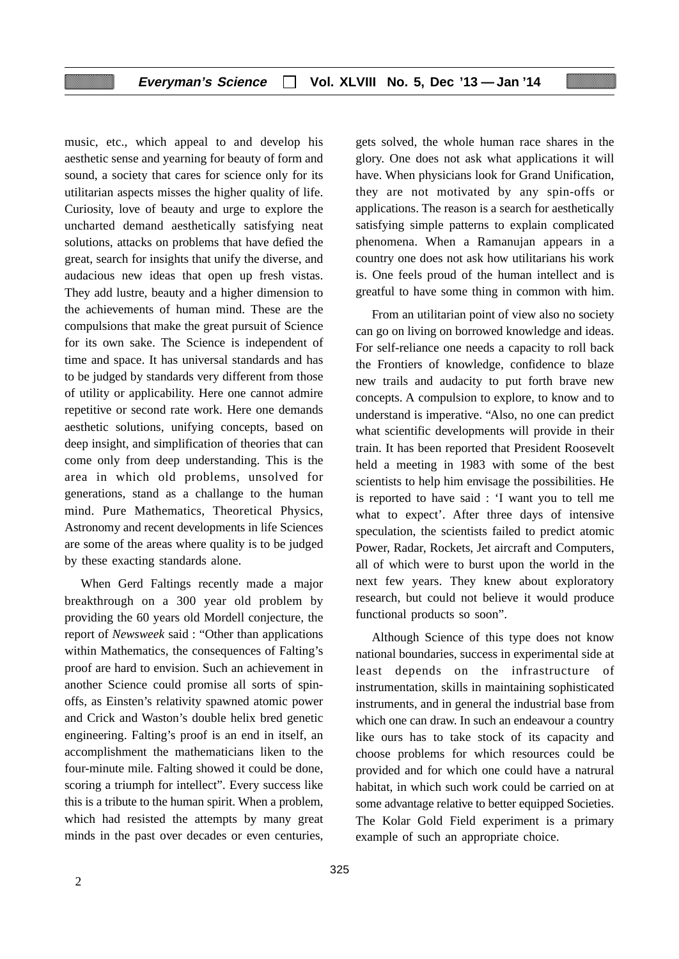music, etc., which appeal to and develop his aesthetic sense and yearning for beauty of form and sound, a society that cares for science only for its utilitarian aspects misses the higher quality of life. Curiosity, love of beauty and urge to explore the uncharted demand aesthetically satisfying neat solutions, attacks on problems that have defied the great, search for insights that unify the diverse, and audacious new ideas that open up fresh vistas. They add lustre, beauty and a higher dimension to the achievements of human mind. These are the compulsions that make the great pursuit of Science for its own sake. The Science is independent of time and space. It has universal standards and has to be judged by standards very different from those of utility or applicability. Here one cannot admire repetitive or second rate work. Here one demands aesthetic solutions, unifying concepts, based on deep insight, and simplification of theories that can come only from deep understanding. This is the area in which old problems, unsolved for generations, stand as a challange to the human mind. Pure Mathematics, Theoretical Physics, Astronomy and recent developments in life Sciences are some of the areas where quality is to be judged by these exacting standards alone.

When Gerd Faltings recently made a major breakthrough on a 300 year old problem by providing the 60 years old Mordell conjecture, the report of *Newsweek* said : "Other than applications within Mathematics, the consequences of Falting's proof are hard to envision. Such an achievement in another Science could promise all sorts of spinoffs, as Einsten's relativity spawned atomic power and Crick and Waston's double helix bred genetic engineering. Falting's proof is an end in itself, an accomplishment the mathematicians liken to the four-minute mile. Falting showed it could be done, scoring a triumph for intellect". Every success like this is a tribute to the human spirit. When a problem, which had resisted the attempts by many great minds in the past over decades or even centuries,

gets solved, the whole human race shares in the glory. One does not ask what applications it will have. When physicians look for Grand Unification, they are not motivated by any spin-offs or applications. The reason is a search for aesthetically satisfying simple patterns to explain complicated phenomena. When a Ramanujan appears in a country one does not ask how utilitarians his work is. One feels proud of the human intellect and is greatful to have some thing in common with him.

From an utilitarian point of view also no society can go on living on borrowed knowledge and ideas. For self-reliance one needs a capacity to roll back the Frontiers of knowledge, confidence to blaze new trails and audacity to put forth brave new concepts. A compulsion to explore, to know and to understand is imperative. "Also, no one can predict what scientific developments will provide in their train. It has been reported that President Roosevelt held a meeting in 1983 with some of the best scientists to help him envisage the possibilities. He is reported to have said : 'I want you to tell me what to expect'. After three days of intensive speculation, the scientists failed to predict atomic Power, Radar, Rockets, Jet aircraft and Computers, all of which were to burst upon the world in the next few years. They knew about exploratory research, but could not believe it would produce functional products so soon".

Although Science of this type does not know national boundaries, success in experimental side at least depends on the infrastructure of instrumentation, skills in maintaining sophisticated instruments, and in general the industrial base from which one can draw. In such an endeavour a country like ours has to take stock of its capacity and choose problems for which resources could be provided and for which one could have a natrural habitat, in which such work could be carried on at some advantage relative to better equipped Societies. The Kolar Gold Field experiment is a primary example of such an appropriate choice.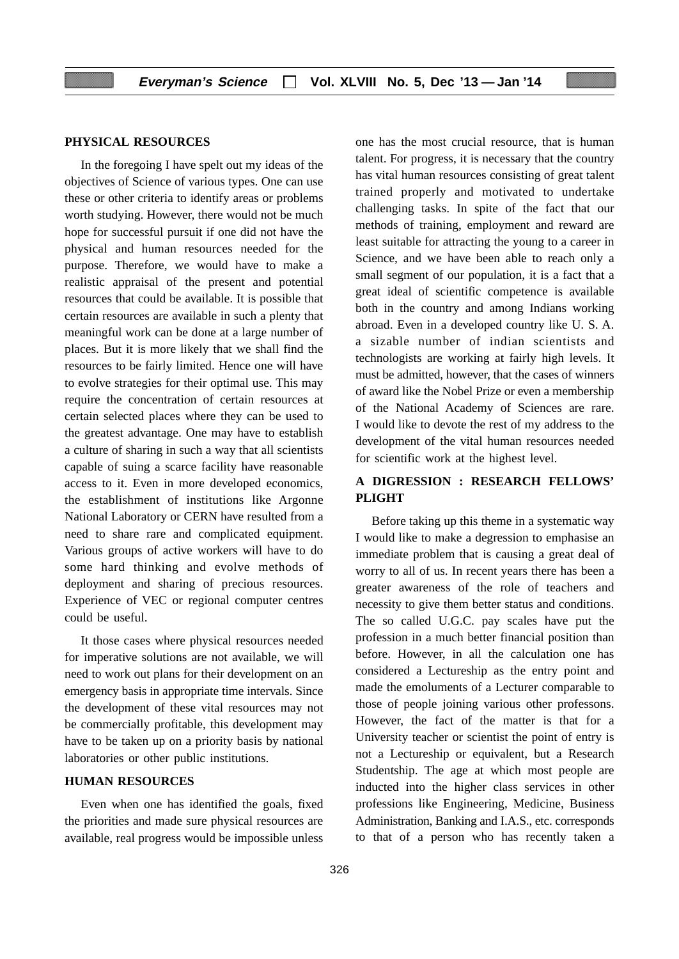# **PHYSICAL RESOURCES**

In the foregoing I have spelt out my ideas of the objectives of Science of various types. One can use these or other criteria to identify areas or problems worth studying. However, there would not be much hope for successful pursuit if one did not have the physical and human resources needed for the purpose. Therefore, we would have to make a realistic appraisal of the present and potential resources that could be available. It is possible that certain resources are available in such a plenty that meaningful work can be done at a large number of places. But it is more likely that we shall find the resources to be fairly limited. Hence one will have to evolve strategies for their optimal use. This may require the concentration of certain resources at certain selected places where they can be used to the greatest advantage. One may have to establish a culture of sharing in such a way that all scientists capable of suing a scarce facility have reasonable access to it. Even in more developed economics, the establishment of institutions like Argonne National Laboratory or CERN have resulted from a need to share rare and complicated equipment. Various groups of active workers will have to do some hard thinking and evolve methods of deployment and sharing of precious resources. Experience of VEC or regional computer centres could be useful.

It those cases where physical resources needed for imperative solutions are not available, we will need to work out plans for their development on an emergency basis in appropriate time intervals. Since the development of these vital resources may not be commercially profitable, this development may have to be taken up on a priority basis by national laboratories or other public institutions.

# **HUMAN RESOURCES**

Even when one has identified the goals, fixed the priorities and made sure physical resources are available, real progress would be impossible unless

one has the most crucial resource, that is human talent. For progress, it is necessary that the country has vital human resources consisting of great talent trained properly and motivated to undertake challenging tasks. In spite of the fact that our methods of training, employment and reward are least suitable for attracting the young to a career in Science, and we have been able to reach only a small segment of our population, it is a fact that a great ideal of scientific competence is available both in the country and among Indians working abroad. Even in a developed country like U. S. A. a sizable number of indian scientists and technologists are working at fairly high levels. It must be admitted, however, that the cases of winners of award like the Nobel Prize or even a membership of the National Academy of Sciences are rare. I would like to devote the rest of my address to the development of the vital human resources needed for scientific work at the highest level.

# **A DIGRESSION : RESEARCH FELLOWS' PLIGHT**

Before taking up this theme in a systematic way I would like to make a degression to emphasise an immediate problem that is causing a great deal of worry to all of us. In recent years there has been a greater awareness of the role of teachers and necessity to give them better status and conditions. The so called U.G.C. pay scales have put the profession in a much better financial position than before. However, in all the calculation one has considered a Lectureship as the entry point and made the emoluments of a Lecturer comparable to those of people joining various other professons. However, the fact of the matter is that for a University teacher or scientist the point of entry is not a Lectureship or equivalent, but a Research Studentship. The age at which most people are inducted into the higher class services in other professions like Engineering, Medicine, Business Administration, Banking and I.A.S., etc. corresponds to that of a person who has recently taken a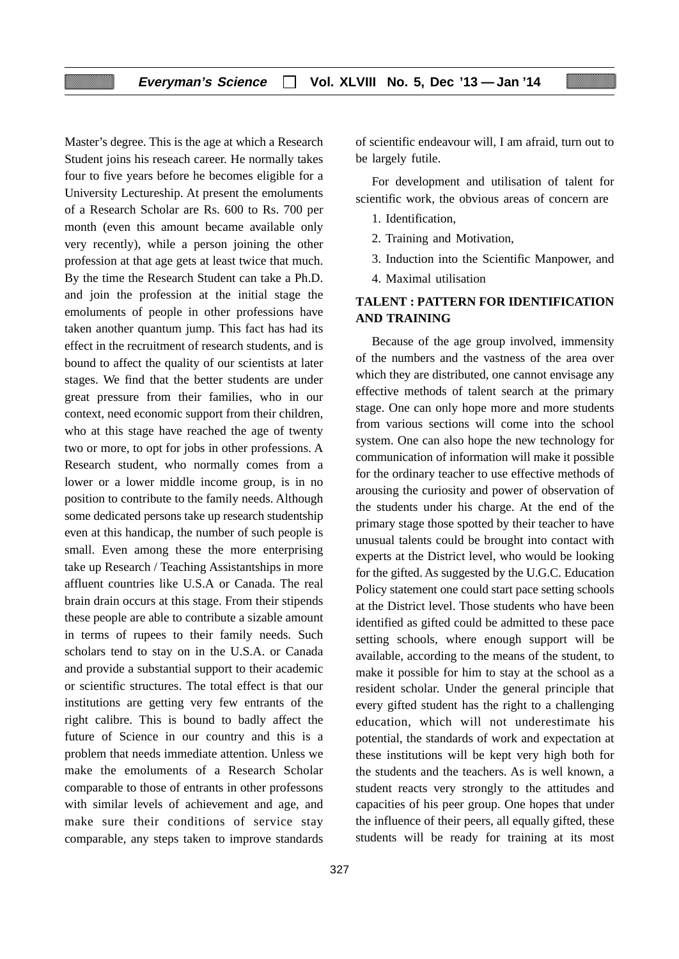Master's degree. This is the age at which a Research Student joins his reseach career. He normally takes four to five years before he becomes eligible for a University Lectureship. At present the emoluments of a Research Scholar are Rs. 600 to Rs. 700 per month (even this amount became available only very recently), while a person joining the other profession at that age gets at least twice that much. By the time the Research Student can take a Ph.D. and join the profession at the initial stage the emoluments of people in other professions have taken another quantum jump. This fact has had its effect in the recruitment of research students, and is bound to affect the quality of our scientists at later stages. We find that the better students are under great pressure from their families, who in our context, need economic support from their children, who at this stage have reached the age of twenty two or more, to opt for jobs in other professions. A Research student, who normally comes from a lower or a lower middle income group, is in no position to contribute to the family needs. Although some dedicated persons take up research studentship even at this handicap, the number of such people is small. Even among these the more enterprising take up Research / Teaching Assistantships in more affluent countries like U.S.A or Canada. The real brain drain occurs at this stage. From their stipends these people are able to contribute a sizable amount in terms of rupees to their family needs. Such scholars tend to stay on in the U.S.A. or Canada and provide a substantial support to their academic or scientific structures. The total effect is that our institutions are getting very few entrants of the right calibre. This is bound to badly affect the future of Science in our country and this is a problem that needs immediate attention. Unless we make the emoluments of a Research Scholar comparable to those of entrants in other professons with similar levels of achievement and age, and make sure their conditions of service stay comparable, any steps taken to improve standards

of scientific endeavour will, I am afraid, turn out to be largely futile.

For development and utilisation of talent for scientific work, the obvious areas of concern are

- 1. Identification,
- 2. Training and Motivation,
- 3. Induction into the Scientific Manpower, and
- 4. Maximal utilisation

# **TALENT : PATTERN FOR IDENTIFICATION AND TRAINING**

Because of the age group involved, immensity of the numbers and the vastness of the area over which they are distributed, one cannot envisage any effective methods of talent search at the primary stage. One can only hope more and more students from various sections will come into the school system. One can also hope the new technology for communication of information will make it possible for the ordinary teacher to use effective methods of arousing the curiosity and power of observation of the students under his charge. At the end of the primary stage those spotted by their teacher to have unusual talents could be brought into contact with experts at the District level, who would be looking for the gifted. As suggested by the U.G.C. Education Policy statement one could start pace setting schools at the District level. Those students who have been identified as gifted could be admitted to these pace setting schools, where enough support will be available, according to the means of the student, to make it possible for him to stay at the school as a resident scholar. Under the general principle that every gifted student has the right to a challenging education, which will not underestimate his potential, the standards of work and expectation at these institutions will be kept very high both for the students and the teachers. As is well known, a student reacts very strongly to the attitudes and capacities of his peer group. One hopes that under the influence of their peers, all equally gifted, these students will be ready for training at its most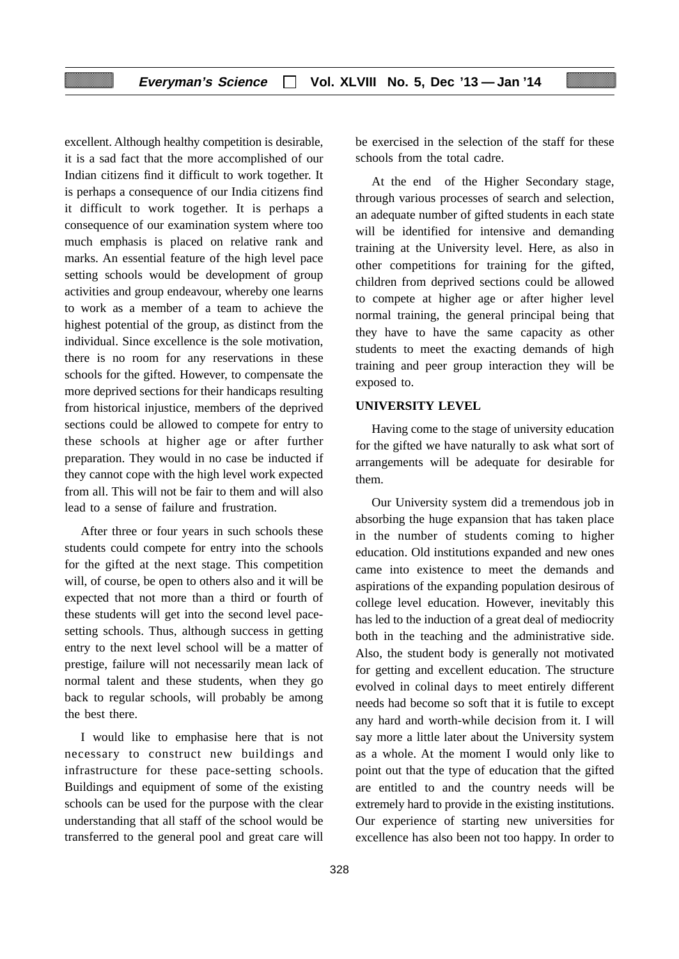excellent. Although healthy competition is desirable, it is a sad fact that the more accomplished of our Indian citizens find it difficult to work together. It is perhaps a consequence of our India citizens find it difficult to work together. It is perhaps a consequence of our examination system where too much emphasis is placed on relative rank and marks. An essential feature of the high level pace setting schools would be development of group activities and group endeavour, whereby one learns to work as a member of a team to achieve the highest potential of the group, as distinct from the individual. Since excellence is the sole motivation, there is no room for any reservations in these schools for the gifted. However, to compensate the more deprived sections for their handicaps resulting from historical injustice, members of the deprived sections could be allowed to compete for entry to these schools at higher age or after further preparation. They would in no case be inducted if they cannot cope with the high level work expected from all. This will not be fair to them and will also lead to a sense of failure and frustration.

After three or four years in such schools these students could compete for entry into the schools for the gifted at the next stage. This competition will, of course, be open to others also and it will be expected that not more than a third or fourth of these students will get into the second level pacesetting schools. Thus, although success in getting entry to the next level school will be a matter of prestige, failure will not necessarily mean lack of normal talent and these students, when they go back to regular schools, will probably be among the best there.

I would like to emphasise here that is not necessary to construct new buildings and infrastructure for these pace-setting schools. Buildings and equipment of some of the existing schools can be used for the purpose with the clear understanding that all staff of the school would be transferred to the general pool and great care will

be exercised in the selection of the staff for these schools from the total cadre.

At the end of the Higher Secondary stage, through various processes of search and selection, an adequate number of gifted students in each state will be identified for intensive and demanding training at the University level. Here, as also in other competitions for training for the gifted, children from deprived sections could be allowed to compete at higher age or after higher level normal training, the general principal being that they have to have the same capacity as other students to meet the exacting demands of high training and peer group interaction they will be exposed to.

#### **UNIVERSITY LEVEL**

Having come to the stage of university education for the gifted we have naturally to ask what sort of arrangements will be adequate for desirable for them.

Our University system did a tremendous job in absorbing the huge expansion that has taken place in the number of students coming to higher education. Old institutions expanded and new ones came into existence to meet the demands and aspirations of the expanding population desirous of college level education. However, inevitably this has led to the induction of a great deal of mediocrity both in the teaching and the administrative side. Also, the student body is generally not motivated for getting and excellent education. The structure evolved in colinal days to meet entirely different needs had become so soft that it is futile to except any hard and worth-while decision from it. I will say more a little later about the University system as a whole. At the moment I would only like to point out that the type of education that the gifted are entitled to and the country needs will be extremely hard to provide in the existing institutions. Our experience of starting new universities for excellence has also been not too happy. In order to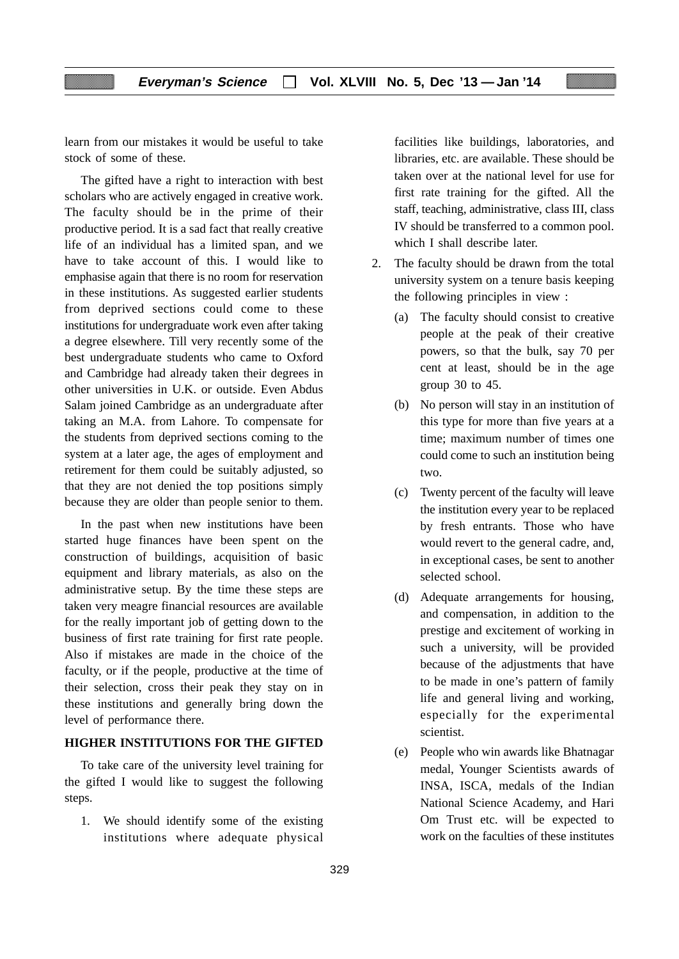learn from our mistakes it would be useful to take stock of some of these.

The gifted have a right to interaction with best scholars who are actively engaged in creative work. The faculty should be in the prime of their productive period. It is a sad fact that really creative life of an individual has a limited span, and we have to take account of this. I would like to emphasise again that there is no room for reservation in these institutions. As suggested earlier students from deprived sections could come to these institutions for undergraduate work even after taking a degree elsewhere. Till very recently some of the best undergraduate students who came to Oxford and Cambridge had already taken their degrees in other universities in U.K. or outside. Even Abdus Salam joined Cambridge as an undergraduate after taking an M.A. from Lahore. To compensate for the students from deprived sections coming to the system at a later age, the ages of employment and retirement for them could be suitably adjusted, so that they are not denied the top positions simply because they are older than people senior to them.

In the past when new institutions have been started huge finances have been spent on the construction of buildings, acquisition of basic equipment and library materials, as also on the administrative setup. By the time these steps are taken very meagre financial resources are available for the really important job of getting down to the business of first rate training for first rate people. Also if mistakes are made in the choice of the faculty, or if the people, productive at the time of their selection, cross their peak they stay on in these institutions and generally bring down the level of performance there.

# **HIGHER INSTITUTIONS FOR THE GIFTED**

To take care of the university level training for the gifted I would like to suggest the following steps.

1. We should identify some of the existing institutions where adequate physical facilities like buildings, laboratories, and libraries, etc. are available. These should be taken over at the national level for use for first rate training for the gifted. All the staff, teaching, administrative, class III, class IV should be transferred to a common pool. which I shall describe later.

- 2. The faculty should be drawn from the total university system on a tenure basis keeping the following principles in view :
	- (a) The faculty should consist to creative people at the peak of their creative powers, so that the bulk, say 70 per cent at least, should be in the age group 30 to 45.
	- (b) No person will stay in an institution of this type for more than five years at a time; maximum number of times one could come to such an institution being two.
	- (c) Twenty percent of the faculty will leave the institution every year to be replaced by fresh entrants. Those who have would revert to the general cadre, and, in exceptional cases, be sent to another selected school.
	- (d) Adequate arrangements for housing, and compensation, in addition to the prestige and excitement of working in such a university, will be provided because of the adjustments that have to be made in one's pattern of family life and general living and working, especially for the experimental scientist.
	- (e) People who win awards like Bhatnagar medal, Younger Scientists awards of INSA, ISCA, medals of the Indian National Science Academy, and Hari Om Trust etc. will be expected to work on the faculties of these institutes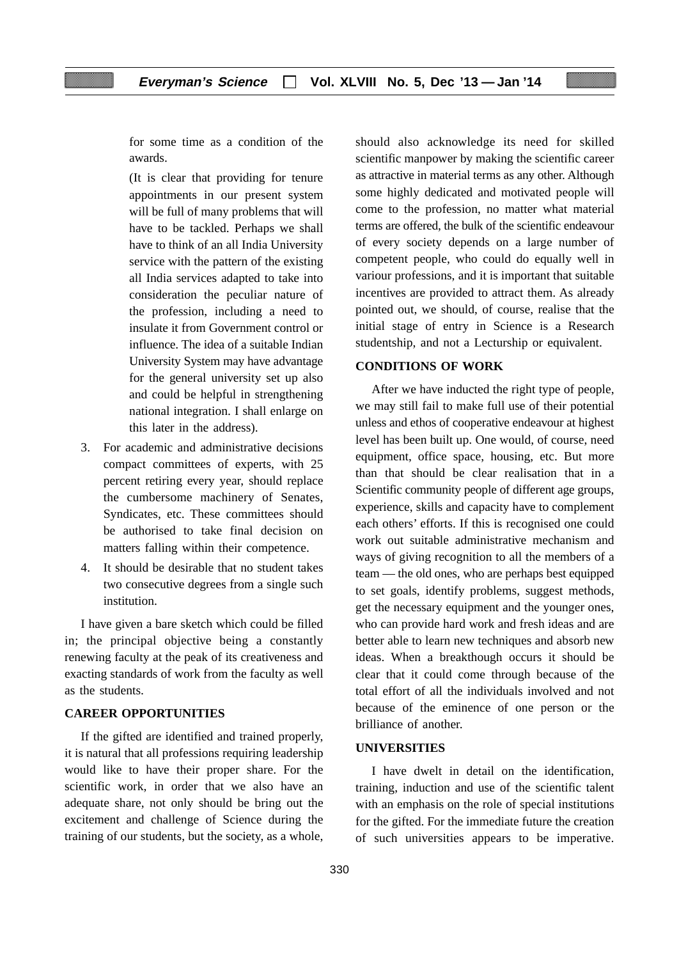for some time as a condition of the awards.

(It is clear that providing for tenure appointments in our present system will be full of many problems that will have to be tackled. Perhaps we shall have to think of an all India University service with the pattern of the existing all India services adapted to take into consideration the peculiar nature of the profession, including a need to insulate it from Government control or influence. The idea of a suitable Indian University System may have advantage for the general university set up also and could be helpful in strengthening national integration. I shall enlarge on this later in the address).

- 3. For academic and administrative decisions compact committees of experts, with 25 percent retiring every year, should replace the cumbersome machinery of Senates, Syndicates, etc. These committees should be authorised to take final decision on matters falling within their competence.
- 4. It should be desirable that no student takes two consecutive degrees from a single such institution.

I have given a bare sketch which could be filled in; the principal objective being a constantly renewing faculty at the peak of its creativeness and exacting standards of work from the faculty as well as the students.

# **CAREER OPPORTUNITIES**

If the gifted are identified and trained properly, it is natural that all professions requiring leadership would like to have their proper share. For the scientific work, in order that we also have an adequate share, not only should be bring out the excitement and challenge of Science during the training of our students, but the society, as a whole,

should also acknowledge its need for skilled scientific manpower by making the scientific career as attractive in material terms as any other. Although some highly dedicated and motivated people will come to the profession, no matter what material terms are offered, the bulk of the scientific endeavour of every society depends on a large number of competent people, who could do equally well in variour professions, and it is important that suitable incentives are provided to attract them. As already pointed out, we should, of course, realise that the initial stage of entry in Science is a Research studentship, and not a Lecturship or equivalent.

# **CONDITIONS OF WORK**

After we have inducted the right type of people, we may still fail to make full use of their potential unless and ethos of cooperative endeavour at highest level has been built up. One would, of course, need equipment, office space, housing, etc. But more than that should be clear realisation that in a Scientific community people of different age groups, experience, skills and capacity have to complement each others' efforts. If this is recognised one could work out suitable administrative mechanism and ways of giving recognition to all the members of a team — the old ones, who are perhaps best equipped to set goals, identify problems, suggest methods, get the necessary equipment and the younger ones, who can provide hard work and fresh ideas and are better able to learn new techniques and absorb new ideas. When a breakthough occurs it should be clear that it could come through because of the total effort of all the individuals involved and not because of the eminence of one person or the brilliance of another.

#### **UNIVERSITIES**

I have dwelt in detail on the identification, training, induction and use of the scientific talent with an emphasis on the role of special institutions for the gifted. For the immediate future the creation of such universities appears to be imperative.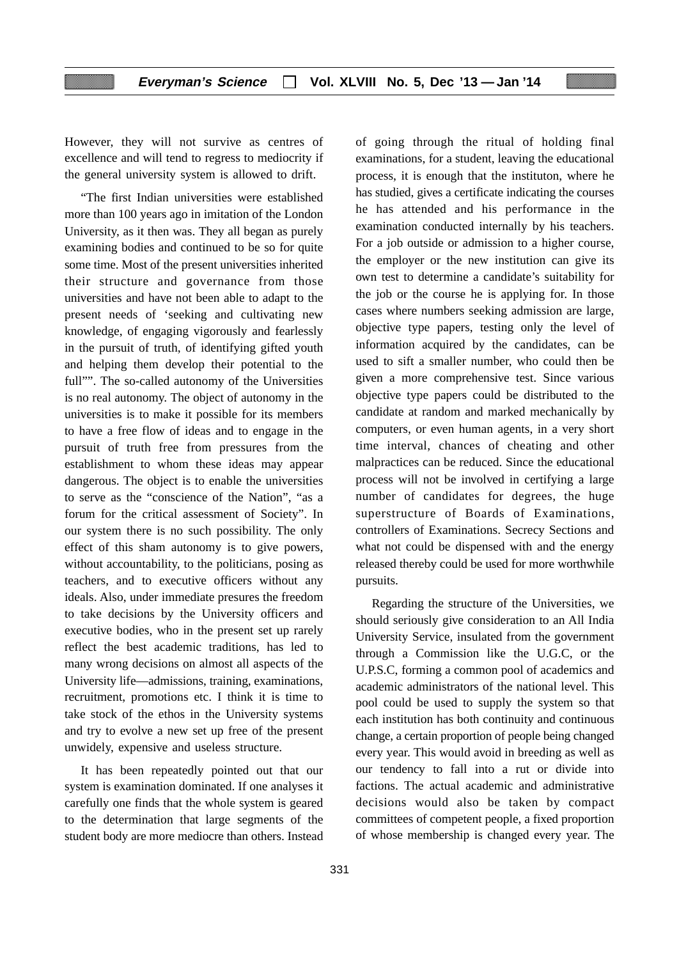However, they will not survive as centres of excellence and will tend to regress to mediocrity if the general university system is allowed to drift.

"The first Indian universities were established more than 100 years ago in imitation of the London University, as it then was. They all began as purely examining bodies and continued to be so for quite some time. Most of the present universities inherited their structure and governance from those universities and have not been able to adapt to the present needs of 'seeking and cultivating new knowledge, of engaging vigorously and fearlessly in the pursuit of truth, of identifying gifted youth and helping them develop their potential to the full"". The so-called autonomy of the Universities is no real autonomy. The object of autonomy in the universities is to make it possible for its members to have a free flow of ideas and to engage in the pursuit of truth free from pressures from the establishment to whom these ideas may appear dangerous. The object is to enable the universities to serve as the "conscience of the Nation", "as a forum for the critical assessment of Society". In our system there is no such possibility. The only effect of this sham autonomy is to give powers, without accountability, to the politicians, posing as teachers, and to executive officers without any ideals. Also, under immediate presures the freedom to take decisions by the University officers and executive bodies, who in the present set up rarely reflect the best academic traditions, has led to many wrong decisions on almost all aspects of the University life—admissions, training, examinations, recruitment, promotions etc. I think it is time to take stock of the ethos in the University systems and try to evolve a new set up free of the present unwidely, expensive and useless structure.

It has been repeatedly pointed out that our system is examination dominated. If one analyses it carefully one finds that the whole system is geared to the determination that large segments of the student body are more mediocre than others. Instead

of going through the ritual of holding final examinations, for a student, leaving the educational process, it is enough that the instituton, where he has studied, gives a certificate indicating the courses he has attended and his performance in the examination conducted internally by his teachers. For a job outside or admission to a higher course, the employer or the new institution can give its own test to determine a candidate's suitability for the job or the course he is applying for. In those cases where numbers seeking admission are large, objective type papers, testing only the level of information acquired by the candidates, can be used to sift a smaller number, who could then be given a more comprehensive test. Since various objective type papers could be distributed to the candidate at random and marked mechanically by computers, or even human agents, in a very short time interval, chances of cheating and other malpractices can be reduced. Since the educational process will not be involved in certifying a large number of candidates for degrees, the huge superstructure of Boards of Examinations, controllers of Examinations. Secrecy Sections and what not could be dispensed with and the energy released thereby could be used for more worthwhile pursuits.

Regarding the structure of the Universities, we should seriously give consideration to an All India University Service, insulated from the government through a Commission like the U.G.C, or the U.P.S.C, forming a common pool of academics and academic administrators of the national level. This pool could be used to supply the system so that each institution has both continuity and continuous change, a certain proportion of people being changed every year. This would avoid in breeding as well as our tendency to fall into a rut or divide into factions. The actual academic and administrative decisions would also be taken by compact committees of competent people, a fixed proportion of whose membership is changed every year. The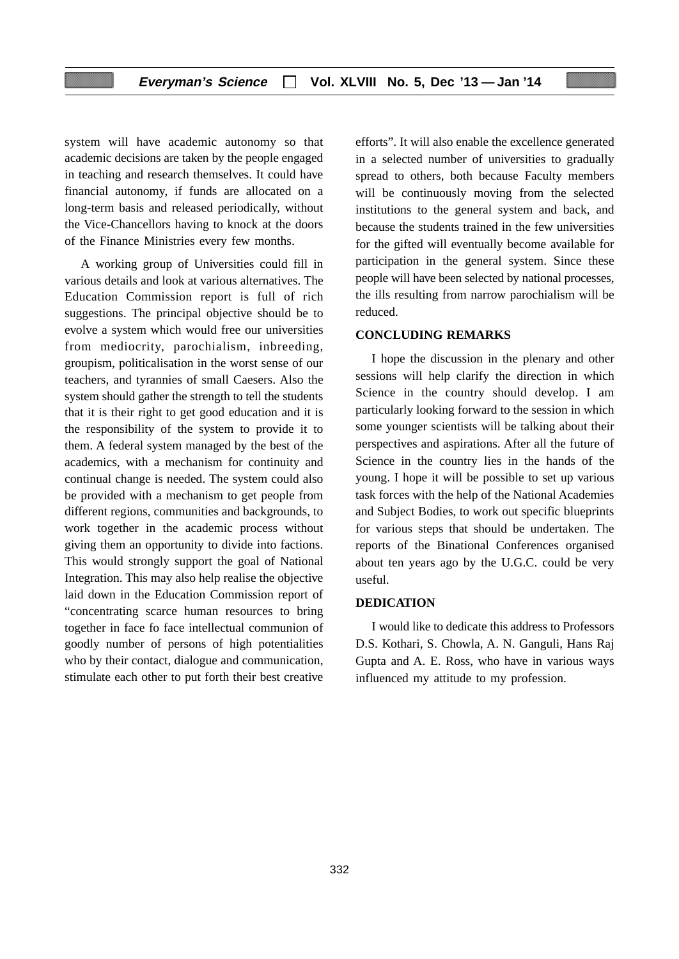system will have academic autonomy so that academic decisions are taken by the people engaged in teaching and research themselves. It could have financial autonomy, if funds are allocated on a long-term basis and released periodically, without the Vice-Chancellors having to knock at the doors of the Finance Ministries every few months.

A working group of Universities could fill in various details and look at various alternatives. The Education Commission report is full of rich suggestions. The principal objective should be to evolve a system which would free our universities from mediocrity, parochialism, inbreeding, groupism, politicalisation in the worst sense of our teachers, and tyrannies of small Caesers. Also the system should gather the strength to tell the students that it is their right to get good education and it is the responsibility of the system to provide it to them. A federal system managed by the best of the academics, with a mechanism for continuity and continual change is needed. The system could also be provided with a mechanism to get people from different regions, communities and backgrounds, to work together in the academic process without giving them an opportunity to divide into factions. This would strongly support the goal of National Integration. This may also help realise the objective laid down in the Education Commission report of "concentrating scarce human resources to bring together in face fo face intellectual communion of goodly number of persons of high potentialities who by their contact, dialogue and communication, stimulate each other to put forth their best creative

efforts". It will also enable the excellence generated in a selected number of universities to gradually spread to others, both because Faculty members will be continuously moving from the selected institutions to the general system and back, and because the students trained in the few universities for the gifted will eventually become available for participation in the general system. Since these people will have been selected by national processes, the ills resulting from narrow parochialism will be reduced.

### **CONCLUDING REMARKS**

I hope the discussion in the plenary and other sessions will help clarify the direction in which Science in the country should develop. I am particularly looking forward to the session in which some younger scientists will be talking about their perspectives and aspirations. After all the future of Science in the country lies in the hands of the young. I hope it will be possible to set up various task forces with the help of the National Academies and Subject Bodies, to work out specific blueprints for various steps that should be undertaken. The reports of the Binational Conferences organised about ten years ago by the U.G.C. could be very useful.

### **DEDICATION**

I would like to dedicate this address to Professors D.S. Kothari, S. Chowla, A. N. Ganguli, Hans Raj Gupta and A. E. Ross, who have in various ways influenced my attitude to my profession.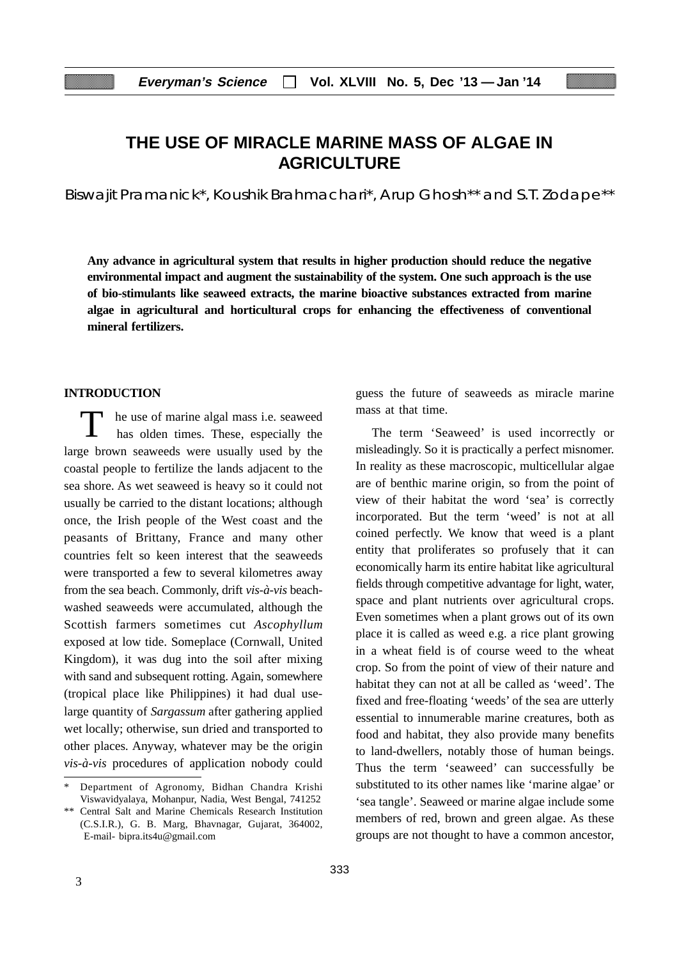# **THE USE OF MIRACLE MARINE MASS OF ALGAE IN AGRICULTURE**

Biswajit Pramanick\*, Koushik Brahmachari\*, Arup Ghosh\*\* and S.T. Zodape\*\*

**Any advance in agricultural system that results in higher production should reduce the negative environmental impact and augment the sustainability of the system. One such approach is the use of bio-stimulants like seaweed extracts, the marine bioactive substances extracted from marine algae in agricultural and horticultural crops for enhancing the effectiveness of conventional mineral fertilizers.**

#### **INTRODUCTION**

T he use of marine algal mass i.e. seaweed has olden times. These, especially the large brown seaweeds were usually used by the coastal people to fertilize the lands adjacent to the sea shore. As wet seaweed is heavy so it could not usually be carried to the distant locations; although once, the Irish people of the West coast and the peasants of Brittany, France and many other countries felt so keen interest that the seaweeds were transported a few to several kilometres away from the sea beach. Commonly, drift *vis-à-vis* beachwashed seaweeds were accumulated, although the Scottish farmers sometimes cut *Ascophyllum* exposed at low tide. Someplace (Cornwall, United Kingdom), it was dug into the soil after mixing with sand and subsequent rotting. Again, somewhere (tropical place like Philippines) it had dual uselarge quantity of *Sargassum* after gathering applied wet locally; otherwise, sun dried and transported to other places*.* Anyway, whatever may be the origin *vis-à-vis* procedures of application nobody could guess the future of seaweeds as miracle marine mass at that time.

The term 'Seaweed' is used incorrectly or misleadingly. So it is practically a perfect misnomer. In reality as these macroscopic, multicellular algae are of benthic marine origin, so from the point of view of their habitat the word 'sea' is correctly incorporated. But the term 'weed' is not at all coined perfectly. We know that weed is a plant entity that proliferates so profusely that it can economically harm its entire habitat like agricultural fields through competitive advantage for light, water, space and plant nutrients over agricultural crops. Even sometimes when a plant grows out of its own place it is called as weed e.g. a rice plant growing in a wheat field is of course weed to the wheat crop. So from the point of view of their nature and habitat they can not at all be called as 'weed'. The fixed and free-floating 'weeds' of the sea are utterly essential to innumerable marine creatures, both as food and habitat, they also provide many benefits to land-dwellers, notably those of human beings. Thus the term 'seaweed' can successfully be substituted to its other names like 'marine algae' or 'sea tangle'. Seaweed or marine algae include some members of red, brown and green algae. As these groups are not thought to have a common ancestor,

Department of Agronomy, Bidhan Chandra Krishi Viswavidyalaya, Mohanpur, Nadia, West Bengal, 741252

<sup>\*\*</sup> Central Salt and Marine Chemicals Research Institution (C.S.I.R.), G. B. Marg, Bhavnagar, Gujarat, 364002, E-mail- bipra.its4u@gmail.com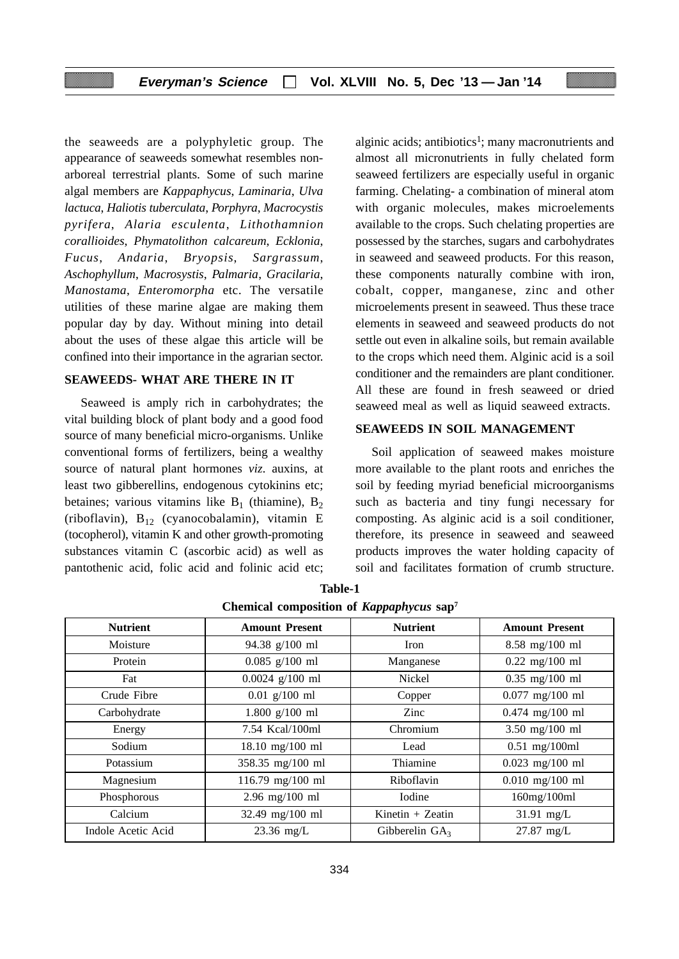the seaweeds are a polyphyletic group. The appearance of seaweeds somewhat resembles nonarboreal terrestrial plants. Some of such marine algal members are *Kappaphycus*, *Laminaria*, *Ulva lactuca*, *Haliotis tuberculata*, *Porphyra*, *Macrocystis pyrifera*, *Alaria esculenta*, *Lithothamnion corallioides*, *Phymatolithon calcareum*, *Ecklonia*, *Fucus*, *Andaria*, *Bryopsis*, *Sargrassum*, *Aschophyllum*, *Macrosystis*, *Palmaria*, *Gracilaria*, *Manostama*, *Enteromorpha* etc. The versatile utilities of these marine algae are making them popular day by day. Without mining into detail about the uses of these algae this article will be confined into their importance in the agrarian sector.

### **SEAWEEDS- WHAT ARE THERE IN IT**

Seaweed is amply rich in carbohydrates; the vital building block of plant body and a good food source of many beneficial micro-organisms. Unlike conventional forms of fertilizers, being a wealthy source of natural plant hormones *viz*. auxins, at least two gibberellins, endogenous cytokinins etc; betaines; various vitamins like  $B_1$  (thiamine),  $B_2$ (riboflavin),  $B_{12}$  (cyanocobalamin), vitamin E (tocopherol), vitamin K and other growth-promoting substances vitamin C (ascorbic acid) as well as pantothenic acid, folic acid and folinic acid etc; alginic acids; antibiotics<sup>1</sup>; many macronutrients and almost all micronutrients in fully chelated form seaweed fertilizers are especially useful in organic farming. Chelating- a combination of mineral atom with organic molecules, makes microelements available to the crops. Such chelating properties are possessed by the starches, sugars and carbohydrates in seaweed and seaweed products. For this reason, these components naturally combine with iron, cobalt, copper, manganese, zinc and other microelements present in seaweed. Thus these trace elements in seaweed and seaweed products do not settle out even in alkaline soils, but remain available to the crops which need them. Alginic acid is a soil conditioner and the remainders are plant conditioner. All these are found in fresh seaweed or dried seaweed meal as well as liquid seaweed extracts.

# **SEAWEEDS IN SOIL MANAGEMENT**

Soil application of seaweed makes moisture more available to the plant roots and enriches the soil by feeding myriad beneficial microorganisms such as bacteria and tiny fungi necessary for composting. As alginic acid is a soil conditioner, therefore, its presence in seaweed and seaweed products improves the water holding capacity of soil and facilitates formation of crumb structure.

| <b>Nutrient</b>    | <b>Amount Present</b> | <b>Nutrient</b>  | <b>Amount Present</b> |
|--------------------|-----------------------|------------------|-----------------------|
| Moisture           | 94.38 g/100 ml        | Iron             | $8.58$ mg/100 ml      |
| Protein            | $0.085$ g/100 ml      | Manganese        | $0.22$ mg/100 ml      |
| Fat                | $0.0024$ g/100 ml     | Nickel           | $0.35$ mg/100 ml      |
| Crude Fibre        | $0.01$ g/100 ml       | Copper           | $0.077$ mg/100 ml     |
| Carbohydrate       | $1.800$ g/100 ml      | Zinc             | $0.474$ mg/100 ml     |
| Energy             | 7.54 Kcal/100ml       | Chromium         | 3.50 mg/100 ml        |
| Sodium             | 18.10 mg/100 ml       | Lead             | $0.51$ mg/100ml       |
| Potassium          | 358.35 mg/100 ml      | Thiamine         | $0.023$ mg/100 ml     |
| Magnesium          | 116.79 mg/100 ml      | Riboflavin       | $0.010$ mg/100 ml     |
| Phosphorous        | $2.96$ mg/100 ml      | Iodine           | 160mg/100ml           |
| Calcium            | 32.49 mg/100 ml       | Kinetin + Zeatin | $31.91$ mg/L          |
| Indole Acetic Acid | $23.36$ mg/L          | Gibberelin $GA3$ | $27.87$ mg/L          |

**Table-1 Chemical composition of** *Kappaphycus* **sap7**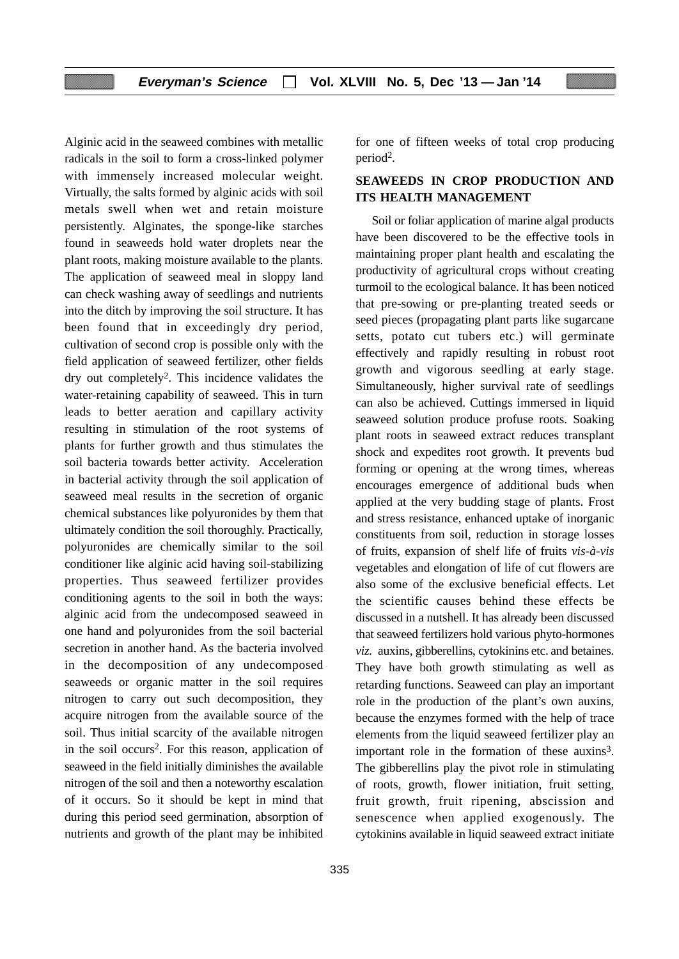Alginic acid in the seaweed combines with metallic radicals in the soil to form a cross-linked polymer with immensely increased molecular weight. Virtually, the salts formed by alginic acids with soil metals swell when wet and retain moisture persistently. Alginates, the sponge-like starches found in seaweeds hold water droplets near the plant roots, making moisture available to the plants. The application of seaweed meal in sloppy land can check washing away of seedlings and nutrients into the ditch by improving the soil structure. It has been found that in exceedingly dry period, cultivation of second crop is possible only with the field application of seaweed fertilizer, other fields dry out completely2. This incidence validates the water-retaining capability of seaweed. This in turn leads to better aeration and capillary activity resulting in stimulation of the root systems of plants for further growth and thus stimulates the soil bacteria towards better activity. Acceleration in bacterial activity through the soil application of seaweed meal results in the secretion of organic chemical substances like polyuronides by them that ultimately condition the soil thoroughly. Practically, polyuronides are chemically similar to the soil conditioner like alginic acid having soil-stabilizing properties. Thus seaweed fertilizer provides conditioning agents to the soil in both the ways: alginic acid from the undecomposed seaweed in one hand and polyuronides from the soil bacterial secretion in another hand. As the bacteria involved in the decomposition of any undecomposed seaweeds or organic matter in the soil requires nitrogen to carry out such decomposition, they acquire nitrogen from the available source of the soil. Thus initial scarcity of the available nitrogen in the soil occurs<sup>2</sup>. For this reason, application of seaweed in the field initially diminishes the available nitrogen of the soil and then a noteworthy escalation of it occurs. So it should be kept in mind that during this period seed germination, absorption of nutrients and growth of the plant may be inhibited

for one of fifteen weeks of total crop producing period2.

# **SEAWEEDS IN CROP PRODUCTION AND ITS HEALTH MANAGEMENT**

Soil or foliar application of marine algal products have been discovered to be the effective tools in maintaining proper plant health and escalating the productivity of agricultural crops without creating turmoil to the ecological balance. It has been noticed that pre-sowing or pre-planting treated seeds or seed pieces (propagating plant parts like sugarcane setts, potato cut tubers etc.) will germinate effectively and rapidly resulting in robust root growth and vigorous seedling at early stage. Simultaneously, higher survival rate of seedlings can also be achieved. Cuttings immersed in liquid seaweed solution produce profuse roots. Soaking plant roots in seaweed extract reduces transplant shock and expedites root growth. It prevents bud forming or opening at the wrong times, whereas encourages emergence of additional buds when applied at the very budding stage of plants. Frost and stress resistance, enhanced uptake of inorganic constituents from soil, reduction in storage losses of fruits, expansion of shelf life of fruits *vis-à-vis* vegetables and elongation of life of cut flowers are also some of the exclusive beneficial effects. Let the scientific causes behind these effects be discussed in a nutshell. It has already been discussed that seaweed fertilizers hold various phyto-hormones *viz*. auxins, gibberellins, cytokinins etc. and betaines. They have both growth stimulating as well as retarding functions. Seaweed can play an important role in the production of the plant's own auxins, because the enzymes formed with the help of trace elements from the liquid seaweed fertilizer play an important role in the formation of these auxins<sup>3</sup>. The gibberellins play the pivot role in stimulating of roots, growth, flower initiation, fruit setting, fruit growth, fruit ripening, abscission and senescence when applied exogenously. The cytokinins available in liquid seaweed extract initiate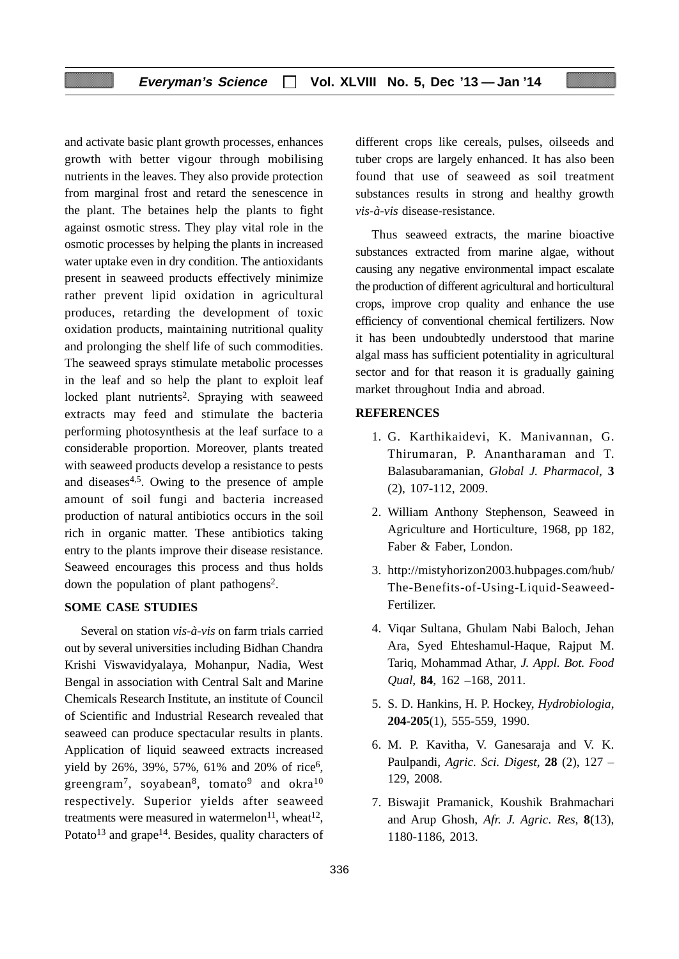and activate basic plant growth processes, enhances growth with better vigour through mobilising nutrients in the leaves. They also provide protection from marginal frost and retard the senescence in the plant. The betaines help the plants to fight against osmotic stress. They play vital role in the osmotic processes by helping the plants in increased water uptake even in dry condition. The antioxidants present in seaweed products effectively minimize rather prevent lipid oxidation in agricultural produces, retarding the development of toxic oxidation products, maintaining nutritional quality and prolonging the shelf life of such commodities. The seaweed sprays stimulate metabolic processes in the leaf and so help the plant to exploit leaf locked plant nutrients<sup>2</sup>. Spraying with seaweed extracts may feed and stimulate the bacteria performing photosynthesis at the leaf surface to a considerable proportion. Moreover, plants treated with seaweed products develop a resistance to pests and diseases4,5. Owing to the presence of ample amount of soil fungi and bacteria increased production of natural antibiotics occurs in the soil rich in organic matter. These antibiotics taking entry to the plants improve their disease resistance. Seaweed encourages this process and thus holds down the population of plant pathogens<sup>2</sup>.

# **SOME CASE STUDIES**

Several on station *vis-à-vis* on farm trials carried out by several universities including Bidhan Chandra Krishi Viswavidyalaya, Mohanpur, Nadia, West Bengal in association with Central Salt and Marine Chemicals Research Institute, an institute of Council of Scientific and Industrial Research revealed that seaweed can produce spectacular results in plants. Application of liquid seaweed extracts increased yield by 26%, 39%, 57%, 61% and 20% of rice<sup>6</sup>, greengram<sup>7</sup>, soyabean<sup>8</sup>, tomato<sup>9</sup> and okra<sup>10</sup> respectively. Superior yields after seaweed treatments were measured in watermelon<sup>11</sup>, wheat<sup>12</sup>, Potato<sup>13</sup> and grape<sup>14</sup>. Besides, quality characters of different crops like cereals, pulses, oilseeds and tuber crops are largely enhanced. It has also been found that use of seaweed as soil treatment substances results in strong and healthy growth *vis-à-vis* disease-resistance.

Thus seaweed extracts, the marine bioactive substances extracted from marine algae, without causing any negative environmental impact escalate the production of different agricultural and horticultural crops, improve crop quality and enhance the use efficiency of conventional chemical fertilizers. Now it has been undoubtedly understood that marine algal mass has sufficient potentiality in agricultural sector and for that reason it is gradually gaining market throughout India and abroad.

# **REFERENCES**

- 1. G. Karthikaidevi, K. Manivannan, G. Thirumaran, P. Anantharaman and T. Balasubaramanian, *Global J. Pharmacol*, **3** (2), 107-112, 2009.
- 2. William Anthony Stephenson, Seaweed in Agriculture and Horticulture, 1968, pp 182, Faber & Faber, London.
- 3. http://mistyhorizon2003.hubpages.com/hub/ The-Benefits-of-Using-Liquid-Seaweed-Fertilizer.
- 4. Viqar Sultana, Ghulam Nabi Baloch, Jehan Ara, Syed Ehteshamul-Haque, Rajput M. Tariq, Mohammad Athar, *J. Appl. Bot. Food Qual*, **84**, 162 –168, 2011.
- 5. S. D. Hankins, H. P. Hockey, *Hydrobiologia*, **204-205**(1), 555-559, 1990.
- 6. M. P. Kavitha, V. Ganesaraja and V. K. Paulpandi, *Agric. Sci. Digest*, **28** (2), 127 – 129, 2008.
- 7. Biswajit Pramanick, Koushik Brahmachari and Arup Ghosh, *Afr. J. Agric. Res,* **8**(13), 1180-1186, 2013.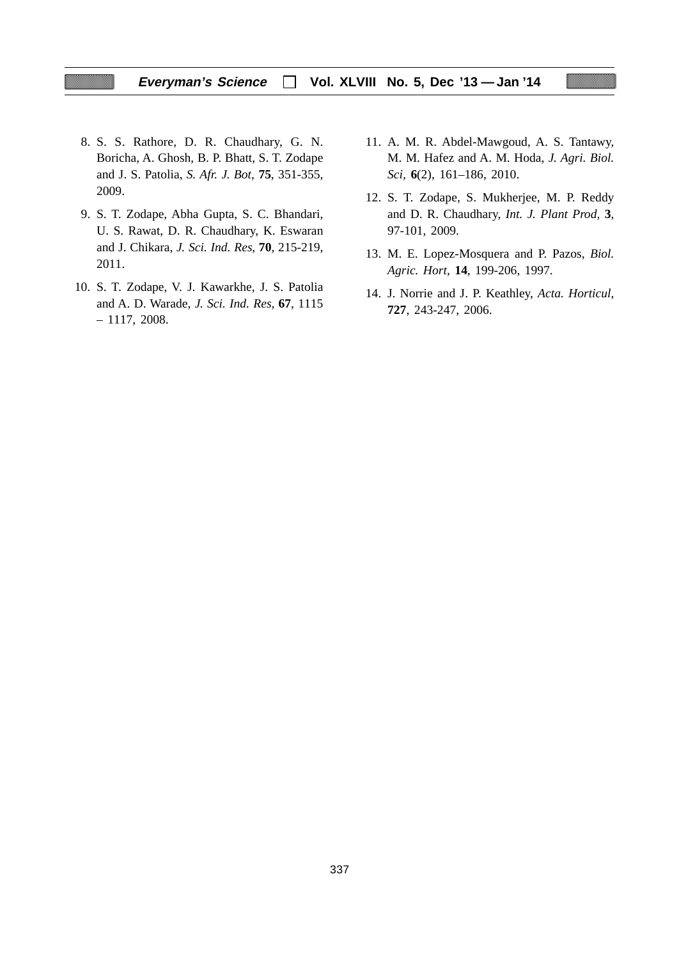# **Everyman's Science Vol. XLVIII No. 5, Dec '13 — Jan '14**

- 8. S. S. Rathore, D. R. Chaudhary, G. N. Boricha, A. Ghosh, B. P. Bhatt, S. T. Zodape and J. S. Patolia, *S. Afr. J. Bot*, **75**, 351-355, 2009.
- 9. S. T. Zodape, Abha Gupta, S. C. Bhandari, U. S. Rawat, D. R. Chaudhary, K. Eswaran and J. Chikara, *J. Sci. Ind. Res*, **70**, 215-219, 2011.
- 10. S. T. Zodape, V. J. Kawarkhe, J. S. Patolia and A. D. Warade, *J. Sci. Ind. Res,* **67**, 1115 – 1117, 2008.
- 11. A. M. R. Abdel-Mawgoud, A. S. Tantawy, M. M. Hafez and A. M. Hoda, *J. Agri. Biol. Sci,* **6**(2), 161–186, 2010.
- 12. S. T. Zodape, S. Mukherjee, M. P. Reddy and D. R. Chaudhary, *Int. J. Plant Prod,* **3**, 97-101, 2009.
- 13. M. E. Lopez-Mosquera and P. Pazos, *Biol. Agric. Hort*, **14**, 199-206, 1997.
- 14. J. Norrie and J. P. Keathley, *Acta. Horticul*, **727**, 243-247, 2006.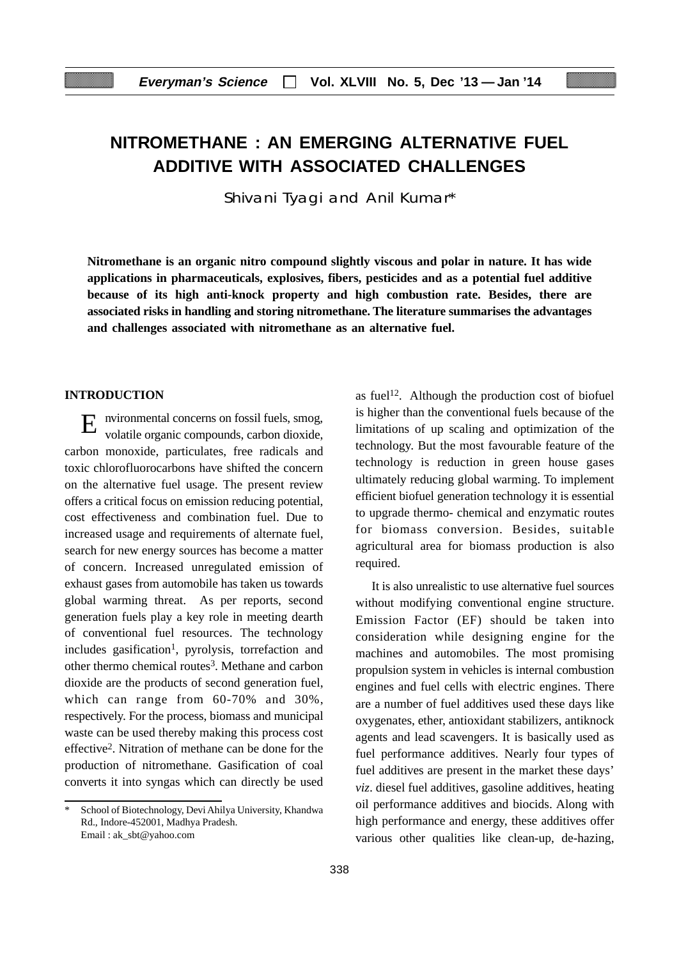# **NITROMETHANE : AN EMERGING ALTERNATIVE FUEL ADDITIVE WITH ASSOCIATED CHALLENGES**

Shivani Tyagi and Anil Kumar\*

**Nitromethane is an organic nitro compound slightly viscous and polar in nature. It has wide applications in pharmaceuticals, explosives, fibers, pesticides and as a potential fuel additive because of its high anti-knock property and high combustion rate. Besides, there are associated risks in handling and storing nitromethane. The literature summarises the advantages and challenges associated with nitromethane as an alternative fuel.**

# **INTRODUCTION**

E nvironmental concerns on fossil fuels, smog, volatile organic compounds, carbon dioxide, carbon monoxide, particulates, free radicals and toxic chlorofluorocarbons have shifted the concern on the alternative fuel usage. The present review offers a critical focus on emission reducing potential, cost effectiveness and combination fuel. Due to increased usage and requirements of alternate fuel, search for new energy sources has become a matter of concern. Increased unregulated emission of exhaust gases from automobile has taken us towards global warming threat. As per reports, second generation fuels play a key role in meeting dearth of conventional fuel resources. The technology  $includes$  gasification<sup>1</sup>, pyrolysis, torrefaction and other thermo chemical routes<sup>3</sup>. Methane and carbon dioxide are the products of second generation fuel, which can range from 60-70% and 30%, respectively. For the process, biomass and municipal waste can be used thereby making this process cost effective2. Nitration of methane can be done for the production of nitromethane. Gasification of coal converts it into syngas which can directly be used as fuel<sup>12</sup>. Although the production cost of biofuel is higher than the conventional fuels because of the limitations of up scaling and optimization of the technology. But the most favourable feature of the technology is reduction in green house gases ultimately reducing global warming. To implement efficient biofuel generation technology it is essential to upgrade thermo- chemical and enzymatic routes for biomass conversion. Besides, suitable agricultural area for biomass production is also required.

It is also unrealistic to use alternative fuel sources without modifying conventional engine structure. Emission Factor (EF) should be taken into consideration while designing engine for the machines and automobiles. The most promising propulsion system in vehicles is internal combustion engines and fuel cells with electric engines. There are a number of fuel additives used these days like oxygenates, ether, antioxidant stabilizers, antiknock agents and lead scavengers. It is basically used as fuel performance additives. Nearly four types of fuel additives are present in the market these days' *viz*. diesel fuel additives, gasoline additives, heating oil performance additives and biocids. Along with high performance and energy, these additives offer various other qualities like clean-up, de-hazing,

School of Biotechnology, Devi Ahilya University, Khandwa Rd., Indore-452001, Madhya Pradesh. Email : ak\_sbt@yahoo.com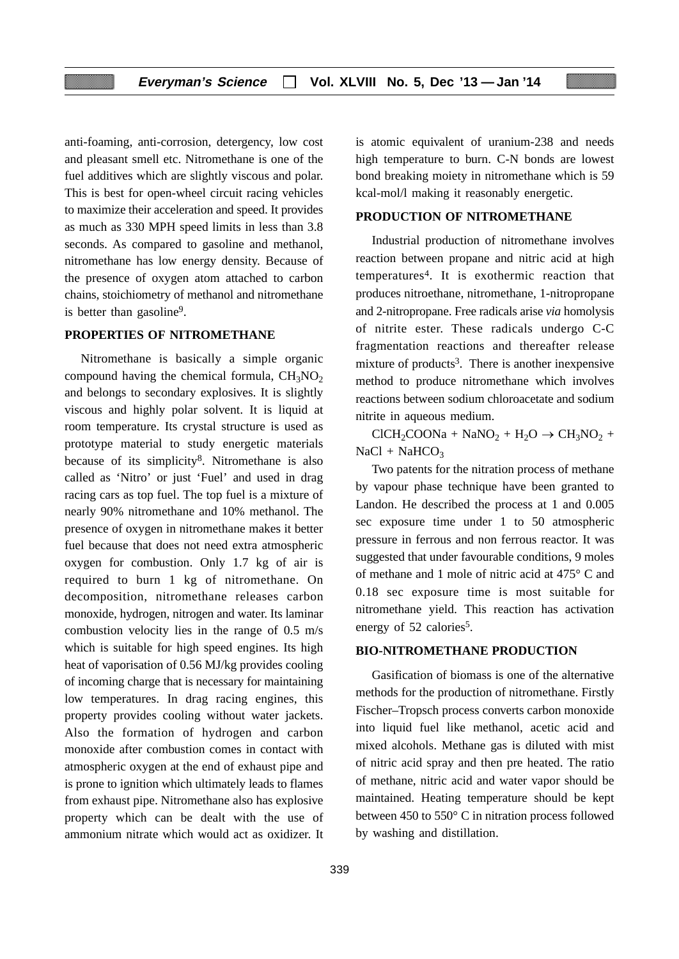anti-foaming, anti-corrosion, detergency, low cost and pleasant smell etc. Nitromethane is one of the fuel additives which are slightly viscous and polar. This is best for open-wheel circuit racing vehicles to maximize their acceleration and speed. It provides as much as 330 MPH speed limits in less than 3.8 seconds. As compared to gasoline and methanol, nitromethane has low energy density. Because of the presence of oxygen atom attached to carbon chains, stoichiometry of methanol and nitromethane is better than gasoline9.

# **PROPERTIES OF NITROMETHANE**

Nitromethane is basically a simple organic compound having the chemical formula,  $CH<sub>3</sub>NO<sub>2</sub>$ and belongs to secondary explosives. It is slightly viscous and highly polar solvent. It is liquid at room temperature. Its crystal structure is used as prototype material to study energetic materials because of its simplicity<sup>8</sup>. Nitromethane is also called as 'Nitro' or just 'Fuel' and used in drag racing cars as top fuel. The top fuel is a mixture of nearly 90% nitromethane and 10% methanol. The presence of oxygen in nitromethane makes it better fuel because that does not need extra atmospheric oxygen for combustion. Only 1.7 kg of air is required to burn 1 kg of nitromethane. On decomposition, nitromethane releases carbon monoxide, hydrogen, nitrogen and water. Its laminar combustion velocity lies in the range of 0.5 m/s which is suitable for high speed engines. Its high heat of vaporisation of 0.56 MJ/kg provides cooling of incoming charge that is necessary for maintaining low temperatures. In drag racing engines, this property provides cooling without water jackets. Also the formation of hydrogen and carbon monoxide after combustion comes in contact with atmospheric oxygen at the end of exhaust pipe and is prone to ignition which ultimately leads to flames from exhaust pipe. Nitromethane also has explosive property which can be dealt with the use of ammonium nitrate which would act as oxidizer. It is atomic equivalent of uranium-238 and needs high temperature to burn. C-N bonds are lowest bond breaking moiety in nitromethane which is 59 kcal-mol/l making it reasonably energetic.

# **PRODUCTION OF NITROMETHANE**

Industrial production of nitromethane involves reaction between propane and nitric acid at high temperatures4. It is exothermic reaction that produces nitroethane, nitromethane, 1-nitropropane and 2-nitropropane. Free radicals arise *via* homolysis of nitrite ester. These radicals undergo C-C fragmentation reactions and thereafter release mixture of products<sup>3</sup>. There is another inexpensive method to produce nitromethane which involves reactions between sodium chloroacetate and sodium nitrite in aqueous medium.

 $CICH_2COONa + NaNO_2 + H_2O \rightarrow CH_3NO_2 +$  $NaCl + NaHCO<sub>3</sub>$ 

Two patents for the nitration process of methane by vapour phase technique have been granted to Landon. He described the process at 1 and 0.005 sec exposure time under 1 to 50 atmospheric pressure in ferrous and non ferrous reactor. It was suggested that under favourable conditions, 9 moles of methane and 1 mole of nitric acid at 475° C and 0.18 sec exposure time is most suitable for nitromethane yield. This reaction has activation energy of 52 calories<sup>5</sup>.

# **BIO-NITROMETHANE PRODUCTION**

Gasification of biomass is one of the alternative methods for the production of nitromethane. Firstly Fischer–Tropsch process converts carbon monoxide into liquid fuel like methanol, acetic acid and mixed alcohols. Methane gas is diluted with mist of nitric acid spray and then pre heated. The ratio of methane, nitric acid and water vapor should be maintained. Heating temperature should be kept between 450 to 550° C in nitration process followed by washing and distillation.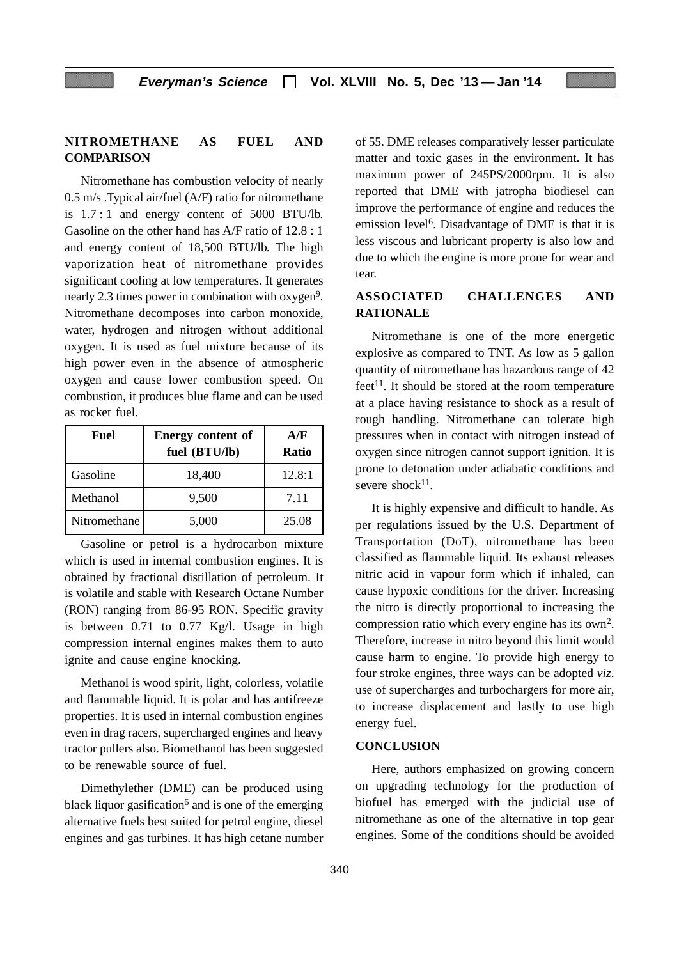# **NITROMETHANE AS FUEL AND COMPARISON**

Nitromethane has combustion velocity of nearly 0.5 m/s .Typical air/fuel (A/F) ratio for nitromethane is 1.7 : 1 and energy content of 5000 BTU/lb. Gasoline on the other hand has A/F ratio of 12.8 : 1 and energy content of 18,500 BTU/lb. The high vaporization heat of nitromethane provides significant cooling at low temperatures. It generates nearly 2.3 times power in combination with oxygen<sup>9</sup>. Nitromethane decomposes into carbon monoxide, water, hydrogen and nitrogen without additional oxygen. It is used as fuel mixture because of its high power even in the absence of atmospheric oxygen and cause lower combustion speed. On combustion, it produces blue flame and can be used as rocket fuel.

| Fuel         | <b>Energy content of</b><br>fuel (BTU/lb) | A/F<br><b>Ratio</b> |
|--------------|-------------------------------------------|---------------------|
| Gasoline     | 18,400                                    | 12.8:1              |
| Methanol     | 9,500                                     | 7.11                |
| Nitromethane | 5,000                                     | 25.08               |

Gasoline or petrol is a hydrocarbon mixture which is used in internal combustion engines. It is obtained by fractional distillation of petroleum. It is volatile and stable with Research Octane Number (RON) ranging from 86-95 RON. Specific gravity is between 0.71 to 0.77 Kg/l. Usage in high compression internal engines makes them to auto ignite and cause engine knocking.

Methanol is wood spirit, light, colorless, volatile and flammable liquid. It is polar and has antifreeze properties. It is used in internal combustion engines even in drag racers, supercharged engines and heavy tractor pullers also. Biomethanol has been suggested to be renewable source of fuel.

Dimethylether (DME) can be produced using black liquor gasification<sup>6</sup> and is one of the emerging alternative fuels best suited for petrol engine, diesel engines and gas turbines. It has high cetane number of 55. DME releases comparatively lesser particulate matter and toxic gases in the environment. It has maximum power of 245PS/2000rpm. It is also reported that DME with jatropha biodiesel can improve the performance of engine and reduces the emission level6. Disadvantage of DME is that it is less viscous and lubricant property is also low and due to which the engine is more prone for wear and tear.

# **ASSOCIATED CHALLENGES AND RATIONALE**

Nitromethane is one of the more energetic explosive as compared to TNT. As low as 5 gallon quantity of nitromethane has hazardous range of 42  $f$ eet<sup>11</sup>. It should be stored at the room temperature at a place having resistance to shock as a result of rough handling. Nitromethane can tolerate high pressures when in contact with nitrogen instead of oxygen since nitrogen cannot support ignition. It is prone to detonation under adiabatic conditions and severe shock $11$ .

It is highly expensive and difficult to handle. As per regulations issued by the U.S. Department of Transportation (DoT), nitromethane has been classified as flammable liquid. Its exhaust releases nitric acid in vapour form which if inhaled, can cause hypoxic conditions for the driver. Increasing the nitro is directly proportional to increasing the compression ratio which every engine has its own2. Therefore, increase in nitro beyond this limit would cause harm to engine. To provide high energy to four stroke engines, three ways can be adopted *viz*. use of supercharges and turbochargers for more air, to increase displacement and lastly to use high energy fuel.

# **CONCLUSION**

Here, authors emphasized on growing concern on upgrading technology for the production of biofuel has emerged with the judicial use of nitromethane as one of the alternative in top gear engines. Some of the conditions should be avoided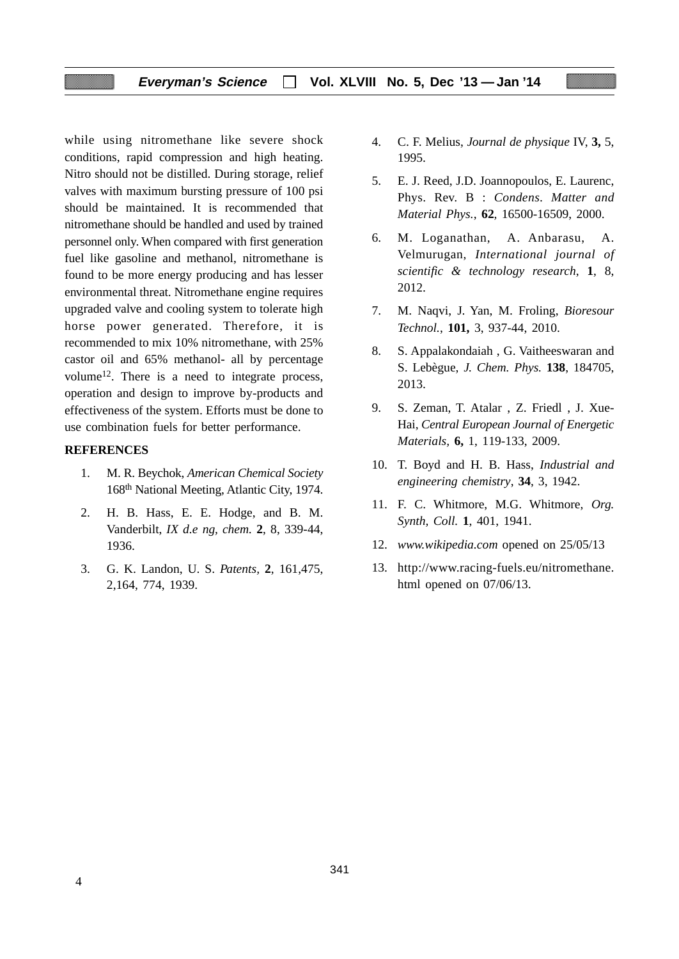# **Everyman's Science Vol. XLVIII No. 5, Dec '13 — Jan '14**

while using nitromethane like severe shock conditions, rapid compression and high heating. Nitro should not be distilled. During storage, relief valves with maximum bursting pressure of 100 psi should be maintained. It is recommended that nitromethane should be handled and used by trained personnel only. When compared with first generation fuel like gasoline and methanol, nitromethane is found to be more energy producing and has lesser environmental threat. Nitromethane engine requires upgraded valve and cooling system to tolerate high horse power generated. Therefore, it is recommended to mix 10% nitromethane, with 25% castor oil and 65% methanol- all by percentage volume12. There is a need to integrate process, operation and design to improve by-products and effectiveness of the system. Efforts must be done to use combination fuels for better performance.

#### **REFERENCES**

- 1. M. R. Beychok, *American Chemical Society* 168th National Meeting, Atlantic City, 1974.
- 2. H. B. Hass, E. E. Hodge, and B. M. Vanderbilt, *IX d.e ng, chem.* **2**, 8, 339-44, 1936.
- 3. G. K. Landon, U. S. *Patents,* **2**, 161,475, 2,164, 774, 1939.
- 4. C. F. Melius, *Journal de physique* IV, **3,** 5, 1995.
- 5. E. J. Reed, J.D. Joannopoulos, E. Laurenc, Phys. Rev. B : *Condens*. *Matter and Material Phys.*, **62**, 16500-16509, 2000.
- 6. M. Loganathan, A. Anbarasu, A. Velmurugan, *International journal of scientific & technology research*, **1**, 8, 2012.
- 7. M. Naqvi, J. Yan, M. Froling, *Bioresour Technol.*, **101,** 3, 937-44, 2010.
- 8. S. Appalakondaiah , G. Vaitheeswaran and S. Lebègue, *J. Chem. Phys.* **138**, 184705, 2013.
- 9. S. Zeman, T. Atalar , Z. Friedl , J. Xue-Hai, *Central European Journal of Energetic Materials,* **6,** 1, 119-133, 2009.
- 10. T. Boyd and H. B. Hass, *Industrial and engineering chemistry*, **34**, 3, 1942.
- 11. F. C. Whitmore, M.G. Whitmore, *Org. Synth, Coll.* **1**, 401, 1941.
- 12. *www.wikipedia.com* opened on 25/05/13
- 13. http://www.racing-fuels.eu/nitromethane. html opened on 07/06/13.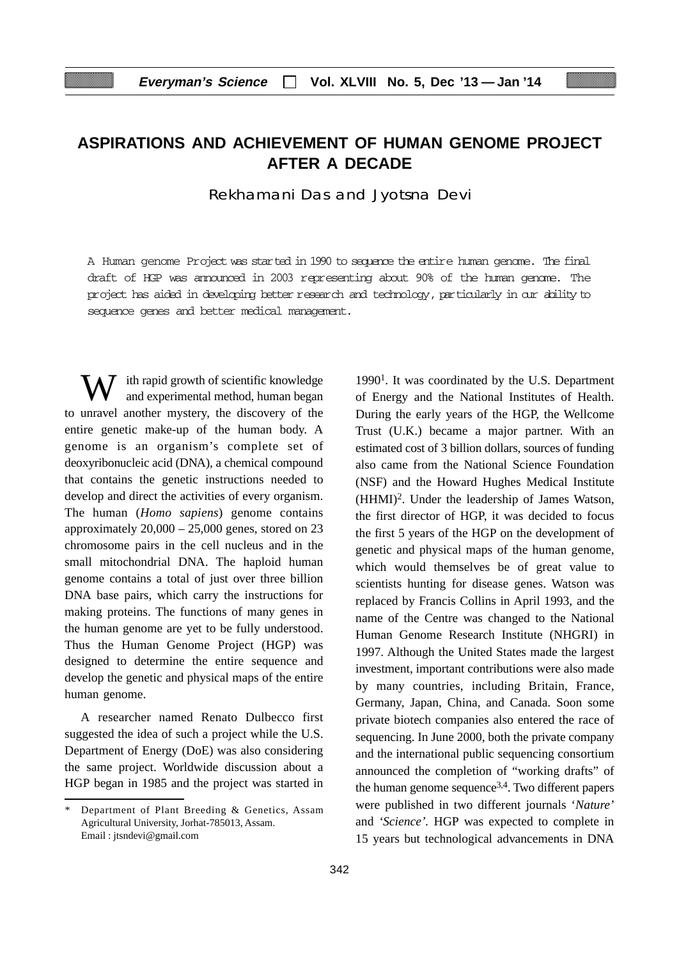# **ASPIRATIONS AND ACHIEVEMENT OF HUMAN GENOME PROJECT AFTER A DECADE**

Rekhamani Das and Jyotsna Devi

A Human genome Project was started in 1990 to sequence the entire human genome. The final draft of HGP was announced in 2003 representing about 90% of the human genome. The project has aided in developing better research and technology, particularly in our ability to sequence genes and better medical management.

ith rapid growth of scientific knowledge and experimental method, human began to unravel another mystery, the discovery of the entire genetic make-up of the human body. A genome is an organism's complete set of deoxyribonucleic acid (DNA), a chemical compound that contains the genetic instructions needed to develop and direct the activities of every organism. The human (*Homo sapiens*) genome contains approximately  $20,000 - 25,000$  genes, stored on 23 chromosome pairs in the cell nucleus and in the small mitochondrial DNA. The haploid human genome contains a total of just over three billion DNA base pairs, which carry the instructions for making proteins. The functions of many genes in the human genome are yet to be fully understood. Thus the Human Genome Project (HGP) was designed to determine the entire sequence and develop the genetic and physical maps of the entire human genome.

A researcher named Renato Dulbecco first suggested the idea of such a project while the U.S. Department of Energy (DoE) was also considering the same project. Worldwide discussion about a HGP began in 1985 and the project was started in

 $1990<sup>1</sup>$ . It was coordinated by the U.S. Department of Energy and the National Institutes of Health. During the early years of the HGP, the Wellcome Trust (U.K.) became a major partner. With an estimated cost of 3 billion dollars, sources of funding also came from the National Science Foundation (NSF) and the Howard Hughes Medical Institute (HHMI)2. Under the leadership of James Watson, the first director of HGP, it was decided to focus the first 5 years of the HGP on the development of genetic and physical maps of the human genome, which would themselves be of great value to scientists hunting for disease genes. Watson was replaced by Francis Collins in April 1993, and the name of the Centre was changed to the National Human Genome Research Institute (NHGRI) in 1997. Although the United States made the largest investment, important contributions were also made by many countries, including Britain, France, Germany, Japan, China, and Canada. Soon some private biotech companies also entered the race of sequencing. In June 2000, both the private company and the international public sequencing consortium announced the completion of "working drafts" of the human genome sequence3,4. Two different papers were published in two different journals '*Nature'* and *'Science'.* HGP was expected to complete in 15 years but technological advancements in DNA

Department of Plant Breeding & Genetics, Assam Agricultural University, Jorhat-785013, Assam. Email : jtsndevi@gmail.com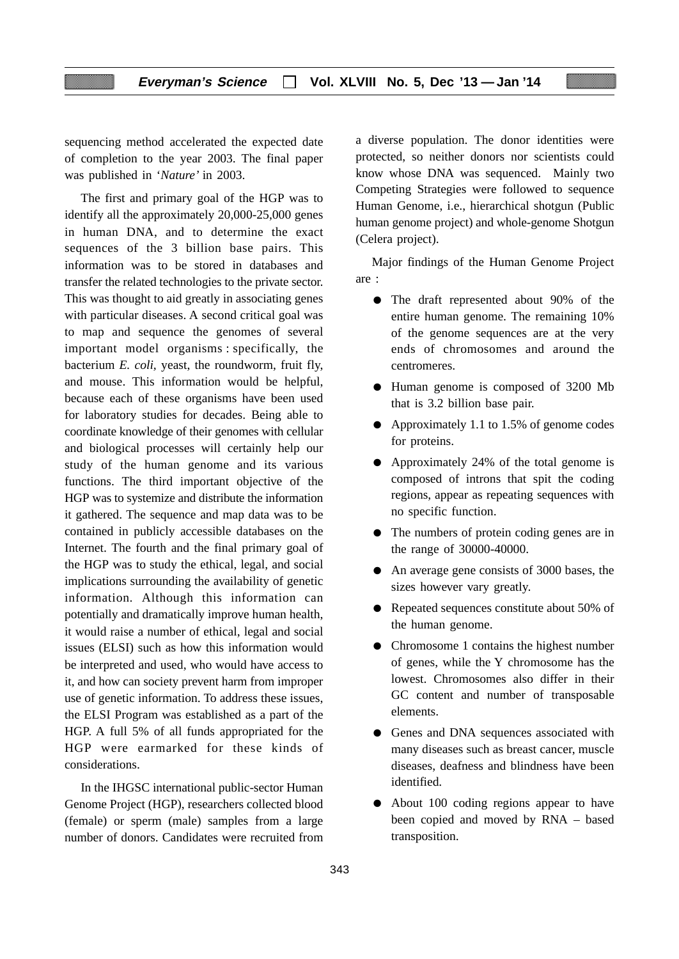sequencing method accelerated the expected date of completion to the year 2003. The final paper was published in '*Nature'* in 2003.

The first and primary goal of the HGP was to identify all the approximately 20,000-25,000 genes in human DNA, and to determine the exact sequences of the 3 billion base pairs. This information was to be stored in databases and transfer the related technologies to the private sector. This was thought to aid greatly in associating genes with particular diseases. A second critical goal was to map and sequence the genomes of several important model organisms : specifically, the bacterium *E. coli,* yeast, the roundworm, fruit fly, and mouse. This information would be helpful, because each of these organisms have been used for laboratory studies for decades. Being able to coordinate knowledge of their genomes with cellular and biological processes will certainly help our study of the human genome and its various functions. The third important objective of the HGP was to systemize and distribute the information it gathered. The sequence and map data was to be contained in publicly accessible databases on the Internet. The fourth and the final primary goal of the HGP was to study the ethical, legal, and social implications surrounding the availability of genetic information*.* Although this information can potentially and dramatically improve human health, it would raise a number of ethical, legal and social issues (ELSI) such as how this information would be interpreted and used, who would have access to it, and how can society prevent harm from improper use of genetic information. To address these issues, the ELSI Program was established as a part of the HGP. A full 5% of all funds appropriated for the HGP were earmarked for these kinds of considerations.

In the IHGSC international public-sector Human Genome Project (HGP), researchers collected blood (female) or sperm (male) samples from a large number of donors. Candidates were recruited from

a diverse population. The donor identities were protected, so neither donors nor scientists could know whose DNA was sequenced. Mainly two Competing Strategies were followed to sequence Human Genome, i.e., hierarchical shotgun (Public human genome project) and whole-genome Shotgun (Celera project).

Major findings of the Human Genome Project are :

- The draft represented about 90% of the entire human genome. The remaining 10% of the genome sequences are at the very ends of chromosomes and around the centromeres.
- Human genome is composed of 3200 Mb that is 3.2 billion base pair.
- Approximately 1.1 to 1.5% of genome codes for proteins.
- Approximately 24% of the total genome is composed of introns that spit the coding regions, appear as repeating sequences with no specific function.
- The numbers of protein coding genes are in the range of 30000-40000.
- An average gene consists of 3000 bases, the sizes however vary greatly.
- Repeated sequences constitute about 50% of the human genome.
- Chromosome 1 contains the highest number of genes, while the Y chromosome has the lowest. Chromosomes also differ in their GC content and number of transposable elements.
- Genes and DNA sequences associated with many diseases such as breast cancer, muscle diseases, deafness and blindness have been identified.
- About 100 coding regions appear to have been copied and moved by RNA – based transposition.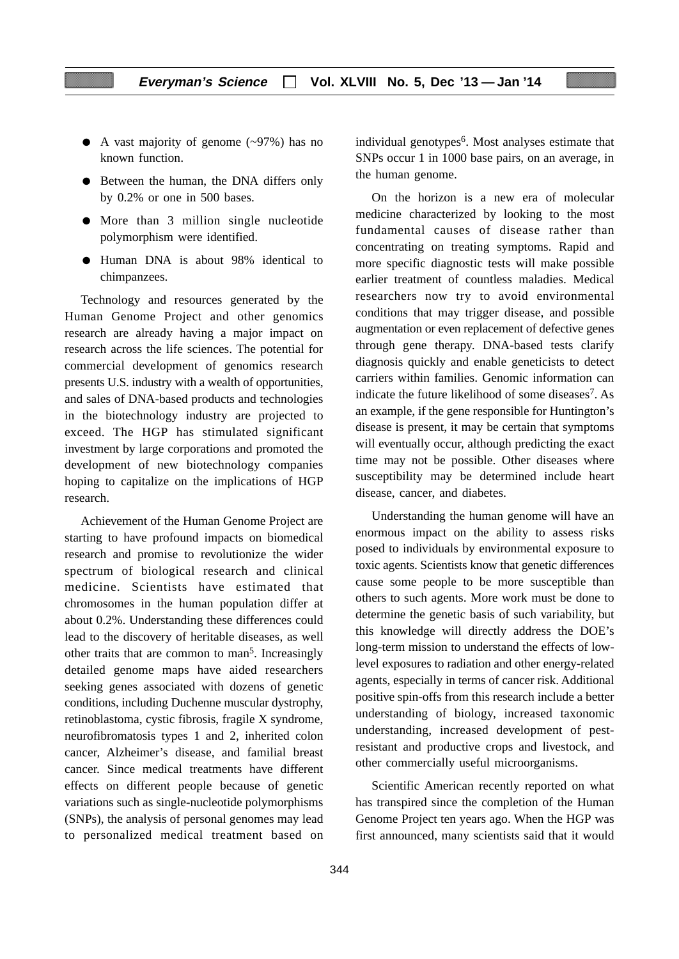- $\bullet$  A vast majority of genome (~97%) has no known function.
- Between the human, the DNA differs only by 0.2% or one in 500 bases.
- More than 3 million single nucleotide polymorphism were identified.
- Human DNA is about 98% identical to chimpanzees.

Technology and resources generated by the Human Genome Project and other genomics research are already having a major impact on research across the life sciences. The potential for commercial development of genomics research presents U.S. industry with a wealth of opportunities, and sales of DNA-based products and technologies in the biotechnology industry are projected to exceed. The HGP has stimulated significant investment by large corporations and promoted the development of new biotechnology companies hoping to capitalize on the implications of HGP research.

Achievement of the Human Genome Project are starting to have profound impacts on biomedical research and promise to revolutionize the wider spectrum of biological research and clinical medicine. Scientists have estimated that chromosomes in the human population differ at about 0.2%. Understanding these differences could lead to the discovery of heritable diseases, as well other traits that are common to man<sup>5</sup>. Increasingly detailed genome maps have aided researchers seeking genes associated with dozens of genetic conditions, including Duchenne muscular dystrophy, retinoblastoma, cystic fibrosis, fragile X syndrome, neurofibromatosis types 1 and 2, inherited colon cancer, Alzheimer's disease, and familial breast cancer. Since medical treatments have different effects on different people because of genetic variations such as single-nucleotide polymorphisms (SNPs), the analysis of personal genomes may lead to personalized medical treatment based on individual genotypes<sup>6</sup>. Most analyses estimate that SNPs occur 1 in 1000 base pairs, on an average, in the human genome.

On the horizon is a new era of molecular medicine characterized by looking to the most fundamental causes of disease rather than concentrating on treating symptoms. Rapid and more specific diagnostic tests will make possible earlier treatment of countless maladies. Medical researchers now try to avoid environmental conditions that may trigger disease, and possible augmentation or even replacement of defective genes through gene therapy. DNA-based tests clarify diagnosis quickly and enable geneticists to detect carriers within families. Genomic information can indicate the future likelihood of some diseases7. As an example, if the gene responsible for Huntington's disease is present, it may be certain that symptoms will eventually occur, although predicting the exact time may not be possible. Other diseases where susceptibility may be determined include heart disease, cancer, and diabetes.

Understanding the human genome will have an enormous impact on the ability to assess risks posed to individuals by environmental exposure to toxic agents. Scientists know that genetic differences cause some people to be more susceptible than others to such agents. More work must be done to determine the genetic basis of such variability, but this knowledge will directly address the DOE's long-term mission to understand the effects of lowlevel exposures to radiation and other energy-related agents, especially in terms of cancer risk. Additional positive spin-offs from this research include a better understanding of biology, increased taxonomic understanding, increased development of pestresistant and productive crops and livestock, and other commercially useful microorganisms.

Scientific American recently reported on what has transpired since the completion of the Human Genome Project ten years ago. When the HGP was first announced, many scientists said that it would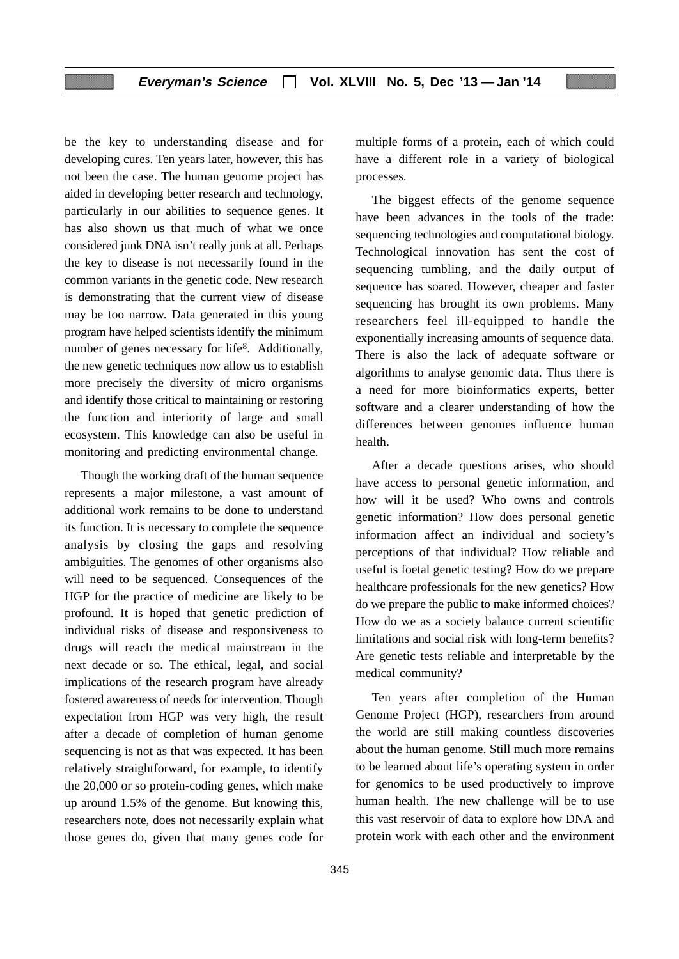be the key to understanding disease and for developing cures. Ten years later, however, this has not been the case. The human genome project has aided in developing better research and technology, particularly in our abilities to sequence genes. It has also shown us that much of what we once considered junk DNA isn't really junk at all. Perhaps the key to disease is not necessarily found in the common variants in the genetic code. New research is demonstrating that the current view of disease may be too narrow. Data generated in this young program have helped scientists identify the minimum number of genes necessary for life<sup>8</sup>. Additionally, the new genetic techniques now allow us to establish more precisely the diversity of micro organisms and identify those critical to maintaining or restoring the function and interiority of large and small ecosystem. This knowledge can also be useful in monitoring and predicting environmental change.

Though the working draft of the human sequence represents a major milestone, a vast amount of additional work remains to be done to understand its function. It is necessary to complete the sequence analysis by closing the gaps and resolving ambiguities. The genomes of other organisms also will need to be sequenced. Consequences of the HGP for the practice of medicine are likely to be profound. It is hoped that genetic prediction of individual risks of disease and responsiveness to drugs will reach the medical mainstream in the next decade or so. The ethical, legal, and social implications of the research program have already fostered awareness of needs for intervention. Though expectation from HGP was very high, the result after a decade of completion of human genome sequencing is not as that was expected. It has been relatively straightforward, for example, to identify the 20,000 or so protein-coding genes, which make up around 1.5% of the genome. But knowing this, researchers note, does not necessarily explain what those genes do, given that many genes code for

multiple forms of a protein, each of which could have a different role in a variety of biological processes.

The biggest effects of the genome sequence have been advances in the tools of the trade: sequencing technologies and computational biology. Technological innovation has sent the cost of sequencing tumbling, and the daily output of sequence has soared. However, cheaper and faster sequencing has brought its own problems. Many researchers feel ill-equipped to handle the exponentially increasing amounts of sequence data. There is also the lack of adequate software or algorithms to analyse genomic data. Thus there is a need for more bioinformatics experts, better software and a clearer understanding of how the differences between genomes influence human health.

After a decade questions arises, who should have access to personal genetic information, and how will it be used? Who owns and controls genetic information? How does personal genetic information affect an individual and society's perceptions of that individual? How reliable and useful is foetal genetic testing? How do we prepare healthcare professionals for the new genetics? How do we prepare the public to make informed choices? How do we as a society balance current scientific limitations and social risk with long-term benefits? Are genetic tests reliable and interpretable by the medical community?

Ten years after completion of the Human Genome Project (HGP), researchers from around the world are still making countless discoveries about the human genome. Still much more remains to be learned about life's operating system in order for genomics to be used productively to improve human health. The new challenge will be to use this vast reservoir of data to explore how DNA and protein work with each other and the environment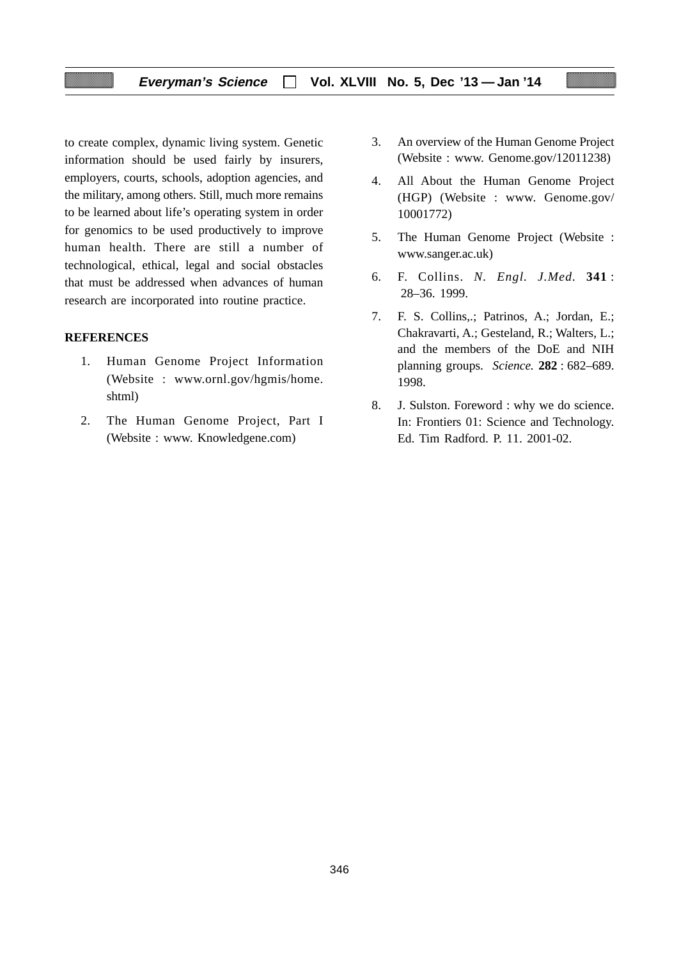# **Everyman's Science Vol. XLVIII No. 5, Dec '13 — Jan '14**

to create complex, dynamic living system. Genetic information should be used fairly by insurers, employers, courts, schools, adoption agencies, and the military, among others. Still, much more remains to be learned about life's operating system in order for genomics to be used productively to improve human health. There are still a number of technological, ethical, legal and social obstacles that must be addressed when advances of human research are incorporated into routine practice.

# **REFERENCES**

- 1. Human Genome Project Information (Website : www.ornl.gov/hgmis/home. shtml)
- 2. The Human Genome Project, Part I (Website : www. Knowledgene.com)
- 3. An overview of the Human Genome Project (Website : www. Genome.gov/12011238)
- 4. All About the Human Genome Project (HGP) (Website : www. Genome.gov/ 10001772)
- 5. The Human Genome Project (Website : www.sanger.ac.uk)
- 6. F. Collins. *N. Engl. J.Med.* **341** : 28–36. 1999.
- 7. F. S. Collins,.; Patrinos, A.; Jordan, E.; Chakravarti, A.; Gesteland, R.; Walters, L.; and the members of the DoE and NIH planning groups. *Science.* **282** : 682–689. 1998.
- 8. J. Sulston. Foreword : why we do science. In: Frontiers 01: Science and Technology. Ed. Tim Radford. P. 11. 2001-02.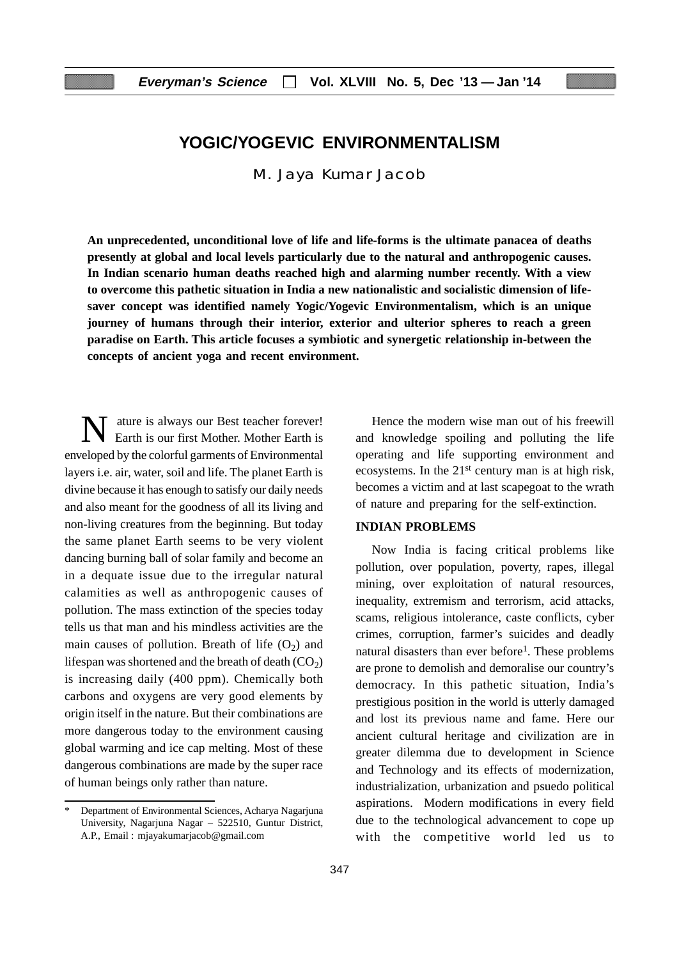# **YOGIC/YOGEVIC ENVIRONMENTALISM**

M. Jaya Kumar Jacob

**An unprecedented, unconditional love of life and life-forms is the ultimate panacea of deaths presently at global and local levels particularly due to the natural and anthropogenic causes. In Indian scenario human deaths reached high and alarming number recently. With a view to overcome this pathetic situation in India a new nationalistic and socialistic dimension of lifesaver concept was identified namely Yogic/Yogevic Environmentalism, which is an unique journey of humans through their interior, exterior and ulterior spheres to reach a green paradise on Earth. This article focuses a symbiotic and synergetic relationship in-between the concepts of ancient yoga and recent environment.**

N ature is always our Best teacher forever!<br>Earth is our first Mother. Mother Earth is ature is always our Best teacher forever! enveloped by the colorful garments of Environmental layers i.e. air, water, soil and life. The planet Earth is divine because it has enough to satisfy our daily needs and also meant for the goodness of all its living and non-living creatures from the beginning. But today the same planet Earth seems to be very violent dancing burning ball of solar family and become an in a dequate issue due to the irregular natural calamities as well as anthropogenic causes of pollution. The mass extinction of the species today tells us that man and his mindless activities are the main causes of pollution. Breath of life  $(O_2)$  and lifespan was shortened and the breath of death  $(CO<sub>2</sub>)$ is increasing daily (400 ppm). Chemically both carbons and oxygens are very good elements by origin itself in the nature. But their combinations are more dangerous today to the environment causing global warming and ice cap melting. Most of these dangerous combinations are made by the super race of human beings only rather than nature.

Hence the modern wise man out of his freewill and knowledge spoiling and polluting the life operating and life supporting environment and ecosystems. In the 21<sup>st</sup> century man is at high risk, becomes a victim and at last scapegoat to the wrath of nature and preparing for the self-extinction.

# **INDIAN PROBLEMS**

Now India is facing critical problems like pollution, over population, poverty, rapes, illegal mining, over exploitation of natural resources, inequality, extremism and terrorism, acid attacks, scams, religious intolerance, caste conflicts, cyber crimes, corruption, farmer's suicides and deadly natural disasters than ever before<sup>1</sup>. These problems are prone to demolish and demoralise our country's democracy. In this pathetic situation, India's prestigious position in the world is utterly damaged and lost its previous name and fame. Here our ancient cultural heritage and civilization are in greater dilemma due to development in Science and Technology and its effects of modernization, industrialization, urbanization and psuedo political aspirations. Modern modifications in every field due to the technological advancement to cope up with the competitive world led us to

Department of Environmental Sciences, Acharya Nagarjuna University, Nagarjuna Nagar – 522510, Guntur District, A.P., Email : mjayakumarjacob@gmail.com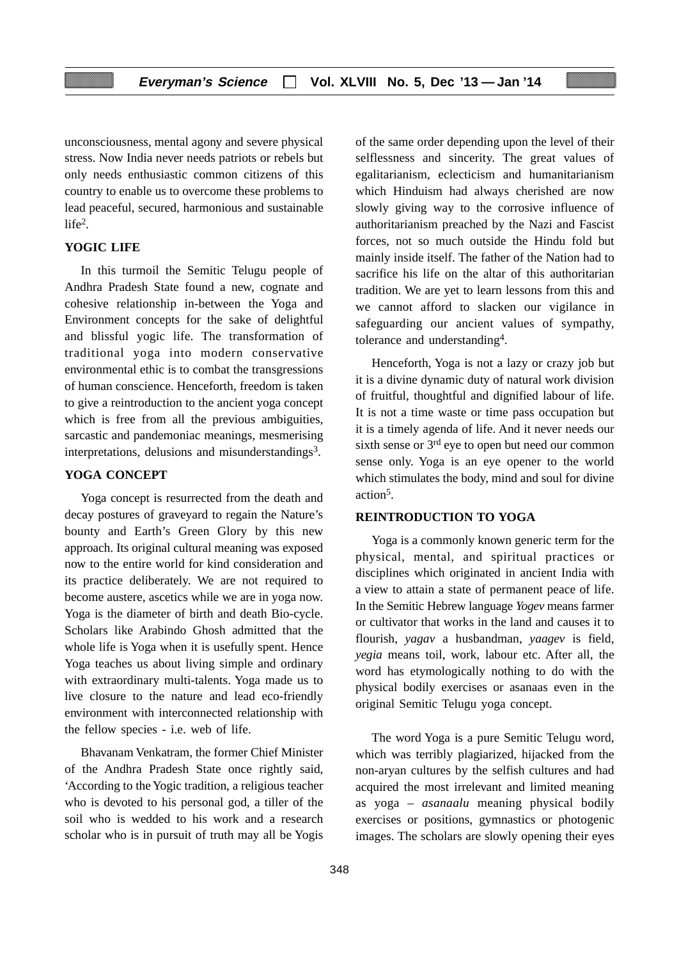unconsciousness, mental agony and severe physical stress. Now India never needs patriots or rebels but only needs enthusiastic common citizens of this country to enable us to overcome these problems to lead peaceful, secured, harmonious and sustainable life2.

# **YOGIC LIFE**

In this turmoil the Semitic Telugu people of Andhra Pradesh State found a new, cognate and cohesive relationship in-between the Yoga and Environment concepts for the sake of delightful and blissful yogic life. The transformation of traditional yoga into modern conservative environmental ethic is to combat the transgressions of human conscience. Henceforth, freedom is taken to give a reintroduction to the ancient yoga concept which is free from all the previous ambiguities, sarcastic and pandemoniac meanings, mesmerising interpretations, delusions and misunderstandings<sup>3</sup>.

# **YOGA CONCEPT**

Yoga concept is resurrected from the death and decay postures of graveyard to regain the Nature's bounty and Earth's Green Glory by this new approach. Its original cultural meaning was exposed now to the entire world for kind consideration and its practice deliberately. We are not required to become austere, ascetics while we are in yoga now. Yoga is the diameter of birth and death Bio-cycle. Scholars like Arabindo Ghosh admitted that the whole life is Yoga when it is usefully spent. Hence Yoga teaches us about living simple and ordinary with extraordinary multi-talents. Yoga made us to live closure to the nature and lead eco-friendly environment with interconnected relationship with the fellow species - i.e. web of life.

Bhavanam Venkatram, the former Chief Minister of the Andhra Pradesh State once rightly said, 'According to the Yogic tradition, a religious teacher who is devoted to his personal god, a tiller of the soil who is wedded to his work and a research scholar who is in pursuit of truth may all be Yogis

of the same order depending upon the level of their selflessness and sincerity. The great values of egalitarianism, eclecticism and humanitarianism which Hinduism had always cherished are now slowly giving way to the corrosive influence of authoritarianism preached by the Nazi and Fascist forces, not so much outside the Hindu fold but mainly inside itself. The father of the Nation had to sacrifice his life on the altar of this authoritarian tradition. We are yet to learn lessons from this and we cannot afford to slacken our vigilance in safeguarding our ancient values of sympathy, tolerance and understanding4.

Henceforth, Yoga is not a lazy or crazy job but it is a divine dynamic duty of natural work division of fruitful, thoughtful and dignified labour of life. It is not a time waste or time pass occupation but it is a timely agenda of life. And it never needs our sixth sense or  $3<sup>rd</sup>$  eye to open but need our common sense only. Yoga is an eye opener to the world which stimulates the body, mind and soul for divine action5.

## **REINTRODUCTION TO YOGA**

Yoga is a commonly known generic term for the physical, mental, and spiritual practices or disciplines which originated in ancient India with a view to attain a state of permanent peace of life. In the Semitic Hebrew language *Yogev* means farmer or cultivator that works in the land and causes it to flourish, *yagav* a husbandman, *yaagev* is field, *yegia* means toil, work, labour etc. After all, the word has etymologically nothing to do with the physical bodily exercises or asanaas even in the original Semitic Telugu yoga concept.

The word Yoga is a pure Semitic Telugu word, which was terribly plagiarized, hijacked from the non-aryan cultures by the selfish cultures and had acquired the most irrelevant and limited meaning as yoga – *asanaalu* meaning physical bodily exercises or positions, gymnastics or photogenic images. The scholars are slowly opening their eyes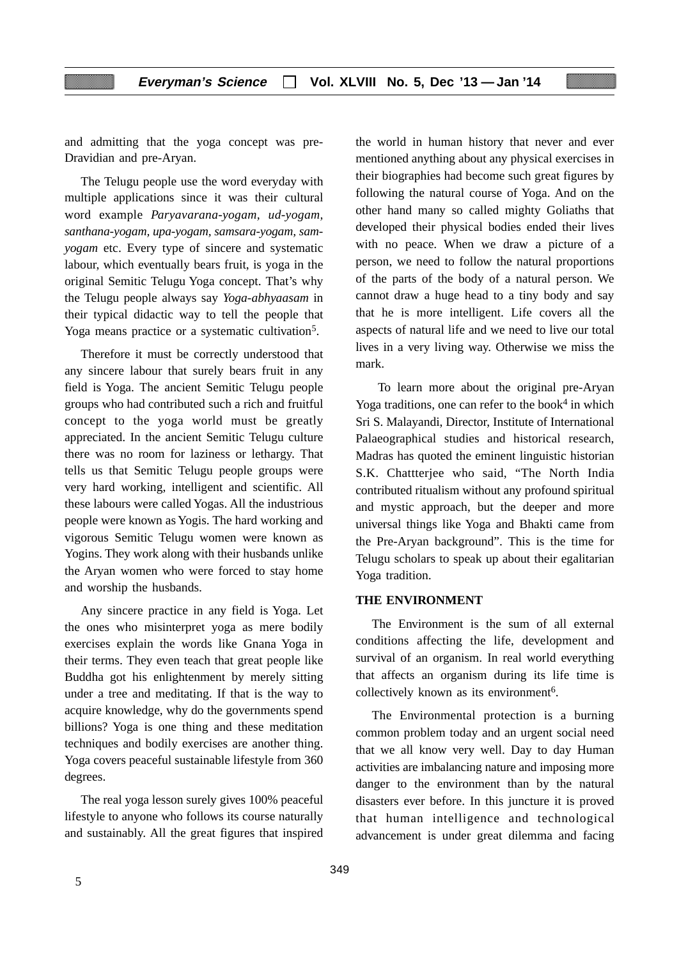and admitting that the yoga concept was pre-Dravidian and pre-Aryan.

The Telugu people use the word everyday with multiple applications since it was their cultural word example *Paryavarana-yogam, ud-yogam, santhana-yogam, upa-yogam, samsara-yogam, samyogam* etc. Every type of sincere and systematic labour, which eventually bears fruit, is yoga in the original Semitic Telugu Yoga concept. That's why the Telugu people always say *Yoga-abhyaasam* in their typical didactic way to tell the people that Yoga means practice or a systematic cultivation<sup>5</sup>.

Therefore it must be correctly understood that any sincere labour that surely bears fruit in any field is Yoga. The ancient Semitic Telugu people groups who had contributed such a rich and fruitful concept to the yoga world must be greatly appreciated. In the ancient Semitic Telugu culture there was no room for laziness or lethargy. That tells us that Semitic Telugu people groups were very hard working, intelligent and scientific. All these labours were called Yogas. All the industrious people were known as Yogis. The hard working and vigorous Semitic Telugu women were known as Yogins. They work along with their husbands unlike the Aryan women who were forced to stay home and worship the husbands.

Any sincere practice in any field is Yoga. Let the ones who misinterpret yoga as mere bodily exercises explain the words like Gnana Yoga in their terms. They even teach that great people like Buddha got his enlightenment by merely sitting under a tree and meditating. If that is the way to acquire knowledge, why do the governments spend billions? Yoga is one thing and these meditation techniques and bodily exercises are another thing. Yoga covers peaceful sustainable lifestyle from 360 degrees.

The real yoga lesson surely gives 100% peaceful lifestyle to anyone who follows its course naturally and sustainably. All the great figures that inspired the world in human history that never and ever mentioned anything about any physical exercises in their biographies had become such great figures by following the natural course of Yoga. And on the other hand many so called mighty Goliaths that developed their physical bodies ended their lives with no peace. When we draw a picture of a person, we need to follow the natural proportions of the parts of the body of a natural person. We cannot draw a huge head to a tiny body and say that he is more intelligent. Life covers all the aspects of natural life and we need to live our total lives in a very living way. Otherwise we miss the mark.

 To learn more about the original pre-Aryan Yoga traditions, one can refer to the book<sup>4</sup> in which Sri S. Malayandi, Director, Institute of International Palaeographical studies and historical research, Madras has quoted the eminent linguistic historian S.K. Chattterjee who said, "The North India contributed ritualism without any profound spiritual and mystic approach, but the deeper and more universal things like Yoga and Bhakti came from the Pre-Aryan background". This is the time for Telugu scholars to speak up about their egalitarian Yoga tradition.

# **THE ENVIRONMENT**

The Environment is the sum of all external conditions affecting the life, development and survival of an organism. In real world everything that affects an organism during its life time is collectively known as its environment<sup>6</sup>.

The Environmental protection is a burning common problem today and an urgent social need that we all know very well. Day to day Human activities are imbalancing nature and imposing more danger to the environment than by the natural disasters ever before. In this juncture it is proved that human intelligence and technological advancement is under great dilemma and facing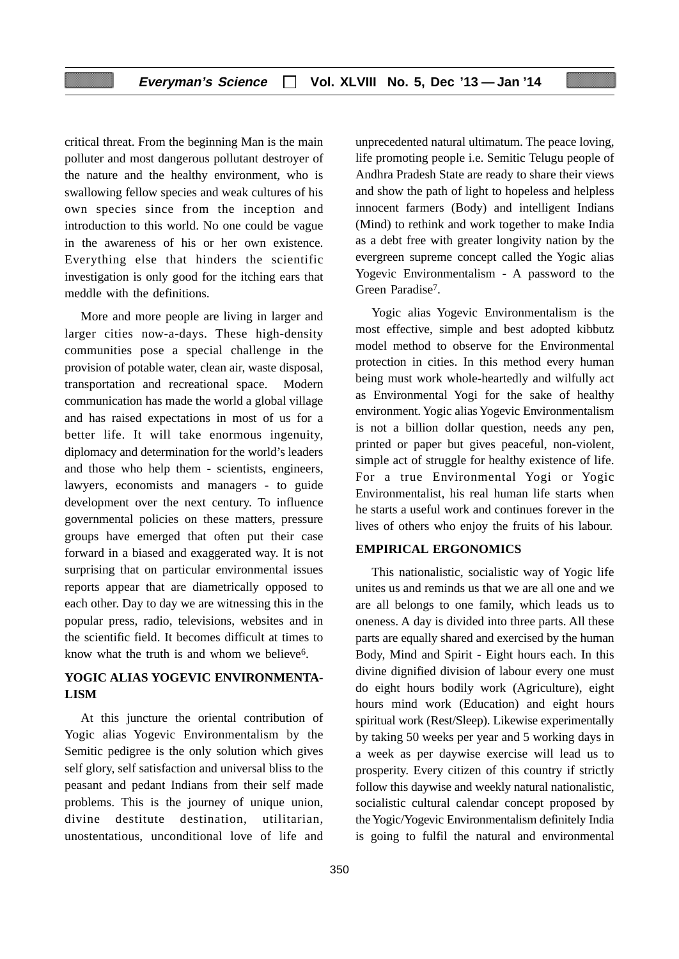critical threat. From the beginning Man is the main polluter and most dangerous pollutant destroyer of the nature and the healthy environment, who is swallowing fellow species and weak cultures of his own species since from the inception and introduction to this world. No one could be vague in the awareness of his or her own existence. Everything else that hinders the scientific investigation is only good for the itching ears that meddle with the definitions.

More and more people are living in larger and larger cities now-a-days. These high-density communities pose a special challenge in the provision of potable water, clean air, waste disposal, transportation and recreational space. Modern communication has made the world a global village and has raised expectations in most of us for a better life. It will take enormous ingenuity, diplomacy and determination for the world's leaders and those who help them - scientists, engineers, lawyers, economists and managers - to guide development over the next century. To influence governmental policies on these matters, pressure groups have emerged that often put their case forward in a biased and exaggerated way. It is not surprising that on particular environmental issues reports appear that are diametrically opposed to each other. Day to day we are witnessing this in the popular press, radio, televisions, websites and in the scientific field. It becomes difficult at times to know what the truth is and whom we believe<sup>6</sup>.

# **YOGIC ALIAS YOGEVIC ENVIRONMENTA-LISM**

At this juncture the oriental contribution of Yogic alias Yogevic Environmentalism by the Semitic pedigree is the only solution which gives self glory, self satisfaction and universal bliss to the peasant and pedant Indians from their self made problems. This is the journey of unique union, divine destitute destination, utilitarian, unostentatious, unconditional love of life and

unprecedented natural ultimatum. The peace loving, life promoting people i.e. Semitic Telugu people of Andhra Pradesh State are ready to share their views and show the path of light to hopeless and helpless innocent farmers (Body) and intelligent Indians (Mind) to rethink and work together to make India as a debt free with greater longivity nation by the evergreen supreme concept called the Yogic alias Yogevic Environmentalism - A password to the Green Paradise<sup>7</sup>.

Yogic alias Yogevic Environmentalism is the most effective, simple and best adopted kibbutz model method to observe for the Environmental protection in cities. In this method every human being must work whole-heartedly and wilfully act as Environmental Yogi for the sake of healthy environment. Yogic alias Yogevic Environmentalism is not a billion dollar question, needs any pen, printed or paper but gives peaceful, non-violent, simple act of struggle for healthy existence of life. For a true Environmental Yogi or Yogic Environmentalist, his real human life starts when he starts a useful work and continues forever in the lives of others who enjoy the fruits of his labour.

#### **EMPIRICAL ERGONOMICS**

This nationalistic, socialistic way of Yogic life unites us and reminds us that we are all one and we are all belongs to one family, which leads us to oneness. A day is divided into three parts. All these parts are equally shared and exercised by the human Body, Mind and Spirit - Eight hours each. In this divine dignified division of labour every one must do eight hours bodily work (Agriculture), eight hours mind work (Education) and eight hours spiritual work (Rest/Sleep). Likewise experimentally by taking 50 weeks per year and 5 working days in a week as per daywise exercise will lead us to prosperity. Every citizen of this country if strictly follow this daywise and weekly natural nationalistic, socialistic cultural calendar concept proposed by the Yogic/Yogevic Environmentalism definitely India is going to fulfil the natural and environmental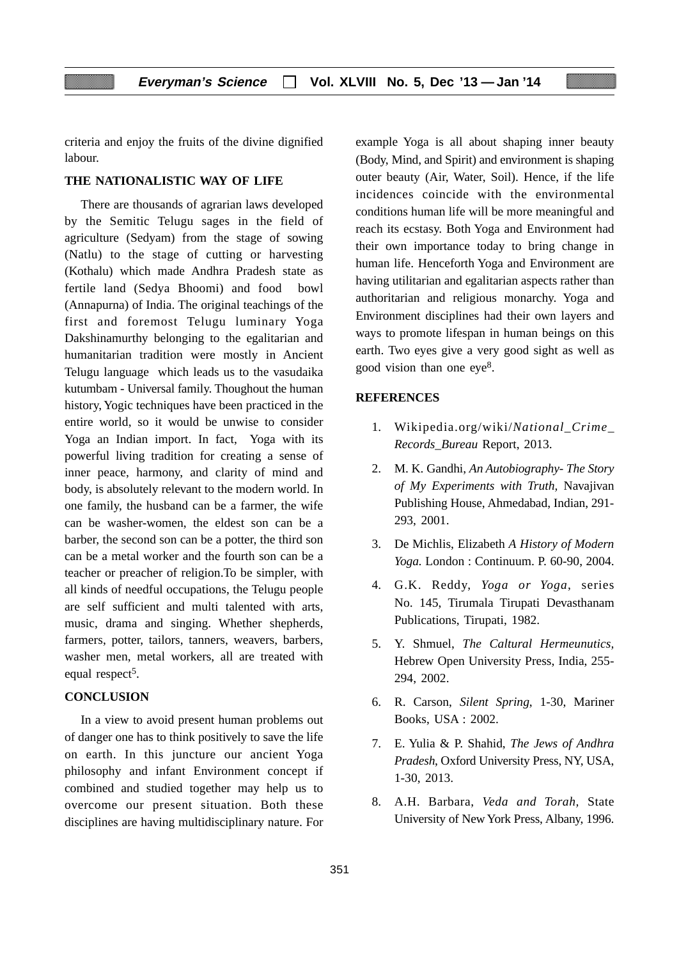criteria and enjoy the fruits of the divine dignified labour.

# **THE NATIONALISTIC WAY OF LIFE**

There are thousands of agrarian laws developed by the Semitic Telugu sages in the field of agriculture (Sedyam) from the stage of sowing (Natlu) to the stage of cutting or harvesting (Kothalu) which made Andhra Pradesh state as fertile land (Sedya Bhoomi) and food bowl (Annapurna) of India. The original teachings of the first and foremost Telugu luminary Yoga Dakshinamurthy belonging to the egalitarian and humanitarian tradition were mostly in Ancient Telugu language which leads us to the vasudaika kutumbam - Universal family. Thoughout the human history, Yogic techniques have been practiced in the entire world, so it would be unwise to consider Yoga an Indian import. In fact, Yoga with its powerful living tradition for creating a sense of inner peace, harmony, and clarity of mind and body, is absolutely relevant to the modern world. In one family, the husband can be a farmer, the wife can be washer-women, the eldest son can be a barber, the second son can be a potter, the third son can be a metal worker and the fourth son can be a teacher or preacher of religion.To be simpler, with all kinds of needful occupations, the Telugu people are self sufficient and multi talented with arts, music, drama and singing. Whether shepherds, farmers, potter, tailors, tanners, weavers, barbers, washer men, metal workers, all are treated with equal respect<sup>5</sup>.

### **CONCLUSION**

In a view to avoid present human problems out of danger one has to think positively to save the life on earth. In this juncture our ancient Yoga philosophy and infant Environment concept if combined and studied together may help us to overcome our present situation. Both these disciplines are having multidisciplinary nature. For example Yoga is all about shaping inner beauty (Body, Mind, and Spirit) and environment is shaping outer beauty (Air, Water, Soil). Hence, if the life incidences coincide with the environmental conditions human life will be more meaningful and reach its ecstasy. Both Yoga and Environment had their own importance today to bring change in human life. Henceforth Yoga and Environment are having utilitarian and egalitarian aspects rather than authoritarian and religious monarchy. Yoga and Environment disciplines had their own layers and ways to promote lifespan in human beings on this earth. Two eyes give a very good sight as well as good vision than one eye8.

#### **REFERENCES**

- 1. Wikipedia.org/wiki/*National\_Crime\_ Records\_Bureau* Report, 2013.
- 2. M. K. Gandhi, *An Autobiography- The Story of My Experiments with Truth,* Navajivan Publishing House, Ahmedabad, Indian, 291- 293, 2001.
- 3. De Michlis, Elizabeth *A History of Modern Yoga.* London : Continuum. P. 60-90, 2004.
- 4. G.K. Reddy, *Yoga or Yoga*, series No. 145, Tirumala Tirupati Devasthanam Publications, Tirupati, 1982.
- 5. Y. Shmuel, *The Caltural Hermeunutics,* Hebrew Open University Press, India, 255- 294, 2002.
- 6. R. Carson, *Silent Spring*, 1-30, Mariner Books, USA : 2002.
- 7. E. Yulia & P. Shahid, *The Jews of Andhra Pradesh*, Oxford University Press, NY, USA, 1-30, 2013.
- 8. A.H. Barbara, *Veda and Torah,* State University of New York Press, Albany, 1996.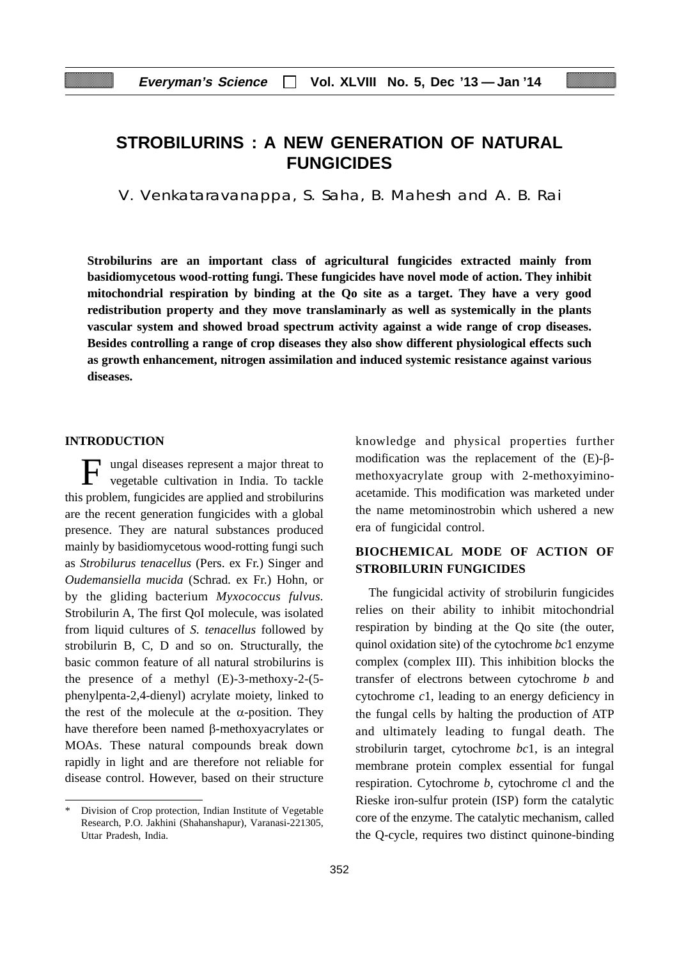# **STROBILURINS : A NEW GENERATION OF NATURAL FUNGICIDES**

V. Venkataravanappa, S. Saha, B. Mahesh and A. B. Rai

**Strobilurins are an important class of agricultural fungicides extracted mainly from basidiomycetous wood-rotting fungi. These fungicides have novel mode of action. They inhibit mitochondrial respiration by binding at the Qo site as a target. They have a very good redistribution property and they move translaminarly as well as systemically in the plants vascular system and showed broad spectrum activity against a wide range of crop diseases. Besides controlling a range of crop diseases they also show different physiological effects such as growth enhancement, nitrogen assimilation and induced systemic resistance against various diseases.**

### **INTRODUCTION**

ungal diseases represent a major threat to vegetable cultivation in India. To tackle this problem, fungicides are applied and strobilurins are the recent generation fungicides with a global presence. They are natural substances produced mainly by basidiomycetous wood-rotting fungi such as *Strobilurus tenacellus* (Pers. ex Fr.) Singer and *Oudemansiella mucida* (Schrad. ex Fr.) Hohn, or by the gliding bacterium *Myxococcus fulvus.* Strobilurin A, The first QoI molecule, was isolated from liquid cultures of *S. tenacellus* followed by strobilurin B, C, D and so on. Structurally, the basic common feature of all natural strobilurins is the presence of a methyl (E)-3-methoxy-2-(5 phenylpenta-2,4-dienyl) acrylate moiety, linked to the rest of the molecule at the  $\alpha$ -position. They have therefore been named β-methoxyacrylates or MOAs. These natural compounds break down rapidly in light and are therefore not reliable for disease control. However, based on their structure knowledge and physical properties further modification was the replacement of the (E)-βmethoxyacrylate group with 2-methoxyiminoacetamide. This modification was marketed under the name metominostrobin which ushered a new era of fungicidal control.

# **BIOCHEMICAL MODE OF ACTION OF STROBILURIN FUNGICIDES**

The fungicidal activity of strobilurin fungicides relies on their ability to inhibit mitochondrial respiration by binding at the Qo site (the outer, quinol oxidation site) of the cytochrome *bc*1 enzyme complex (complex III). This inhibition blocks the transfer of electrons between cytochrome *b* and cytochrome *c*1, leading to an energy deficiency in the fungal cells by halting the production of ATP and ultimately leading to fungal death. The strobilurin target, cytochrome *bc*1, is an integral membrane protein complex essential for fungal respiration. Cytochrome *b*, cytochrome *c*l and the Rieske iron-sulfur protein (ISP) form the catalytic core of the enzyme. The catalytic mechanism, called the Q-cycle, requires two distinct quinone-binding

<sup>\*</sup> Division of Crop protection, Indian Institute of Vegetable Research, P.O. Jakhini (Shahanshapur), Varanasi-221305, Uttar Pradesh, India.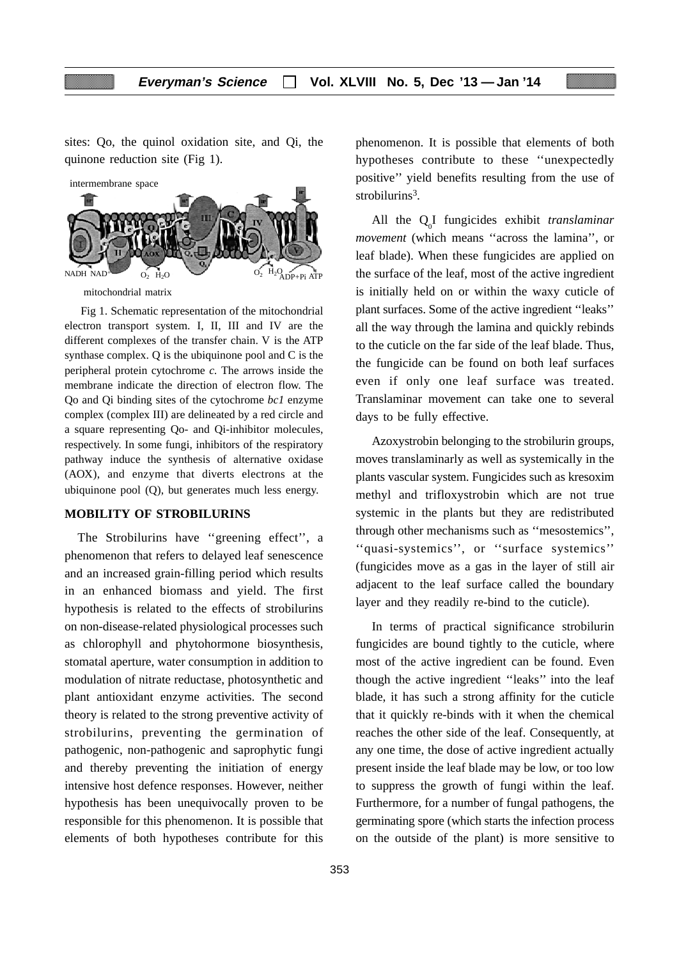sites: Qo, the quinol oxidation site, and Qi, the quinone reduction site (Fig 1).



Fig 1. Schematic representation of the mitochondrial electron transport system. I, II, III and IV are the different complexes of the transfer chain. V is the ATP synthase complex. Q is the ubiquinone pool and C is the peripheral protein cytochrome *c.* The arrows inside the membrane indicate the direction of electron flow. The Qo and Qi binding sites of the cytochrome *bc1* enzyme complex (complex III) are delineated by a red circle and a square representing Qo- and Qi-inhibitor molecules, respectively. In some fungi, inhibitors of the respiratory pathway induce the synthesis of alternative oxidase (AOX), and enzyme that diverts electrons at the ubiquinone pool (Q), but generates much less energy.

#### **MOBILITY OF STROBILURINS**

The Strobilurins have ''greening effect'', a phenomenon that refers to delayed leaf senescence and an increased grain-filling period which results in an enhanced biomass and yield. The first hypothesis is related to the effects of strobilurins on non-disease-related physiological processes such as chlorophyll and phytohormone biosynthesis, stomatal aperture, water consumption in addition to modulation of nitrate reductase, photosynthetic and plant antioxidant enzyme activities. The second theory is related to the strong preventive activity of strobilurins, preventing the germination of pathogenic, non-pathogenic and saprophytic fungi and thereby preventing the initiation of energy intensive host defence responses. However, neither hypothesis has been unequivocally proven to be responsible for this phenomenon. It is possible that elements of both hypotheses contribute for this

phenomenon. It is possible that elements of both hypotheses contribute to these ''unexpectedly positive'' yield benefits resulting from the use of strobilurins<sup>3</sup>.

All the Q0 I fungicides exhibit *translaminar movement* (which means "across the lamina", or leaf blade). When these fungicides are applied on the surface of the leaf, most of the active ingredient is initially held on or within the waxy cuticle of plant surfaces. Some of the active ingredient ''leaks'' all the way through the lamina and quickly rebinds to the cuticle on the far side of the leaf blade. Thus, the fungicide can be found on both leaf surfaces even if only one leaf surface was treated. Translaminar movement can take one to several days to be fully effective.

Azoxystrobin belonging to the strobilurin groups, moves translaminarly as well as systemically in the plants vascular system. Fungicides such as kresoxim methyl and trifloxystrobin which are not true systemic in the plants but they are redistributed through other mechanisms such as ''mesostemics'', ''quasi-systemics'', or ''surface systemics'' (fungicides move as a gas in the layer of still air adjacent to the leaf surface called the boundary layer and they readily re-bind to the cuticle).

In terms of practical significance strobilurin fungicides are bound tightly to the cuticle, where most of the active ingredient can be found. Even though the active ingredient ''leaks'' into the leaf blade, it has such a strong affinity for the cuticle that it quickly re-binds with it when the chemical reaches the other side of the leaf. Consequently, at any one time, the dose of active ingredient actually present inside the leaf blade may be low, or too low to suppress the growth of fungi within the leaf. Furthermore, for a number of fungal pathogens, the germinating spore (which starts the infection process on the outside of the plant) is more sensitive to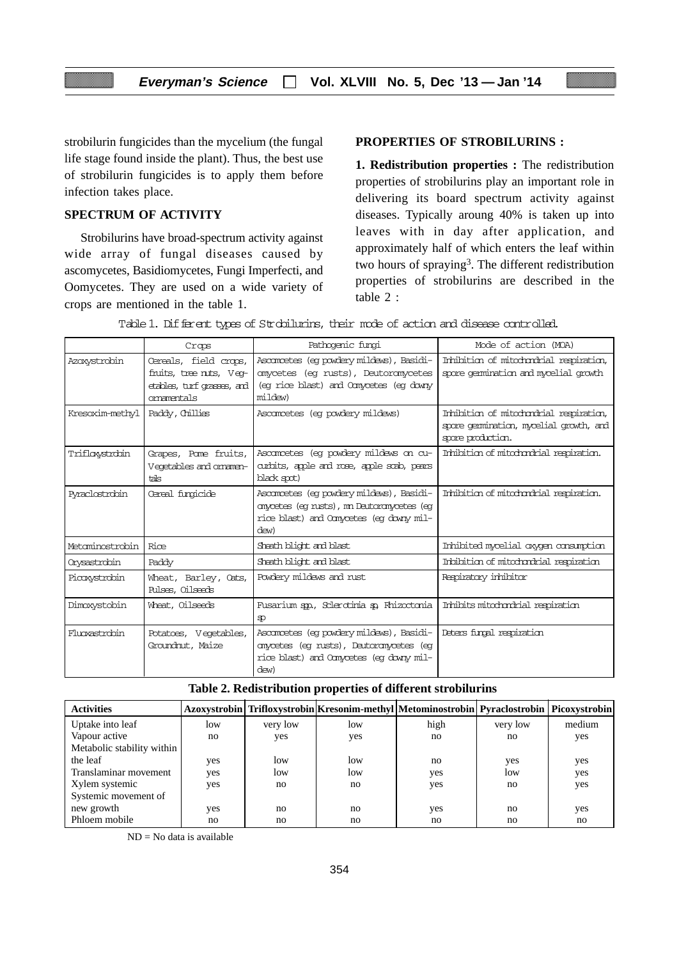strobilurin fungicides than the mycelium (the fungal life stage found inside the plant). Thus, the best use of strobilurin fungicides is to apply them before infection takes place.

# **SPECTRUM OF ACTIVITY**

Strobilurins have broad-spectrum activity against wide array of fungal diseases caused by ascomycetes, Basidiomycetes, Fungi Imperfecti, and Oomycetes. They are used on a wide variety of crops are mentioned in the table 1.

# **PROPERTIES OF STROBILURINS :**

**1. Redistribution properties :** The redistribution properties of strobilurins play an important role in delivering its board spectrum activity against diseases. Typically aroung 40% is taken up into leaves with in day after application, and approximately half of which enters the leaf within two hours of spraying<sup>3</sup>. The different redistribution properties of strobilurins are described in the table 2 :

|                 | Crops                                                                                        | Pathogenic fungi                                                                                                                          | Mode of action (MOA)                                                                                   |
|-----------------|----------------------------------------------------------------------------------------------|-------------------------------------------------------------------------------------------------------------------------------------------|--------------------------------------------------------------------------------------------------------|
| Azoxystrobin    | Cereals, field crops,<br>fruits, tree ruts, Veo-<br>etables, turf grasses, and<br>omamentals | Ascompetes (eq powdery mildews), Basidi-<br>anycetes (eq rusts), Deutoranycetes<br>(eq rice blast) and Comycetes (eq downy<br>mildew)     | Inhibition of mitodondrial respiration,<br>spore gemination and mycelial growth                        |
| Kresoxim-methyl | Paddy, Chillies                                                                              | Ascancetes (eq powdery mildews)                                                                                                           | Inhibition of mitodondrial respiration,<br>spore gemination, mycelial growth, and<br>spore production. |
| Triflowstrobin  | Grapes, Pome fruits,<br>Vegetables and omamen-<br>tals                                       | Ascompetes (eq powdery mildews on cu-<br>curbits, apple and rose, apple scab, pears<br>black spot)                                        | Inhibition of mitochondrial respiration.                                                               |
| Pyraclostrobin  | Cereal functiole                                                                             | Asconncetes (eq powdery mildews), Basidi-<br>anyætes (eg rusts), mn Deutoranyætes (eg<br>rice blast) and Comycetes (eq downy mil-<br>dew) | Inhibition of mitodondrial respiration.                                                                |
| Metaminostrobin | Rice                                                                                         | Sheath blight and blast                                                                                                                   | Inhibited mycelial oxygen consumption                                                                  |
| Orysastrobin    | Paddy                                                                                        | Sheath blight and blast                                                                                                                   | Inbibition of mitodondrial respiration                                                                 |
| Picoxystrobin   | Wheat, Barley, Oats,<br>Pulses, Oilseeds                                                     | Powdery mildews and rust                                                                                                                  | Respiratory inhibitor                                                                                  |
| Dimoxystobin    | Wheat, Oilseeds                                                                              | Fusarium spo., Sclerodinia so Rhizoctonia<br>SD.                                                                                          | Inhibits mitodondrial respiration                                                                      |
| Fluoxast.robin  | Potatoes, Vegetables,<br>Groundnut, Maize                                                    | Ascompetes (eq powdery mildews), Basidi-<br>anycetes (eq rusts), Deutoranycetes (eq<br>rice blast) and Comycetes (eq downy mil-<br>dew)   | Deters funnal respiration                                                                              |

Table 1. Different types of Strobilurins, their mode of action and disease controlled.

| <b>Activities</b>          |     |          |     | Azoxystrobin   Trifloxystrobin   Kresonim-methyl   Metominostrobin   Pyraclostrobin   Picoxystrobin |          |        |
|----------------------------|-----|----------|-----|-----------------------------------------------------------------------------------------------------|----------|--------|
| Uptake into leaf           | low | very low | low | high                                                                                                | very low | medium |
| Vapour active              | no  | yes      | yes | no                                                                                                  | no       | yes    |
| Metabolic stability within |     |          |     |                                                                                                     |          |        |
| the leaf                   | yes | low      | low | no                                                                                                  | yes      | yes    |
| Translaminar movement      | yes | low      | low | yes                                                                                                 | low      | yes    |
| Xylem systemic             | yes | no       | no  | yes                                                                                                 | no       | yes    |
| Systemic movement of       |     |          |     |                                                                                                     |          |        |
| new growth                 | yes | no       | no  | yes                                                                                                 | no       | yes    |
| Phloem mobile              | no  | no       | no  | no                                                                                                  | no       | no     |

 $ND = No$  data is available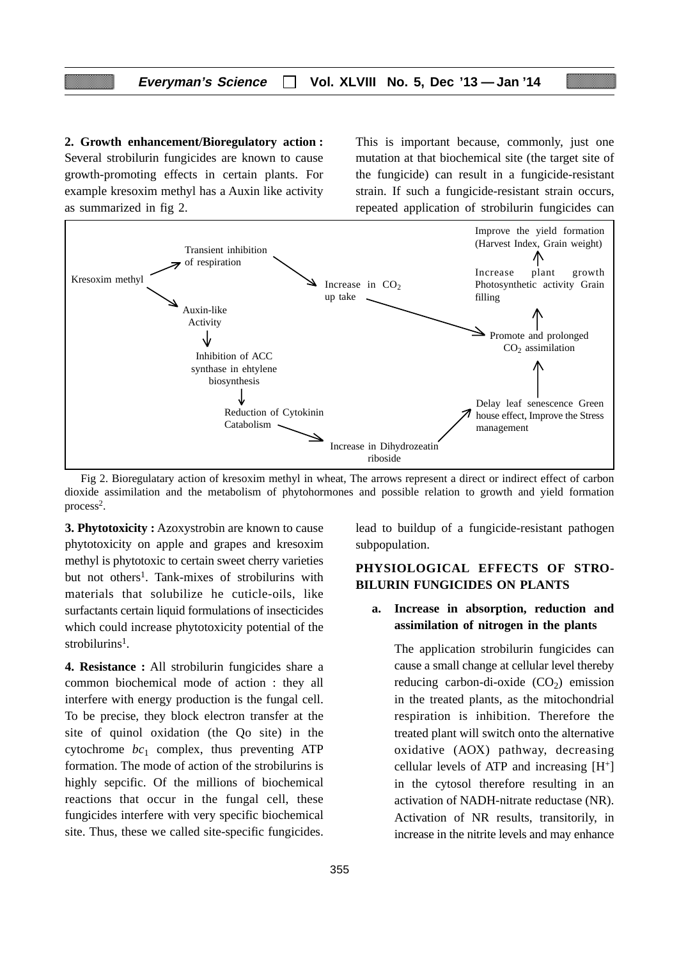# **Everyman's Science Vol. XLVIII No. 5, Dec '13 — Jan '14**

**2. Growth enhancement/Bioregulatory action :** Several strobilurin fungicides are known to cause growth-promoting effects in certain plants. For example kresoxim methyl has a Auxin like activity as summarized in fig 2.

This is important because, commonly, just one mutation at that biochemical site (the target site of the fungicide) can result in a fungicide-resistant strain. If such a fungicide-resistant strain occurs, repeated application of strobilurin fungicides can



Fig 2. Bioregulatary action of kresoxim methyl in wheat, The arrows represent a direct or indirect effect of carbon dioxide assimilation and the metabolism of phytohormones and possible relation to growth and yield formation process2.

**3. Phytotoxicity :** Azoxystrobin are known to cause phytotoxicity on apple and grapes and kresoxim methyl is phytotoxic to certain sweet cherry varieties but not others<sup>1</sup>. Tank-mixes of strobilurins with materials that solubilize he cuticle-oils, like surfactants certain liquid formulations of insecticides which could increase phytotoxicity potential of the strobilurins<sup>1</sup>.

**4. Resistance :** All strobilurin fungicides share a common biochemical mode of action : they all interfere with energy production is the fungal cell. To be precise, they block electron transfer at the site of quinol oxidation (the Qo site) in the cytochrome  $bc_1$  complex, thus preventing ATP formation. The mode of action of the strobilurins is highly sepcific. Of the millions of biochemical reactions that occur in the fungal cell, these fungicides interfere with very specific biochemical site. Thus, these we called site-specific fungicides. lead to buildup of a fungicide-resistant pathogen subpopulation.

# **PHYSIOLOGICAL EFFECTS OF STRO-BILURIN FUNGICIDES ON PLANTS**

# **a. Increase in absorption, reduction and assimilation of nitrogen in the plants**

The application strobilurin fungicides can cause a small change at cellular level thereby reducing carbon-di-oxide  $(CO<sub>2</sub>)$  emission in the treated plants, as the mitochondrial respiration is inhibition. Therefore the treated plant will switch onto the alternative oxidative (AOX) pathway, decreasing cellular levels of ATP and increasing  $[H^+]$ in the cytosol therefore resulting in an activation of NADH-nitrate reductase (NR). Activation of NR results, transitorily, in increase in the nitrite levels and may enhance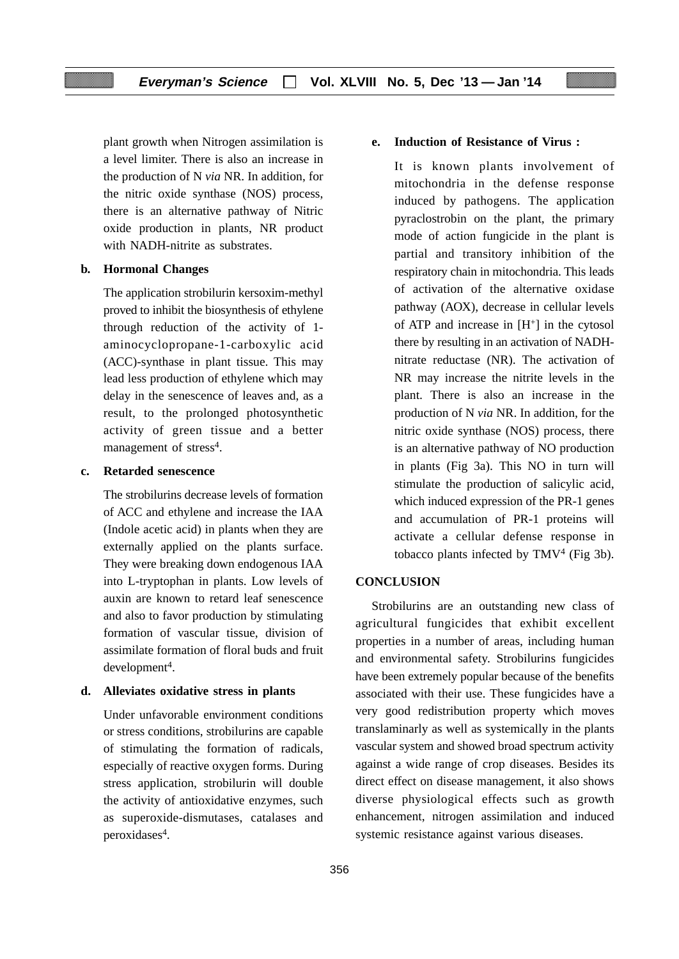plant growth when Nitrogen assimilation is a level limiter. There is also an increase in the production of N *via* NR. In addition, for the nitric oxide synthase (NOS) process, there is an alternative pathway of Nitric oxide production in plants, NR product with NADH-nitrite as substrates.

#### **b. Hormonal Changes**

The application strobilurin kersoxim-methyl proved to inhibit the biosynthesis of ethylene through reduction of the activity of 1 aminocyclopropane-1-carboxylic acid (ACC)-synthase in plant tissue. This may lead less production of ethylene which may delay in the senescence of leaves and, as a result, to the prolonged photosynthetic activity of green tissue and a better management of stress<sup>4</sup>.

#### **c. Retarded senescence**

The strobilurins decrease levels of formation of ACC and ethylene and increase the IAA (Indole acetic acid) in plants when they are externally applied on the plants surface. They were breaking down endogenous IAA into L-tryptophan in plants. Low levels of auxin are known to retard leaf senescence and also to favor production by stimulating formation of vascular tissue, division of assimilate formation of floral buds and fruit  $d$ evelopment<sup>4</sup>.

#### **d. Alleviates oxidative stress in plants**

Under unfavorable environment conditions or stress conditions, strobilurins are capable of stimulating the formation of radicals, especially of reactive oxygen forms. During stress application, strobilurin will double the activity of antioxidative enzymes, such as superoxide-dismutases, catalases and peroxidases<sup>4</sup>.

# **e. Induction of Resistance of Virus :**

It is known plants involvement of mitochondria in the defense response induced by pathogens. The application pyraclostrobin on the plant, the primary mode of action fungicide in the plant is partial and transitory inhibition of the respiratory chain in mitochondria. This leads of activation of the alternative oxidase pathway (AOX), decrease in cellular levels of ATP and increase in  $[H^+]$  in the cytosol there by resulting in an activation of NADHnitrate reductase (NR). The activation of NR may increase the nitrite levels in the plant. There is also an increase in the production of N *via* NR. In addition, for the nitric oxide synthase (NOS) process, there is an alternative pathway of NO production in plants (Fig 3a). This NO in turn will stimulate the production of salicylic acid, which induced expression of the PR-1 genes and accumulation of PR-1 proteins will activate a cellular defense response in tobacco plants infected by TMV4 (Fig 3b).

#### **CONCLUSION**

Strobilurins are an outstanding new class of agricultural fungicides that exhibit excellent properties in a number of areas, including human and environmental safety. Strobilurins fungicides have been extremely popular because of the benefits associated with their use. These fungicides have a very good redistribution property which moves translaminarly as well as systemically in the plants vascular system and showed broad spectrum activity against a wide range of crop diseases. Besides its direct effect on disease management, it also shows diverse physiological effects such as growth enhancement, nitrogen assimilation and induced systemic resistance against various diseases.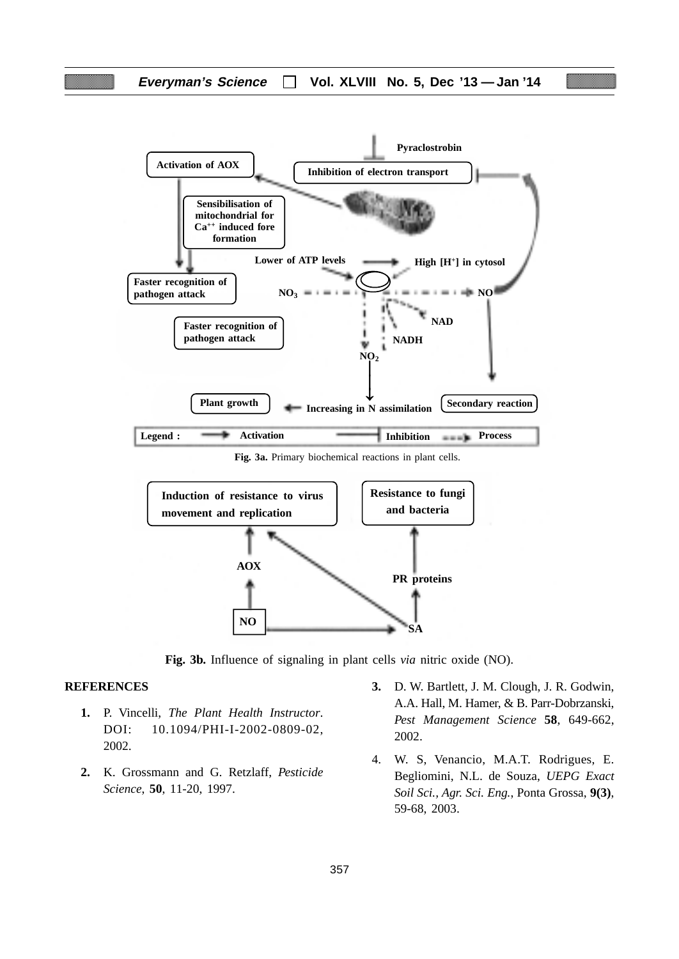

**Fig. 3b.** Influence of signaling in plant cells *via* nitric oxide (NO).

#### **REFERENCES**

- **1.** P. Vincelli, *The Plant Health Instructor*. DOI: 10.1094/PHI-I-2002-0809-02, 2002.
- **2.** K. Grossmann and G. Retzlaff, *Pesticide Science*, **50**, 11-20, 1997.
- **3.** D. W. Bartlett, J. M. Clough, J. R. Godwin, A.A. Hall, M. Hamer, & B. Parr-Dobrzanski, *Pest Management Science* **58**, 649-662, 2002.
- 4. W. S, Venancio, M.A.T. Rodrigues, E. Begliomini, N.L. de Souza, *UEPG Exact Soil Sci., Agr. Sci. Eng.*, Ponta Grossa, **9(3)**, 59-68, 2003.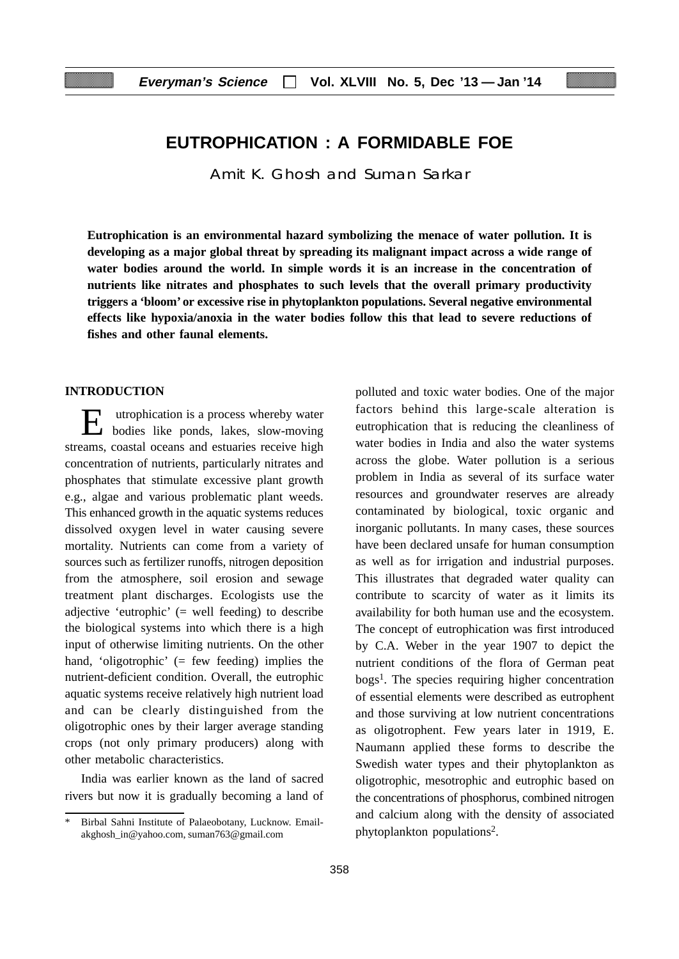# **EUTROPHICATION : A FORMIDABLE FOE**

Amit K. Ghosh and Suman Sarkar

**Eutrophication is an environmental hazard symbolizing the menace of water pollution. It is developing as a major global threat by spreading its malignant impact across a wide range of water bodies around the world. In simple words it is an increase in the concentration of nutrients like nitrates and phosphates to such levels that the overall primary productivity triggers a 'bloom' or excessive rise in phytoplankton populations. Several negative environmental effects like hypoxia/anoxia in the water bodies follow this that lead to severe reductions of fishes and other faunal elements.**

# **INTRODUCTION**

utrophication is a process whereby water bodies like ponds, lakes, slow-moving streams, coastal oceans and estuaries receive high concentration of nutrients, particularly nitrates and phosphates that stimulate excessive plant growth e.g., algae and various problematic plant weeds. This enhanced growth in the aquatic systems reduces dissolved oxygen level in water causing severe mortality. Nutrients can come from a variety of sources such as fertilizer runoffs, nitrogen deposition from the atmosphere, soil erosion and sewage treatment plant discharges. Ecologists use the adjective 'eutrophic' (= well feeding) to describe the biological systems into which there is a high input of otherwise limiting nutrients. On the other hand, 'oligotrophic' (= few feeding) implies the nutrient-deficient condition. Overall, the eutrophic aquatic systems receive relatively high nutrient load and can be clearly distinguished from the oligotrophic ones by their larger average standing crops (not only primary producers) along with other metabolic characteristics.

India was earlier known as the land of sacred rivers but now it is gradually becoming a land of polluted and toxic water bodies. One of the major factors behind this large-scale alteration is eutrophication that is reducing the cleanliness of water bodies in India and also the water systems across the globe. Water pollution is a serious problem in India as several of its surface water resources and groundwater reserves are already contaminated by biological, toxic organic and inorganic pollutants. In many cases, these sources have been declared unsafe for human consumption as well as for irrigation and industrial purposes. This illustrates that degraded water quality can contribute to scarcity of water as it limits its availability for both human use and the ecosystem. The concept of eutrophication was first introduced by C.A. Weber in the year 1907 to depict the nutrient conditions of the flora of German peat bogs1. The species requiring higher concentration of essential elements were described as eutrophent and those surviving at low nutrient concentrations as oligotrophent. Few years later in 1919, E. Naumann applied these forms to describe the Swedish water types and their phytoplankton as oligotrophic, mesotrophic and eutrophic based on the concentrations of phosphorus, combined nitrogen and calcium along with the density of associated phytoplankton populations2.

Birbal Sahni Institute of Palaeobotany, Lucknow. Emailakghosh\_in@yahoo.com, suman763@gmail.com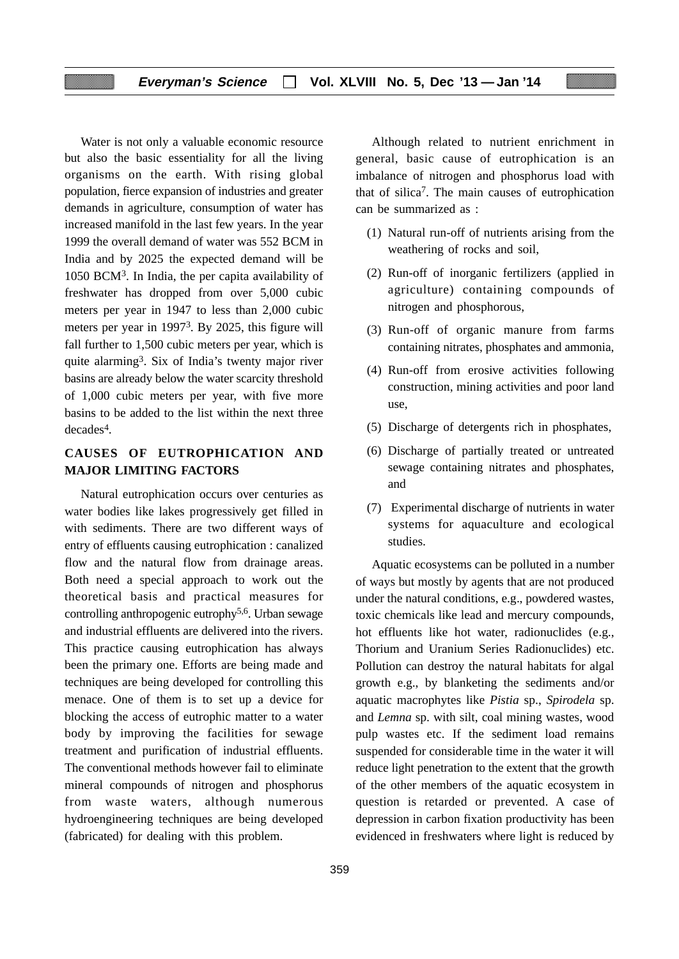# **Everyman's Science Vol. XLVIII No. 5, Dec '13 — Jan '14**

Water is not only a valuable economic resource but also the basic essentiality for all the living organisms on the earth. With rising global population, fierce expansion of industries and greater demands in agriculture, consumption of water has increased manifold in the last few years. In the year 1999 the overall demand of water was 552 BCM in India and by 2025 the expected demand will be 1050 BCM3. In India, the per capita availability of freshwater has dropped from over 5,000 cubic meters per year in 1947 to less than 2,000 cubic meters per year in 19973. By 2025, this figure will fall further to 1,500 cubic meters per year, which is quite alarming3. Six of India's twenty major river basins are already below the water scarcity threshold of 1,000 cubic meters per year, with five more basins to be added to the list within the next three decades<sup>4</sup>.

# **CAUSES OF EUTROPHICATION AND MAJOR LIMITING FACTORS**

Natural eutrophication occurs over centuries as water bodies like lakes progressively get filled in with sediments. There are two different ways of entry of effluents causing eutrophication : canalized flow and the natural flow from drainage areas. Both need a special approach to work out the theoretical basis and practical measures for controlling anthropogenic eutrophy5,6. Urban sewage and industrial effluents are delivered into the rivers. This practice causing eutrophication has always been the primary one. Efforts are being made and techniques are being developed for controlling this menace. One of them is to set up a device for blocking the access of eutrophic matter to a water body by improving the facilities for sewage treatment and purification of industrial effluents. The conventional methods however fail to eliminate mineral compounds of nitrogen and phosphorus from waste waters, although numerous hydroengineering techniques are being developed (fabricated) for dealing with this problem.

Although related to nutrient enrichment in general, basic cause of eutrophication is an imbalance of nitrogen and phosphorus load with that of silica7. The main causes of eutrophication can be summarized as :

- (1) Natural run-off of nutrients arising from the weathering of rocks and soil,
- (2) Run-off of inorganic fertilizers (applied in agriculture) containing compounds of nitrogen and phosphorous,
- (3) Run-off of organic manure from farms containing nitrates, phosphates and ammonia,
- (4) Run-off from erosive activities following construction, mining activities and poor land use,
- (5) Discharge of detergents rich in phosphates,
- (6) Discharge of partially treated or untreated sewage containing nitrates and phosphates, and
- (7) Experimental discharge of nutrients in water systems for aquaculture and ecological studies.

Aquatic ecosystems can be polluted in a number of ways but mostly by agents that are not produced under the natural conditions, e.g., powdered wastes, toxic chemicals like lead and mercury compounds, hot effluents like hot water, radionuclides (e.g., Thorium and Uranium Series Radionuclides) etc. Pollution can destroy the natural habitats for algal growth e.g., by blanketing the sediments and/or aquatic macrophytes like *Pistia* sp., *Spirodela* sp. and *Lemna* sp. with silt, coal mining wastes, wood pulp wastes etc. If the sediment load remains suspended for considerable time in the water it will reduce light penetration to the extent that the growth of the other members of the aquatic ecosystem in question is retarded or prevented. A case of depression in carbon fixation productivity has been evidenced in freshwaters where light is reduced by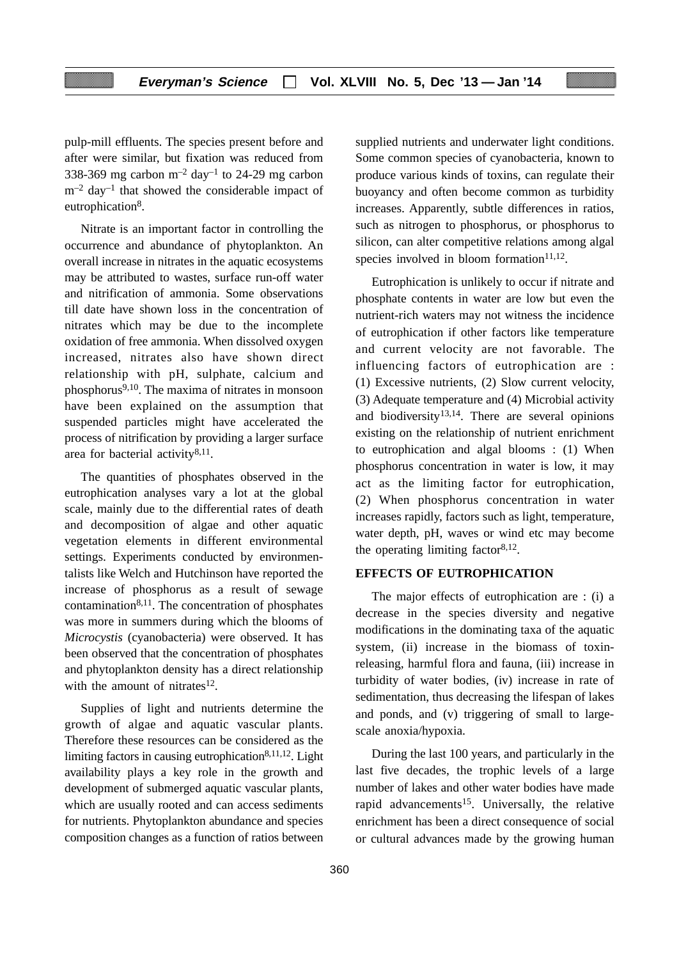pulp-mill effluents. The species present before and after were similar, but fixation was reduced from 338-369 mg carbon  $m^{-2}$  day<sup>-1</sup> to 24-29 mg carbon  $m<sup>-2</sup>$  day<sup>-1</sup> that showed the considerable impact of eutrophication<sup>8</sup>.

Nitrate is an important factor in controlling the occurrence and abundance of phytoplankton. An overall increase in nitrates in the aquatic ecosystems may be attributed to wastes, surface run-off water and nitrification of ammonia. Some observations till date have shown loss in the concentration of nitrates which may be due to the incomplete oxidation of free ammonia. When dissolved oxygen increased, nitrates also have shown direct relationship with pH, sulphate, calcium and phosphorus9,10. The maxima of nitrates in monsoon have been explained on the assumption that suspended particles might have accelerated the process of nitrification by providing a larger surface area for bacterial activity8,11.

The quantities of phosphates observed in the eutrophication analyses vary a lot at the global scale, mainly due to the differential rates of death and decomposition of algae and other aquatic vegetation elements in different environmental settings. Experiments conducted by environmentalists like Welch and Hutchinson have reported the increase of phosphorus as a result of sewage contamination $8,11$ . The concentration of phosphates was more in summers during which the blooms of *Microcystis* (cyanobacteria) were observed. It has been observed that the concentration of phosphates and phytoplankton density has a direct relationship with the amount of nitrates<sup>12</sup>.

Supplies of light and nutrients determine the growth of algae and aquatic vascular plants. Therefore these resources can be considered as the limiting factors in causing eutrophication<sup>8,11,12</sup>. Light availability plays a key role in the growth and development of submerged aquatic vascular plants, which are usually rooted and can access sediments for nutrients. Phytoplankton abundance and species composition changes as a function of ratios between supplied nutrients and underwater light conditions. Some common species of cyanobacteria, known to produce various kinds of toxins, can regulate their buoyancy and often become common as turbidity increases. Apparently, subtle differences in ratios, such as nitrogen to phosphorus, or phosphorus to silicon, can alter competitive relations among algal species involved in bloom formation $11,12$ .

Eutrophication is unlikely to occur if nitrate and phosphate contents in water are low but even the nutrient-rich waters may not witness the incidence of eutrophication if other factors like temperature and current velocity are not favorable. The influencing factors of eutrophication are : (1) Excessive nutrients, (2) Slow current velocity, (3) Adequate temperature and (4) Microbial activity and biodiversity $13,14$ . There are several opinions existing on the relationship of nutrient enrichment to eutrophication and algal blooms : (1) When phosphorus concentration in water is low, it may act as the limiting factor for eutrophication, (2) When phosphorus concentration in water increases rapidly, factors such as light, temperature, water depth, pH, waves or wind etc may become the operating limiting factor  $8,12$ .

# **EFFECTS OF EUTROPHICATION**

The major effects of eutrophication are : (i) a decrease in the species diversity and negative modifications in the dominating taxa of the aquatic system, (ii) increase in the biomass of toxinreleasing, harmful flora and fauna, (iii) increase in turbidity of water bodies, (iv) increase in rate of sedimentation, thus decreasing the lifespan of lakes and ponds, and (v) triggering of small to largescale anoxia/hypoxia.

During the last 100 years, and particularly in the last five decades, the trophic levels of a large number of lakes and other water bodies have made rapid advancements<sup>15</sup>. Universally, the relative enrichment has been a direct consequence of social or cultural advances made by the growing human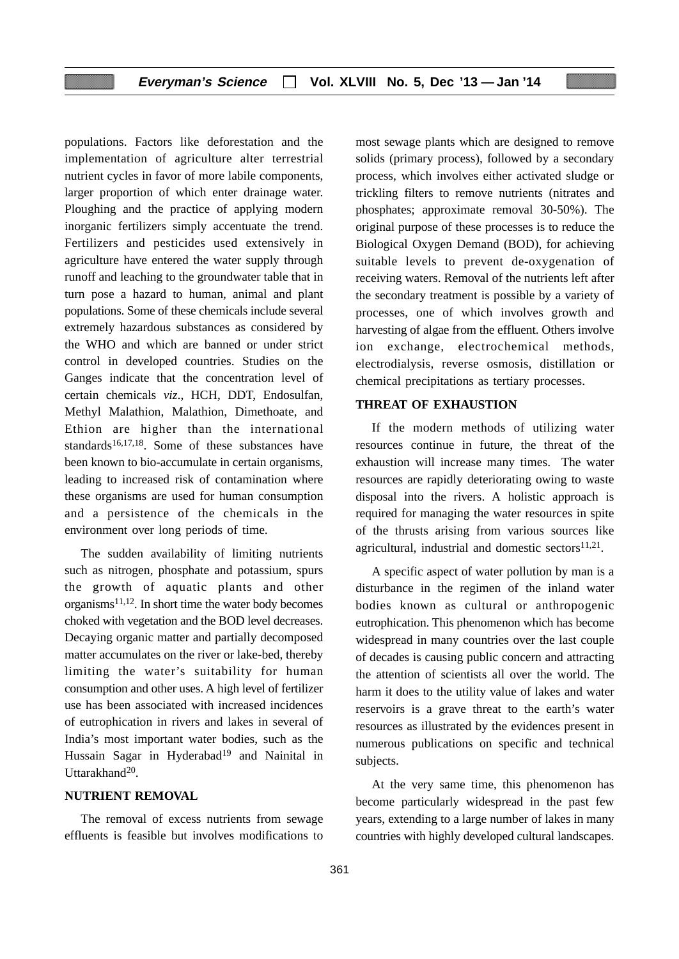# **Everyman's Science Vol. XLVIII No. 5, Dec '13 — Jan '14**

populations. Factors like deforestation and the implementation of agriculture alter terrestrial nutrient cycles in favor of more labile components, larger proportion of which enter drainage water. Ploughing and the practice of applying modern inorganic fertilizers simply accentuate the trend. Fertilizers and pesticides used extensively in agriculture have entered the water supply through runoff and leaching to the groundwater table that in turn pose a hazard to human, animal and plant populations. Some of these chemicals include several extremely hazardous substances as considered by the WHO and which are banned or under strict control in developed countries. Studies on the Ganges indicate that the concentration level of certain chemicals *viz*., HCH, DDT, Endosulfan, Methyl Malathion, Malathion, Dimethoate, and Ethion are higher than the international standards<sup>16,17,18</sup>. Some of these substances have been known to bio-accumulate in certain organisms, leading to increased risk of contamination where these organisms are used for human consumption and a persistence of the chemicals in the environment over long periods of time.

The sudden availability of limiting nutrients such as nitrogen, phosphate and potassium, spurs the growth of aquatic plants and other  $organisms<sup>11,12</sup>$ . In short time the water body becomes choked with vegetation and the BOD level decreases. Decaying organic matter and partially decomposed matter accumulates on the river or lake-bed, thereby limiting the water's suitability for human consumption and other uses. A high level of fertilizer use has been associated with increased incidences of eutrophication in rivers and lakes in several of India's most important water bodies, such as the Hussain Sagar in Hyderabad<sup>19</sup> and Nainital in Uttarakhand<sup>20</sup>.

# **NUTRIENT REMOVAL**

The removal of excess nutrients from sewage effluents is feasible but involves modifications to most sewage plants which are designed to remove solids (primary process), followed by a secondary process, which involves either activated sludge or trickling filters to remove nutrients (nitrates and phosphates; approximate removal 30-50%). The original purpose of these processes is to reduce the Biological Oxygen Demand (BOD), for achieving suitable levels to prevent de-oxygenation of receiving waters. Removal of the nutrients left after the secondary treatment is possible by a variety of processes, one of which involves growth and harvesting of algae from the effluent. Others involve ion exchange, electrochemical methods, electrodialysis, reverse osmosis, distillation or chemical precipitations as tertiary processes.

# **THREAT OF EXHAUSTION**

If the modern methods of utilizing water resources continue in future, the threat of the exhaustion will increase many times. The water resources are rapidly deteriorating owing to waste disposal into the rivers. A holistic approach is required for managing the water resources in spite of the thrusts arising from various sources like agricultural, industrial and domestic sectors $11,21$ .

A specific aspect of water pollution by man is a disturbance in the regimen of the inland water bodies known as cultural or anthropogenic eutrophication. This phenomenon which has become widespread in many countries over the last couple of decades is causing public concern and attracting the attention of scientists all over the world. The harm it does to the utility value of lakes and water reservoirs is a grave threat to the earth's water resources as illustrated by the evidences present in numerous publications on specific and technical subjects.

At the very same time, this phenomenon has become particularly widespread in the past few years, extending to a large number of lakes in many countries with highly developed cultural landscapes.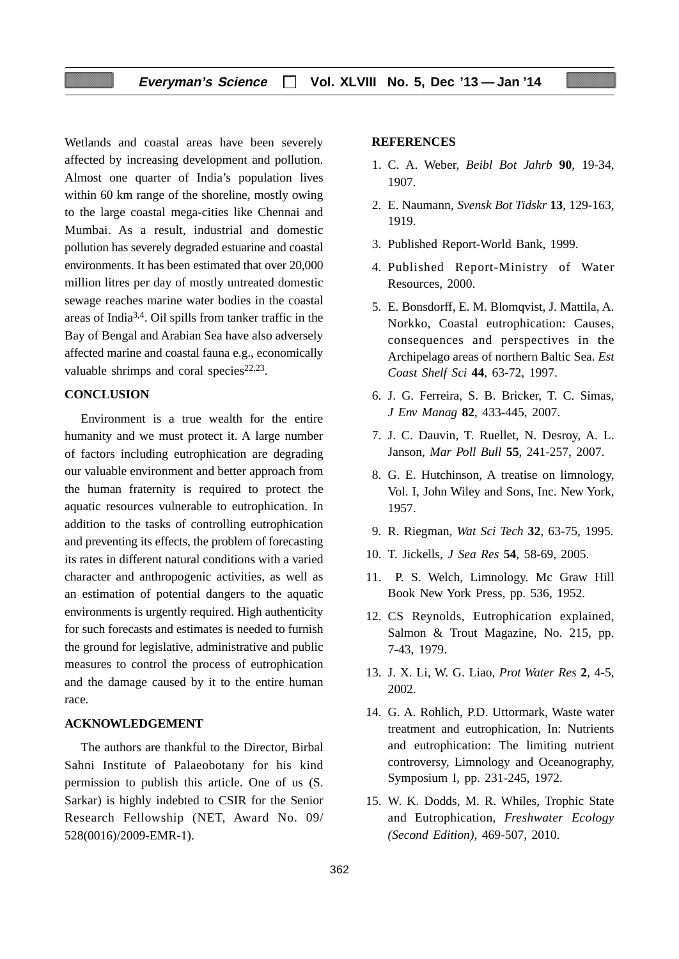# **Everyman's Science Vol. XLVIII No. 5, Dec '13 — Jan '14**

Wetlands and coastal areas have been severely affected by increasing development and pollution. Almost one quarter of India's population lives within 60 km range of the shoreline, mostly owing to the large coastal mega-cities like Chennai and Mumbai. As a result, industrial and domestic pollution has severely degraded estuarine and coastal environments. It has been estimated that over 20,000 million litres per day of mostly untreated domestic sewage reaches marine water bodies in the coastal areas of India3,4. Oil spills from tanker traffic in the Bay of Bengal and Arabian Sea have also adversely affected marine and coastal fauna e.g., economically valuable shrimps and coral species $22,23$ .

# **CONCLUSION**

Environment is a true wealth for the entire humanity and we must protect it. A large number of factors including eutrophication are degrading our valuable environment and better approach from the human fraternity is required to protect the aquatic resources vulnerable to eutrophication. In addition to the tasks of controlling eutrophication and preventing its effects, the problem of forecasting its rates in different natural conditions with a varied character and anthropogenic activities, as well as an estimation of potential dangers to the aquatic environments is urgently required. High authenticity for such forecasts and estimates is needed to furnish the ground for legislative, administrative and public measures to control the process of eutrophication and the damage caused by it to the entire human race.

# **ACKNOWLEDGEMENT**

The authors are thankful to the Director, Birbal Sahni Institute of Palaeobotany for his kind permission to publish this article. One of us (S. Sarkar) is highly indebted to CSIR for the Senior Research Fellowship (NET, Award No. 09/ 528(0016)/2009-EMR-1).

### **REFERENCES**

- 1. C. A. Weber, *Beibl Bot Jahrb* **90**, 19-34, 1907.
- 2. E. Naumann, *Svensk Bot Tidskr* **13**, 129-163, 1919.
- 3. Published Report-World Bank, 1999.
- 4. Published Report-Ministry of Water Resources, 2000.
- 5. E. Bonsdorff, E. M. Blomqvist, J. Mattila, A. Norkko, Coastal eutrophication: Causes, consequences and perspectives in the Archipelago areas of northern Baltic Sea. *Est Coast Shelf Sci* **44**, 63-72, 1997.
- 6. J. G. Ferreira, S. B. Bricker, T. C. Simas, *J Env Manag* **82**, 433-445, 2007.
- 7. J. C. Dauvin, T. Ruellet, N. Desroy, A. L. Janson, *Mar Poll Bull* **55**, 241-257, 2007.
- 8. G. E. Hutchinson, A treatise on limnology, Vol. I, John Wiley and Sons, Inc. New York, 1957.
- 9. R. Riegman, *Wat Sci Tech* **32**, 63-75, 1995.
- 10. T. Jickells, *J Sea Res* **54**, 58-69, 2005.
- 11. P. S. Welch, Limnology. Mc Graw Hill Book New York Press, pp. 536, 1952.
- 12. CS Reynolds, Eutrophication explained, Salmon & Trout Magazine, No. 215, pp. 7-43, 1979.
- 13. J. X. Li, W. G. Liao, *Prot Water Res* **2**, 4-5, 2002.
- 14. G. A. Rohlich, P.D. Uttormark, Waste water treatment and eutrophication, In: Nutrients and eutrophication: The limiting nutrient controversy, Limnology and Oceanography, Symposium I, pp. 231-245, 1972.
- 15. W. K. Dodds, M. R. Whiles, Trophic State and Eutrophication, *Freshwater Ecology (Second Edition)*, 469-507, 2010.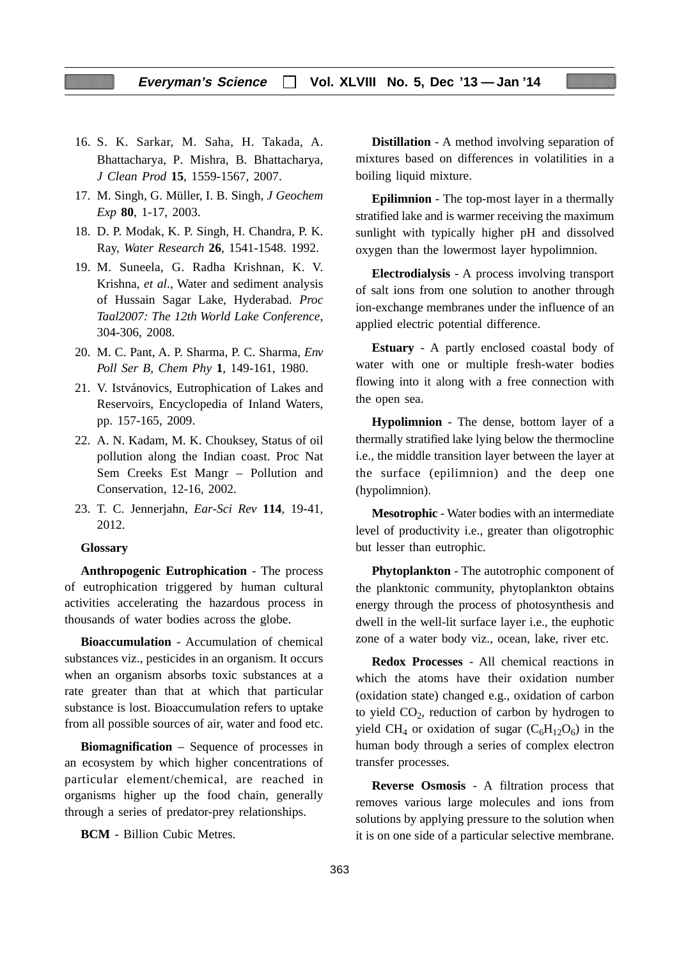- 16. S. K. Sarkar, M. Saha, H. Takada, A. Bhattacharya, P. Mishra, B. Bhattacharya, *J Clean Prod* **15**, 1559-1567, 2007.
- 17. M. Singh, G. Müller, I. B. Singh, *J Geochem Exp* **80**, 1-17, 2003.
- 18. D. P. Modak, K. P. Singh, H. Chandra, P. K. Ray, *Water Research* **26**, 1541-1548. 1992.
- 19. M. Suneela, G. Radha Krishnan, K. V. Krishna, *et al*., Water and sediment analysis of Hussain Sagar Lake, Hyderabad. *Proc Taal2007: The 12th World Lake Conference*, 304-306, 2008.
- 20. M. C. Pant, A. P. Sharma, P. C. Sharma, *Env Poll Ser B, Chem Phy* **1**, 149-161, 1980.
- 21. V. Istvánovics, Eutrophication of Lakes and Reservoirs, Encyclopedia of Inland Waters, pp. 157-165, 2009.
- 22. A. N. Kadam, M. K. Chouksey, Status of oil pollution along the Indian coast. Proc Nat Sem Creeks Est Mangr – Pollution and Conservation, 12-16, 2002.
- 23. T. C. Jennerjahn, *Ear-Sci Rev* **114**, 19-41, 2012.

#### **Glossary**

**Anthropogenic Eutrophication** - The process of eutrophication triggered by human cultural activities accelerating the hazardous process in thousands of water bodies across the globe.

**Bioaccumulation** - Accumulation of chemical substances viz., pesticides in an organism. It occurs when an organism absorbs toxic substances at a rate greater than that at which that particular substance is lost. Bioaccumulation refers to uptake from all possible sources of air, water and food etc.

**Biomagnification** – Sequence of processes in an ecosystem by which higher concentrations of particular element/chemical, are reached in organisms higher up the food chain, generally through a series of predator-prey relationships.

**BCM** - Billion Cubic Metres.

**Distillation** - A method involving separation of mixtures based on differences in volatilities in a boiling liquid mixture.

**Epilimnion** - The top-most layer in a thermally stratified lake and is warmer receiving the maximum sunlight with typically higher pH and dissolved oxygen than the lowermost layer hypolimnion.

**Electrodialysis** - A process involving transport of salt ions from one solution to another through ion-exchange membranes under the influence of an applied electric potential difference.

**Estuary** - A partly enclosed coastal body of water with one or multiple fresh-water bodies flowing into it along with a free connection with the open sea.

**Hypolimnion** - The dense, bottom layer of a thermally stratified lake lying below the thermocline i.e., the middle transition layer between the layer at the surface (epilimnion) and the deep one (hypolimnion).

**Mesotrophic** - Water bodies with an intermediate level of productivity i.e., greater than oligotrophic but lesser than eutrophic.

**Phytoplankton** - The autotrophic component of the planktonic community, phytoplankton obtains energy through the process of photosynthesis and dwell in the well-lit surface layer i.e., the euphotic zone of a water body viz., ocean, lake, river etc.

**Redox Processes** - All chemical reactions in which the atoms have their oxidation number (oxidation state) changed e.g., oxidation of carbon to yield  $CO<sub>2</sub>$ , reduction of carbon by hydrogen to yield CH<sub>4</sub> or oxidation of sugar  $(C_6H_{12}O_6)$  in the human body through a series of complex electron transfer processes.

**Reverse Osmosis** - A filtration process that removes various large molecules and ions from solutions by applying pressure to the solution when it is on one side of a particular selective membrane.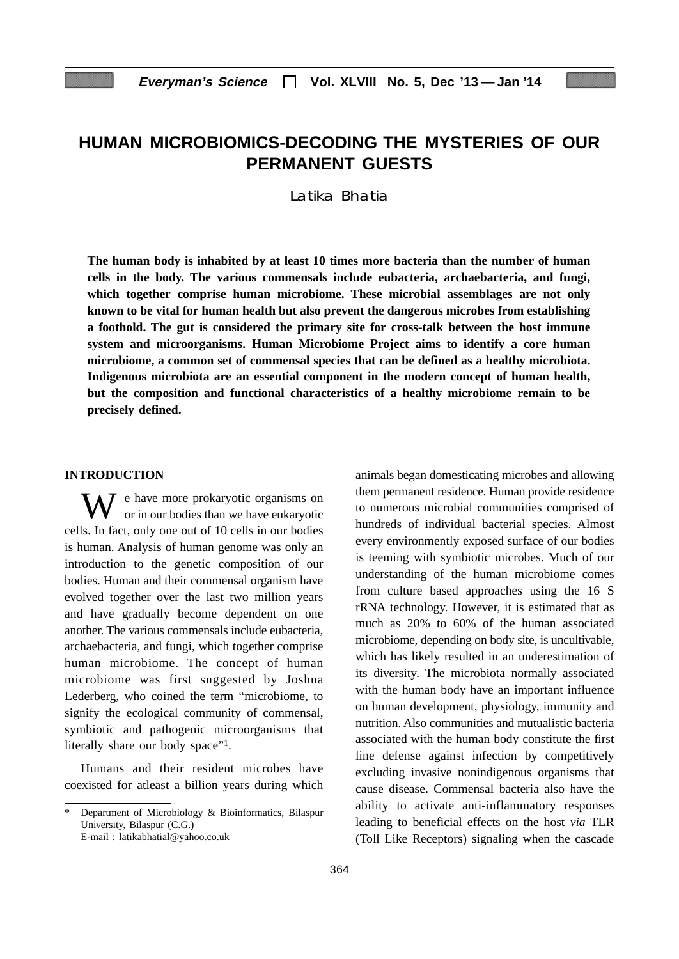# **HUMAN MICROBIOMICS-DECODING THE MYSTERIES OF OUR PERMANENT GUESTS**

Latika Bhatia

**The human body is inhabited by at least 10 times more bacteria than the number of human cells in the body. The various commensals include eubacteria, archaebacteria, and fungi, which together comprise human microbiome. These microbial assemblages are not only known to be vital for human health but also prevent the dangerous microbes from establishing a foothold. The gut is considered the primary site for cross-talk between the host immune system and microorganisms. Human Microbiome Project aims to identify a core human microbiome, a common set of commensal species that can be defined as a healthy microbiota. Indigenous microbiota are an essential component in the modern concept of human health, but the composition and functional characteristics of a healthy microbiome remain to be precisely defined.**

## **INTRODUCTION**

 $\bar{J}$  e have more prokaryotic organisms on or in our bodies than we have eukaryotic cells. In fact, only one out of 10 cells in our bodies is human. Analysis of human genome was only an introduction to the genetic composition of our bodies. Human and their commensal organism have evolved together over the last two million years and have gradually become dependent on one another. The various commensals include eubacteria, archaebacteria, and fungi, which together comprise human microbiome. The concept of human microbiome was first suggested by Joshua Lederberg, who coined the term "microbiome, to signify the ecological community of commensal, symbiotic and pathogenic microorganisms that literally share our body space"<sup>1</sup>.

Humans and their resident microbes have coexisted for atleast a billion years during which animals began domesticating microbes and allowing them permanent residence. Human provide residence to numerous microbial communities comprised of hundreds of individual bacterial species. Almost every environmently exposed surface of our bodies is teeming with symbiotic microbes. Much of our understanding of the human microbiome comes from culture based approaches using the 16 S rRNA technology. However, it is estimated that as much as 20% to 60% of the human associated microbiome, depending on body site, is uncultivable, which has likely resulted in an underestimation of its diversity. The microbiota normally associated with the human body have an important influence on human development, physiology, immunity and nutrition. Also communities and mutualistic bacteria associated with the human body constitute the first line defense against infection by competitively excluding invasive nonindigenous organisms that cause disease. Commensal bacteria also have the ability to activate anti-inflammatory responses leading to beneficial effects on the host *via* TLR (Toll Like Receptors) signaling when the cascade

Department of Microbiology & Bioinformatics, Bilaspur University, Bilaspur (C.G.) E-mail : latikabhatial@yahoo.co.uk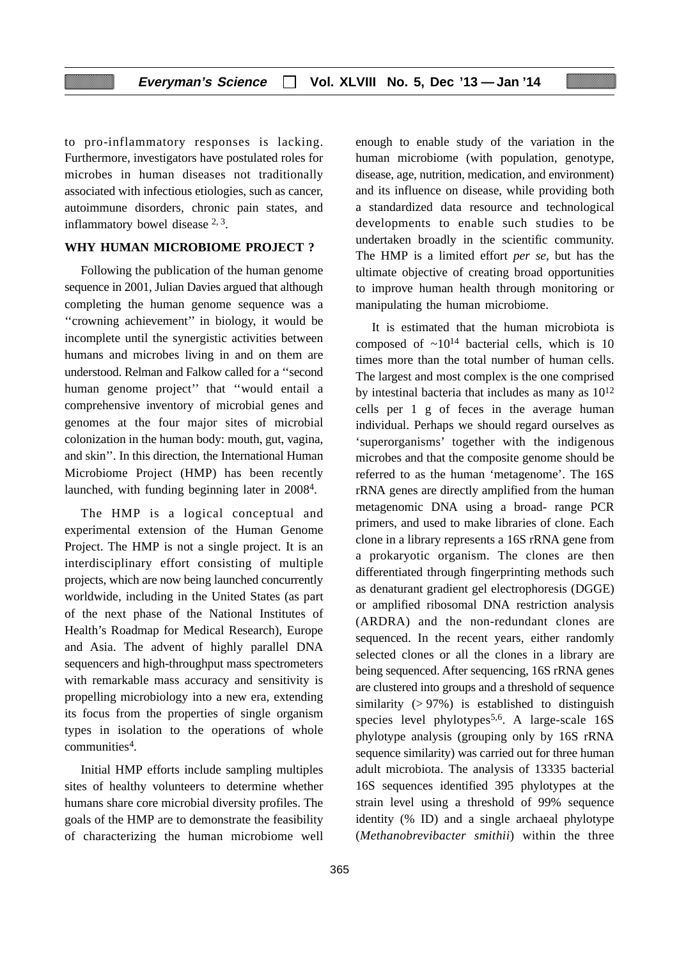to pro-inflammatory responses is lacking. Furthermore, investigators have postulated roles for microbes in human diseases not traditionally associated with infectious etiologies, such as cancer, autoimmune disorders, chronic pain states, and inflammatory bowel disease 2, 3.

# **WHY HUMAN MICROBIOME PROJECT ?**

Following the publication of the human genome sequence in 2001, Julian Davies argued that although completing the human genome sequence was a ''crowning achievement'' in biology, it would be incomplete until the synergistic activities between humans and microbes living in and on them are understood. Relman and Falkow called for a ''second human genome project'' that ''would entail a comprehensive inventory of microbial genes and genomes at the four major sites of microbial colonization in the human body: mouth, gut, vagina, and skin''. In this direction, the International Human Microbiome Project (HMP) has been recently launched, with funding beginning later in 20084.

The HMP is a logical conceptual and experimental extension of the Human Genome Project. The HMP is not a single project. It is an interdisciplinary effort consisting of multiple projects, which are now being launched concurrently worldwide, including in the United States (as part of the next phase of the National Institutes of Health's Roadmap for Medical Research), Europe and Asia. The advent of highly parallel DNA sequencers and high-throughput mass spectrometers with remarkable mass accuracy and sensitivity is propelling microbiology into a new era, extending its focus from the properties of single organism types in isolation to the operations of whole communities4.

Initial HMP efforts include sampling multiples sites of healthy volunteers to determine whether humans share core microbial diversity profiles. The goals of the HMP are to demonstrate the feasibility of characterizing the human microbiome well enough to enable study of the variation in the human microbiome (with population, genotype, disease, age, nutrition, medication, and environment) and its influence on disease, while providing both a standardized data resource and technological developments to enable such studies to be undertaken broadly in the scientific community. The HMP is a limited effort *per se*, but has the ultimate objective of creating broad opportunities to improve human health through monitoring or manipulating the human microbiome.

It is estimated that the human microbiota is composed of  $\sim 10^{14}$  bacterial cells, which is 10 times more than the total number of human cells. The largest and most complex is the one comprised by intestinal bacteria that includes as many as 1012 cells per 1 g of feces in the average human individual. Perhaps we should regard ourselves as 'superorganisms' together with the indigenous microbes and that the composite genome should be referred to as the human 'metagenome'. The 16S rRNA genes are directly amplified from the human metagenomic DNA using a broad- range PCR primers, and used to make libraries of clone. Each clone in a library represents a 16S rRNA gene from a prokaryotic organism. The clones are then differentiated through fingerprinting methods such as denaturant gradient gel electrophoresis (DGGE) or amplified ribosomal DNA restriction analysis (ARDRA) and the non-redundant clones are sequenced. In the recent years, either randomly selected clones or all the clones in a library are being sequenced. After sequencing, 16S rRNA genes are clustered into groups and a threshold of sequence similarity  $(> 97\%)$  is established to distinguish species level phylotypes<sup>5,6</sup>. A large-scale  $16S$ phylotype analysis (grouping only by 16S rRNA sequence similarity) was carried out for three human adult microbiota. The analysis of 13335 bacterial 16S sequences identified 395 phylotypes at the strain level using a threshold of 99% sequence identity (% ID) and a single archaeal phylotype (*Methanobrevibacter smithii*) within the three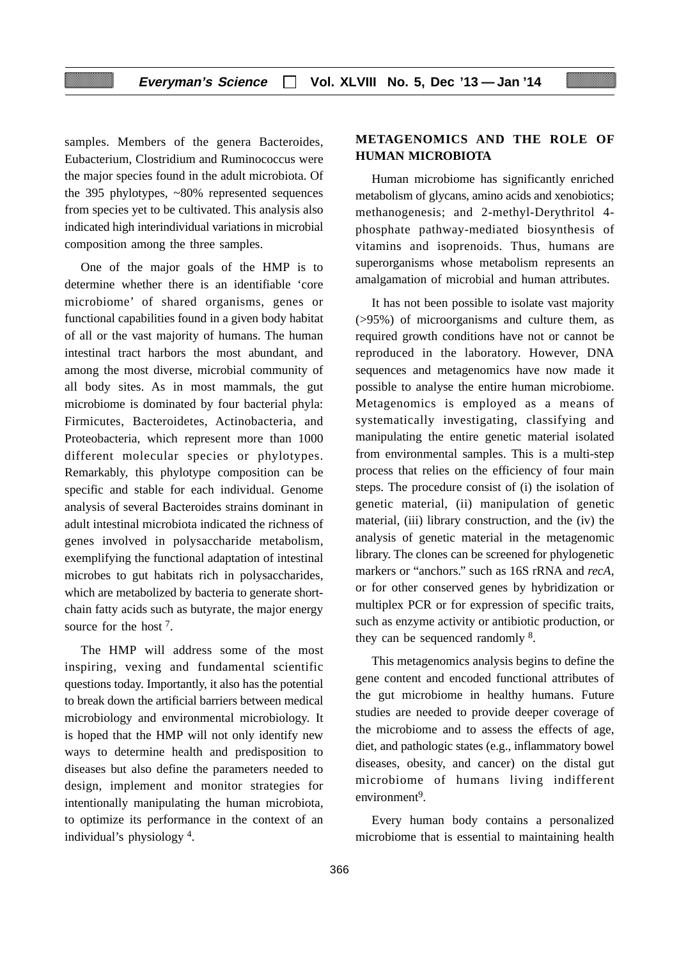samples. Members of the genera Bacteroides, Eubacterium, Clostridium and Ruminococcus were the major species found in the adult microbiota. Of the 395 phylotypes, ~80% represented sequences from species yet to be cultivated. This analysis also indicated high interindividual variations in microbial composition among the three samples.

One of the major goals of the HMP is to determine whether there is an identifiable 'core microbiome' of shared organisms, genes or functional capabilities found in a given body habitat of all or the vast majority of humans. The human intestinal tract harbors the most abundant, and among the most diverse, microbial community of all body sites. As in most mammals, the gut microbiome is dominated by four bacterial phyla: Firmicutes, Bacteroidetes, Actinobacteria, and Proteobacteria, which represent more than 1000 different molecular species or phylotypes. Remarkably, this phylotype composition can be specific and stable for each individual. Genome analysis of several Bacteroides strains dominant in adult intestinal microbiota indicated the richness of genes involved in polysaccharide metabolism, exemplifying the functional adaptation of intestinal microbes to gut habitats rich in polysaccharides, which are metabolized by bacteria to generate shortchain fatty acids such as butyrate, the major energy source for the host 7.

The HMP will address some of the most inspiring, vexing and fundamental scientific questions today. Importantly, it also has the potential to break down the artificial barriers between medical microbiology and environmental microbiology. It is hoped that the HMP will not only identify new ways to determine health and predisposition to diseases but also define the parameters needed to design, implement and monitor strategies for intentionally manipulating the human microbiota, to optimize its performance in the context of an individual's physiology 4.

# **METAGENOMICS AND THE ROLE OF HUMAN MICROBIOTA**

Human microbiome has significantly enriched metabolism of glycans, amino acids and xenobiotics; methanogenesis; and 2-methyl-Derythritol 4 phosphate pathway-mediated biosynthesis of vitamins and isoprenoids. Thus, humans are superorganisms whose metabolism represents an amalgamation of microbial and human attributes.

It has not been possible to isolate vast majority (>95%) of microorganisms and culture them, as required growth conditions have not or cannot be reproduced in the laboratory. However, DNA sequences and metagenomics have now made it possible to analyse the entire human microbiome. Metagenomics is employed as a means of systematically investigating, classifying and manipulating the entire genetic material isolated from environmental samples. This is a multi-step process that relies on the efficiency of four main steps. The procedure consist of (i) the isolation of genetic material, (ii) manipulation of genetic material, (iii) library construction, and the (iv) the analysis of genetic material in the metagenomic library. The clones can be screened for phylogenetic markers or "anchors." such as 16S rRNA and *recA*, or for other conserved genes by hybridization or multiplex PCR or for expression of specific traits, such as enzyme activity or antibiotic production, or they can be sequenced randomly 8.

This metagenomics analysis begins to define the gene content and encoded functional attributes of the gut microbiome in healthy humans. Future studies are needed to provide deeper coverage of the microbiome and to assess the effects of age, diet, and pathologic states (e.g., inflammatory bowel diseases, obesity, and cancer) on the distal gut microbiome of humans living indifferent environment<sup>9</sup>

Every human body contains a personalized microbiome that is essential to maintaining health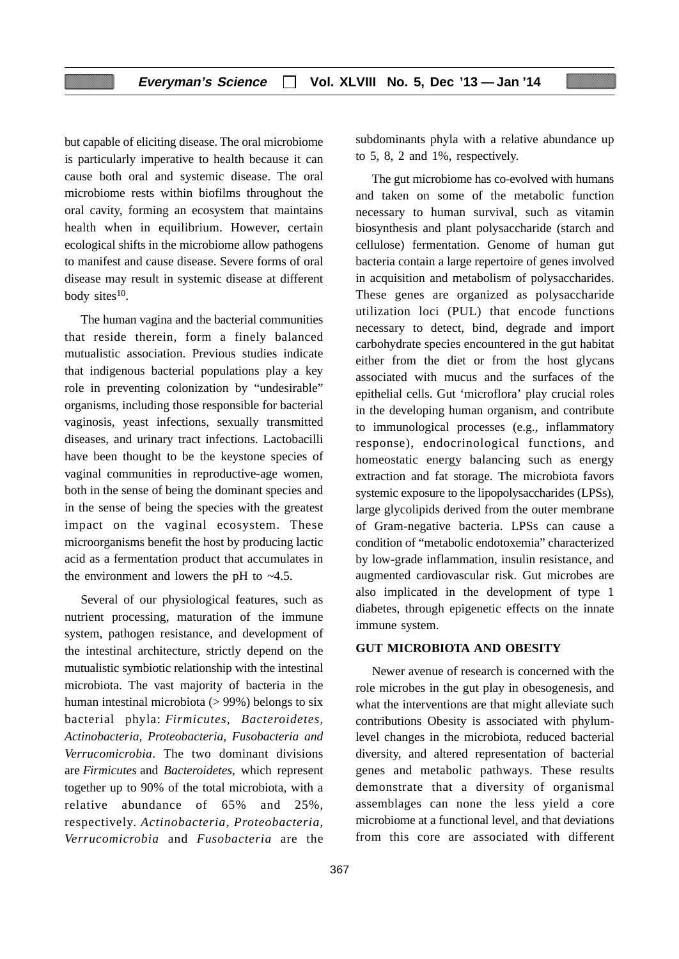but capable of eliciting disease. The oral microbiome is particularly imperative to health because it can cause both oral and systemic disease. The oral microbiome rests within biofilms throughout the oral cavity, forming an ecosystem that maintains health when in equilibrium. However, certain ecological shifts in the microbiome allow pathogens to manifest and cause disease. Severe forms of oral disease may result in systemic disease at different body sites $10$ .

The human vagina and the bacterial communities that reside therein, form a finely balanced mutualistic association. Previous studies indicate that indigenous bacterial populations play a key role in preventing colonization by "undesirable" organisms, including those responsible for bacterial vaginosis, yeast infections, sexually transmitted diseases, and urinary tract infections. Lactobacilli have been thought to be the keystone species of vaginal communities in reproductive-age women, both in the sense of being the dominant species and in the sense of being the species with the greatest impact on the vaginal ecosystem. These microorganisms benefit the host by producing lactic acid as a fermentation product that accumulates in the environment and lowers the pH to *~*4.5.

Several of our physiological features, such as nutrient processing, maturation of the immune system, pathogen resistance, and development of the intestinal architecture, strictly depend on the mutualistic symbiotic relationship with the intestinal microbiota. The vast majority of bacteria in the human intestinal microbiota  $(> 99\%)$  belongs to six bacterial phyla: *Firmicutes, Bacteroidetes, Actinobacteria, Proteobacteria, Fusobacteria and Verrucomicrobia*. The two dominant divisions are *Firmicutes* and *Bacteroidetes*, which represent together up to 90% of the total microbiota, with a relative abundance of 65% and 25%, respectively. *Actinobacteria*, *Proteobacteria, Verrucomicrobia* and *Fusobacteria* are the subdominants phyla with a relative abundance up to 5, 8, 2 and 1%, respectively.

The gut microbiome has co-evolved with humans and taken on some of the metabolic function necessary to human survival, such as vitamin biosynthesis and plant polysaccharide (starch and cellulose) fermentation. Genome of human gut bacteria contain a large repertoire of genes involved in acquisition and metabolism of polysaccharides. These genes are organized as polysaccharide utilization loci (PUL) that encode functions necessary to detect, bind, degrade and import carbohydrate species encountered in the gut habitat either from the diet or from the host glycans associated with mucus and the surfaces of the epithelial cells. Gut 'microflora' play crucial roles in the developing human organism, and contribute to immunological processes (e.g., inflammatory response), endocrinological functions, and homeostatic energy balancing such as energy extraction and fat storage. The microbiota favors systemic exposure to the lipopolysaccharides (LPSs), large glycolipids derived from the outer membrane of Gram-negative bacteria. LPSs can cause a condition of "metabolic endotoxemia" characterized by low-grade inflammation, insulin resistance, and augmented cardiovascular risk. Gut microbes are also implicated in the development of type 1 diabetes, through epigenetic effects on the innate immune system.

# **GUT MICROBIOTA AND OBESITY**

Newer avenue of research is concerned with the role microbes in the gut play in obesogenesis, and what the interventions are that might alleviate such contributions Obesity is associated with phylumlevel changes in the microbiota, reduced bacterial diversity, and altered representation of bacterial genes and metabolic pathways. These results demonstrate that a diversity of organismal assemblages can none the less yield a core microbiome at a functional level, and that deviations from this core are associated with different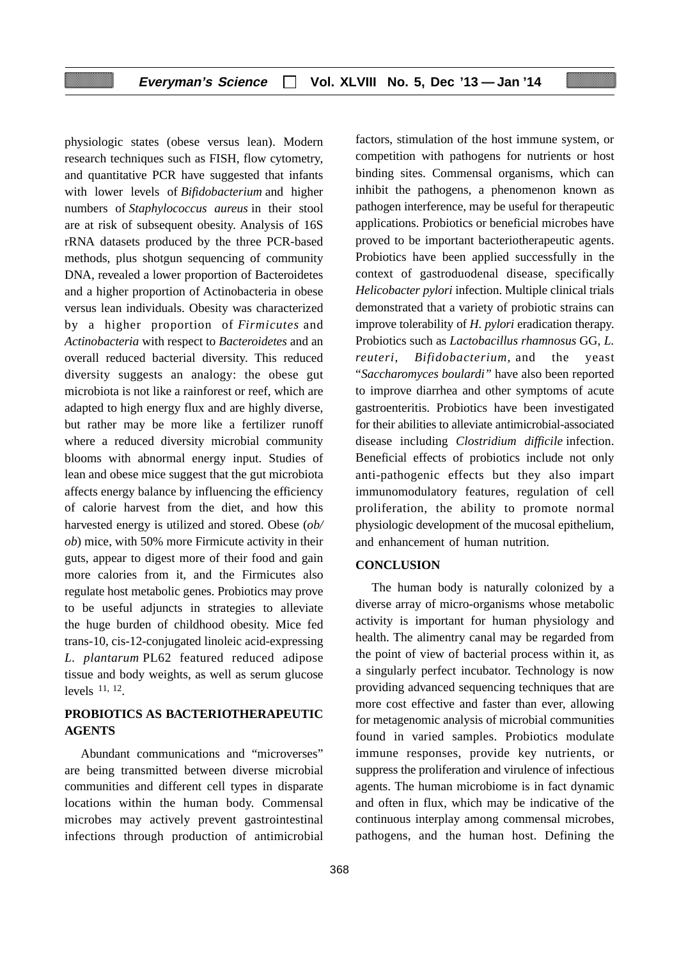# **Everyman's Science Vol. XLVIII No. 5, Dec '13 — Jan '14**

physiologic states (obese versus lean). Modern research techniques such as FISH, flow cytometry, and quantitative PCR have suggested that infants with lower levels of *Bifidobacterium* and higher numbers of *Staphylococcus aureus* in their stool are at risk of subsequent obesity. Analysis of 16S rRNA datasets produced by the three PCR-based methods, plus shotgun sequencing of community DNA, revealed a lower proportion of Bacteroidetes and a higher proportion of Actinobacteria in obese versus lean individuals. Obesity was characterized by a higher proportion of *Firmicutes* and *Actinobacteria* with respect to *Bacteroidetes* and an overall reduced bacterial diversity. This reduced diversity suggests an analogy: the obese gut microbiota is not like a rainforest or reef, which are adapted to high energy flux and are highly diverse, but rather may be more like a fertilizer runoff where a reduced diversity microbial community blooms with abnormal energy input. Studies of lean and obese mice suggest that the gut microbiota affects energy balance by influencing the efficiency of calorie harvest from the diet, and how this harvested energy is utilized and stored. Obese (*ob/ ob*) mice, with 50% more Firmicute activity in their guts, appear to digest more of their food and gain more calories from it, and the Firmicutes also regulate host metabolic genes. Probiotics may prove to be useful adjuncts in strategies to alleviate the huge burden of childhood obesity. Mice fed trans-10, cis-12-conjugated linoleic acid-expressing *L. plantarum* PL62 featured reduced adipose tissue and body weights, as well as serum glucose levels 11, 12.

# **PROBIOTICS AS BACTERIOTHERAPEUTIC AGENTS**

Abundant communications and "microverses" are being transmitted between diverse microbial communities and different cell types in disparate locations within the human body. Commensal microbes may actively prevent gastrointestinal infections through production of antimicrobial factors, stimulation of the host immune system, or competition with pathogens for nutrients or host binding sites. Commensal organisms, which can inhibit the pathogens, a phenomenon known as pathogen interference, may be useful for therapeutic applications. Probiotics or beneficial microbes have proved to be important bacteriotherapeutic agents. Probiotics have been applied successfully in the context of gastroduodenal disease, specifically *Helicobacter pylori* infection. Multiple clinical trials demonstrated that a variety of probiotic strains can improve tolerability of *H. pylori* eradication therapy. Probiotics such as *Lactobacillus rhamnosus* GG, *L. reuteri*, *Bifidobacterium,* and the yeast "*Saccharomyces boulardi"* have also been reported to improve diarrhea and other symptoms of acute gastroenteritis. Probiotics have been investigated for their abilities to alleviate antimicrobial-associated disease including *Clostridium difficile* infection. Beneficial effects of probiotics include not only anti-pathogenic effects but they also impart immunomodulatory features, regulation of cell proliferation, the ability to promote normal physiologic development of the mucosal epithelium, and enhancement of human nutrition.

# **CONCLUSION**

The human body is naturally colonized by a diverse array of micro-organisms whose metabolic activity is important for human physiology and health. The alimentry canal may be regarded from the point of view of bacterial process within it, as a singularly perfect incubator. Technology is now providing advanced sequencing techniques that are more cost effective and faster than ever, allowing for metagenomic analysis of microbial communities found in varied samples. Probiotics modulate immune responses, provide key nutrients, or suppress the proliferation and virulence of infectious agents. The human microbiome is in fact dynamic and often in flux, which may be indicative of the continuous interplay among commensal microbes, pathogens, and the human host. Defining the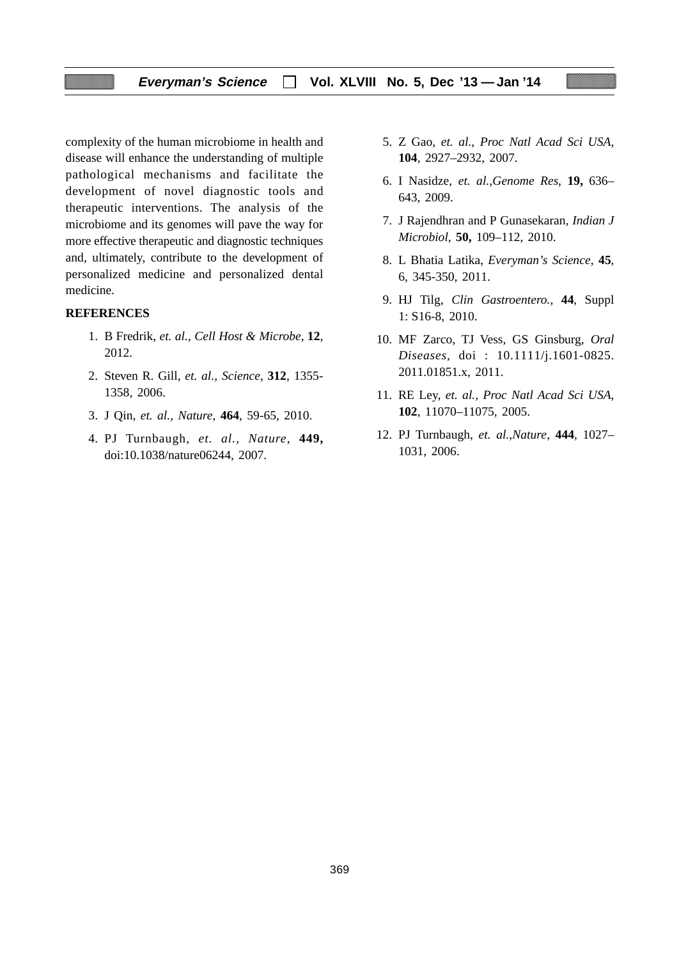# **Everyman's Science Vol. XLVIII No. 5, Dec '13 — Jan '14**

complexity of the human microbiome in health and disease will enhance the understanding of multiple pathological mechanisms and facilitate the development of novel diagnostic tools and therapeutic interventions. The analysis of the microbiome and its genomes will pave the way for more effective therapeutic and diagnostic techniques and, ultimately, contribute to the development of personalized medicine and personalized dental medicine.

#### **REFERENCES**

- 1. B Fredrik, *et. al., Cell Host & Microbe,* **12**, 2012.
- 2. Steven R. Gill, *et. al., Science*, **312**, 1355- 1358, 2006.
- 3. J Qin, *et. al., Nature*, **464**, 59-65, 2010.
- 4. PJ Turnbaugh, *et. al., Nature*, **449,** doi:10.1038/nature06244, 2007.
- 5. Z Gao, *et. al., Proc Natl Acad Sci USA,* **104**, 2927–2932, 2007.
- 6. I Nasidze, *et. al.,Genome Res*, **19,** 636– 643, 2009.
- 7. J Rajendhran and P Gunasekaran, *Indian J Microbiol,* **50,** 109–112, 2010.
- 8. L Bhatia Latika, *Everyman's Science*, **45**, 6, 345-350, 2011.
- 9. HJ Tilg, *Clin Gastroentero.,* **44**, Suppl 1: S16-8, 2010.
- 10. MF Zarco, TJ Vess, GS Ginsburg, *Oral Diseases*, doi : 10.1111/j.1601-0825. 2011.01851.x, 2011.
- 11. RE Ley, *et. al., Proc Natl Acad Sci USA*, **102**, 11070–11075, 2005.
- 12. PJ Turnbaugh, *et. al.,Nature*, **444**, 1027– 1031, 2006.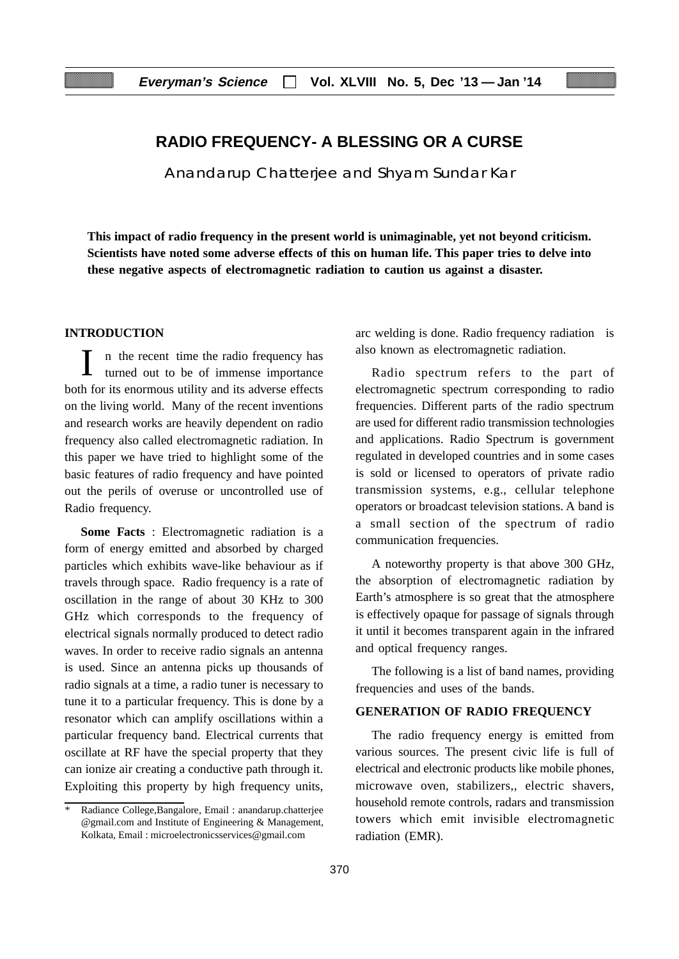# **RADIO FREQUENCY- A BLESSING OR A CURSE**

Anandarup Chatterjee and Shyam Sundar Kar

**This impact of radio frequency in the present world is unimaginable, yet not beyond criticism. Scientists have noted some adverse effects of this on human life. This paper tries to delve into these negative aspects of electromagnetic radiation to caution us against a disaster.**

# **INTRODUCTION**

In the recent time the radio frequency has turned out to be of immense importance both for its enormous utility and its adverse effects on the living world. Many of the recent inventions and research works are heavily dependent on radio frequency also called electromagnetic radiation. In this paper we have tried to highlight some of the basic features of radio frequency and have pointed out the perils of overuse or uncontrolled use of Radio frequency.

**Some Facts** : Electromagnetic radiation is a form of energy emitted and absorbed by charged particles which exhibits wave-like behaviour as if travels through space. Radio frequency is a rate of oscillation in the range of about 30 KHz to 300 GHz which corresponds to the frequency of electrical signals normally produced to detect radio waves. In order to receive radio signals an antenna is used. Since an antenna picks up thousands of radio signals at a time, a radio tuner is necessary to tune it to a particular frequency. This is done by a resonator which can amplify oscillations within a particular frequency band. Electrical currents that oscillate at RF have the special property that they can ionize air creating a conductive path through it. Exploiting this property by high frequency units,

arc welding is done. Radio frequency radiation is also known as electromagnetic radiation.

Radio spectrum refers to the part of electromagnetic spectrum corresponding to radio frequencies. Different parts of the radio spectrum are used for different radio transmission technologies and applications. Radio Spectrum is government regulated in developed countries and in some cases is sold or licensed to operators of private radio transmission systems, e.g., cellular telephone operators or broadcast television stations. A band is a small section of the spectrum of radio communication frequencies.

A noteworthy property is that above 300 GHz, the absorption of electromagnetic radiation by Earth's atmosphere is so great that the atmosphere is effectively opaque for passage of signals through it until it becomes transparent again in the infrared and optical frequency ranges.

The following is a list of band names, providing frequencies and uses of the bands.

# **GENERATION OF RADIO FREQUENCY**

The radio frequency energy is emitted from various sources. The present civic life is full of electrical and electronic products like mobile phones, microwave oven, stabilizers,, electric shavers, household remote controls, radars and transmission towers which emit invisible electromagnetic radiation (EMR).

<sup>\*</sup> Radiance College,Bangalore, Email : anandarup.chatterjee @gmail.com and Institute of Engineering & Management, Kolkata, Email : microelectronicsservices@gmail.com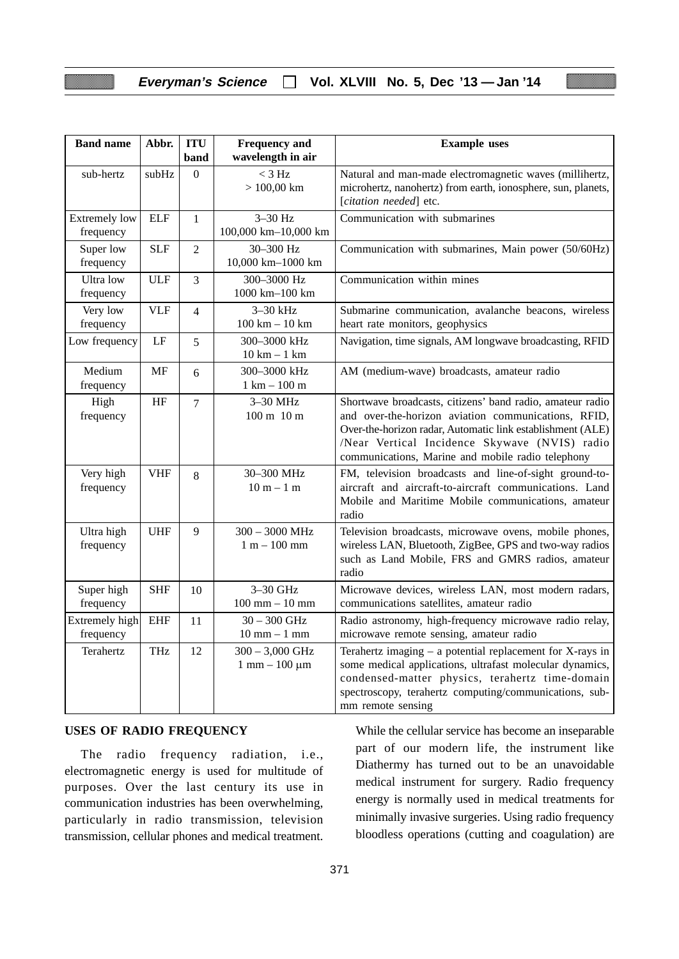# **Everyman's Science Vol. XLVIII No. 5, Dec '13 — Jan '14**

| <b>Band name</b>                  | Abbr.      | <b>ITU</b><br>band | <b>Frequency and</b><br>wavelength in air      | <b>Example</b> uses                                                                                                                                                                                                                                                                  |
|-----------------------------------|------------|--------------------|------------------------------------------------|--------------------------------------------------------------------------------------------------------------------------------------------------------------------------------------------------------------------------------------------------------------------------------------|
| sub-hertz                         | subHz      | $\Omega$           | $<$ 3 Hz<br>$> 100,00$ km                      | Natural and man-made electromagnetic waves (millihertz,<br>microhertz, nanohertz) from earth, ionosphere, sun, planets,<br>[citation needed] etc.                                                                                                                                    |
| <b>Extremely low</b><br>frequency | <b>ELF</b> | $\mathbf{1}$       | $3-30$ Hz<br>100,000 km-10,000 km              | Communication with submarines                                                                                                                                                                                                                                                        |
| Super low<br>frequency            | <b>SLF</b> | $\overline{2}$     | 30-300 Hz<br>10,000 km-1000 km                 | Communication with submarines, Main power (50/60Hz)                                                                                                                                                                                                                                  |
| Ultra low<br>frequency            | <b>ULF</b> | 3                  | 300-3000 Hz<br>1000 km-100 km                  | Communication within mines                                                                                                                                                                                                                                                           |
| Very low<br>frequency             | <b>VLF</b> | $\overline{4}$     | 3-30 kHz<br>$100 \text{ km} - 10 \text{ km}$   | Submarine communication, avalanche beacons, wireless<br>heart rate monitors, geophysics                                                                                                                                                                                              |
| Low frequency                     | LF         | 5                  | 300-3000 kHz<br>$10 km - 1 km$                 | Navigation, time signals, AM longwave broadcasting, RFID                                                                                                                                                                                                                             |
| Medium<br>frequency               | MF         | 6                  | 300-3000 kHz<br>$1 \text{ km} - 100 \text{ m}$ | AM (medium-wave) broadcasts, amateur radio                                                                                                                                                                                                                                           |
| High<br>frequency                 | HF         | $\overline{7}$     | 3-30 MHz<br>100 m 10 m                         | Shortwave broadcasts, citizens' band radio, amateur radio<br>and over-the-horizon aviation communications, RFID,<br>Over-the-horizon radar, Automatic link establishment (ALE)<br>/Near Vertical Incidence Skywave (NVIS) radio<br>communications, Marine and mobile radio telephony |
| Very high<br>frequency            | <b>VHF</b> | 8                  | 30-300 MHz<br>$10 m - 1 m$                     | FM, television broadcasts and line-of-sight ground-to-<br>aircraft and aircraft-to-aircraft communications. Land<br>Mobile and Maritime Mobile communications, amateur<br>radio                                                                                                      |
| Ultra high<br>frequency           | <b>UHF</b> | 9                  | $300 - 3000$ MHz<br>$1 m - 100 mm$             | Television broadcasts, microwave ovens, mobile phones,<br>wireless LAN, Bluetooth, ZigBee, GPS and two-way radios<br>such as Land Mobile, FRS and GMRS radios, amateur<br>radio                                                                                                      |
| Super high<br>frequency           | <b>SHF</b> | 10                 | $3-30$ GHz<br>$100$ mm $- 10$ mm               | Microwave devices, wireless LAN, most modern radars,<br>communications satellites, amateur radio                                                                                                                                                                                     |
| Extremely high<br>frequency       | <b>EHF</b> | 11                 | $30 - 300$ GHz<br>$10$ mm $-1$ mm              | Radio astronomy, high-frequency microwave radio relay,<br>microwave remote sensing, amateur radio                                                                                                                                                                                    |
| Terahertz                         | THz        | 12                 | $300 - 3,000$ GHz<br>$1$ mm $ 100 \mu m$       | Terahertz imaging $-$ a potential replacement for X-rays in<br>some medical applications, ultrafast molecular dynamics,<br>condensed-matter physics, terahertz time-domain<br>spectroscopy, terahertz computing/communications, sub-<br>mm remote sensing                            |

# **USES OF RADIO FREQUENCY**

The radio frequency radiation, i.e., electromagnetic energy is used for multitude of purposes. Over the last century its use in communication industries has been overwhelming, particularly in radio transmission, television transmission, cellular phones and medical treatment.

While the cellular service has become an inseparable part of our modern life, the instrument like Diathermy has turned out to be an unavoidable medical instrument for surgery. Radio frequency energy is normally used in medical treatments for minimally invasive surgeries. Using radio frequency bloodless operations (cutting and coagulation) are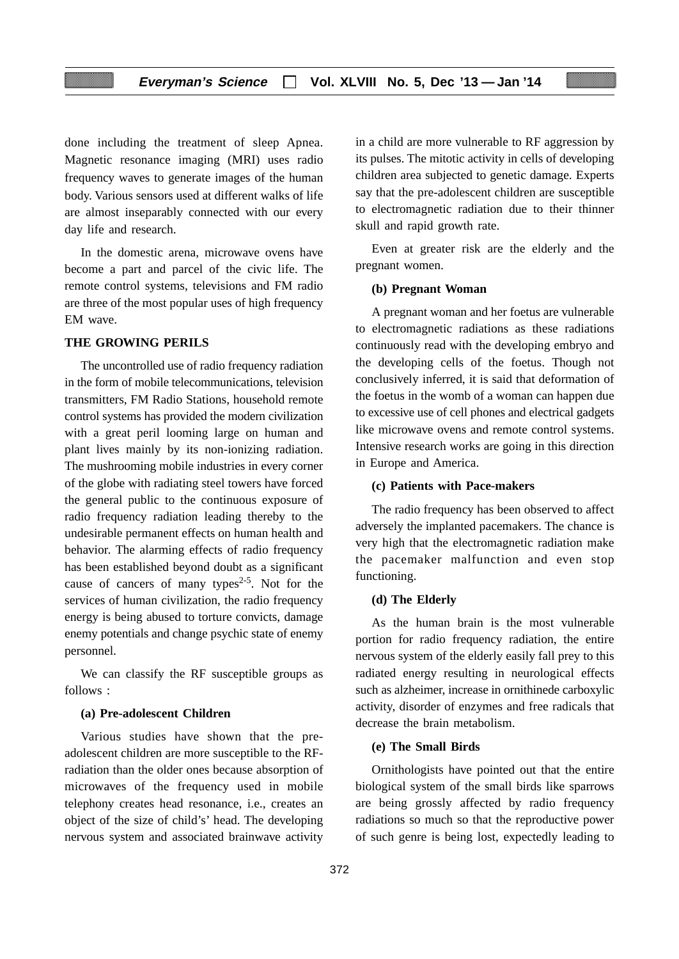done including the treatment of sleep Apnea. Magnetic resonance imaging (MRI) uses radio frequency waves to generate images of the human body. Various sensors used at different walks of life are almost inseparably connected with our every day life and research.

In the domestic arena, microwave ovens have become a part and parcel of the civic life. The remote control systems, televisions and FM radio are three of the most popular uses of high frequency EM wave.

# **THE GROWING PERILS**

The uncontrolled use of radio frequency radiation in the form of mobile telecommunications, television transmitters, FM Radio Stations, household remote control systems has provided the modern civilization with a great peril looming large on human and plant lives mainly by its non-ionizing radiation. The mushrooming mobile industries in every corner of the globe with radiating steel towers have forced the general public to the continuous exposure of radio frequency radiation leading thereby to the undesirable permanent effects on human health and behavior. The alarming effects of radio frequency has been established beyond doubt as a significant cause of cancers of many types<sup>2-5</sup>. Not for the services of human civilization, the radio frequency energy is being abused to torture convicts, damage enemy potentials and change psychic state of enemy personnel.

We can classify the RF susceptible groups as follows :

#### **(a) Pre-adolescent Children**

Various studies have shown that the preadolescent children are more susceptible to the RFradiation than the older ones because absorption of microwaves of the frequency used in mobile telephony creates head resonance, i.e., creates an object of the size of child's' head. The developing nervous system and associated brainwave activity

in a child are more vulnerable to RF aggression by its pulses. The mitotic activity in cells of developing children area subjected to genetic damage. Experts say that the pre-adolescent children are susceptible to electromagnetic radiation due to their thinner skull and rapid growth rate.

Even at greater risk are the elderly and the pregnant women.

### **(b) Pregnant Woman**

A pregnant woman and her foetus are vulnerable to electromagnetic radiations as these radiations continuously read with the developing embryo and the developing cells of the foetus. Though not conclusively inferred, it is said that deformation of the foetus in the womb of a woman can happen due to excessive use of cell phones and electrical gadgets like microwave ovens and remote control systems. Intensive research works are going in this direction in Europe and America.

# **(c) Patients with Pace-makers**

The radio frequency has been observed to affect adversely the implanted pacemakers. The chance is very high that the electromagnetic radiation make the pacemaker malfunction and even stop functioning.

# **(d) The Elderly**

As the human brain is the most vulnerable portion for radio frequency radiation, the entire nervous system of the elderly easily fall prey to this radiated energy resulting in neurological effects such as alzheimer, increase in ornithinede carboxylic activity, disorder of enzymes and free radicals that decrease the brain metabolism.

# **(e) The Small Birds**

Ornithologists have pointed out that the entire biological system of the small birds like sparrows are being grossly affected by radio frequency radiations so much so that the reproductive power of such genre is being lost, expectedly leading to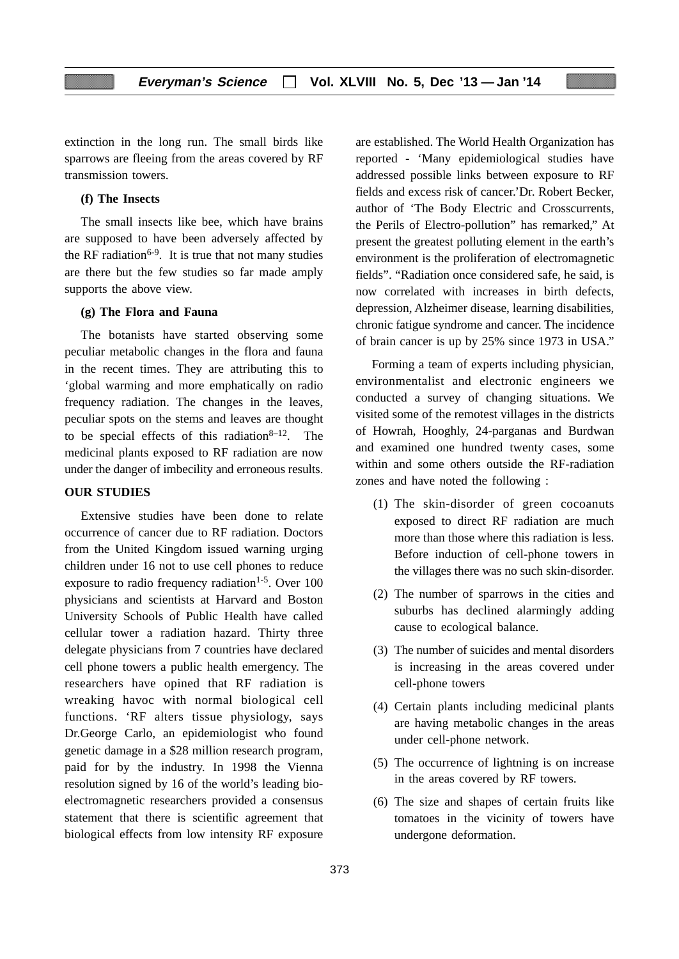extinction in the long run. The small birds like sparrows are fleeing from the areas covered by RF transmission towers.

# **(f) The Insects**

The small insects like bee, which have brains are supposed to have been adversely affected by the RF radiation<sup>6-9</sup>. It is true that not many studies are there but the few studies so far made amply supports the above view.

#### **(g) The Flora and Fauna**

The botanists have started observing some peculiar metabolic changes in the flora and fauna in the recent times. They are attributing this to 'global warming and more emphatically on radio frequency radiation. The changes in the leaves, peculiar spots on the stems and leaves are thought to be special effects of this radiation<sup>8–12</sup>. The medicinal plants exposed to RF radiation are now under the danger of imbecility and erroneous results.

### **OUR STUDIES**

Extensive studies have been done to relate occurrence of cancer due to RF radiation. Doctors from the United Kingdom issued warning urging children under 16 not to use cell phones to reduce exposure to radio frequency radiation<sup>1-5</sup>. Over 100 physicians and scientists at Harvard and Boston University Schools of Public Health have called cellular tower a radiation hazard. Thirty three delegate physicians from 7 countries have declared cell phone towers a public health emergency. The researchers have opined that RF radiation is wreaking havoc with normal biological cell functions. 'RF alters tissue physiology, says Dr.George Carlo, an epidemiologist who found genetic damage in a \$28 million research program, paid for by the industry. In 1998 the Vienna resolution signed by 16 of the world's leading bioelectromagnetic researchers provided a consensus statement that there is scientific agreement that biological effects from low intensity RF exposure

are established. The World Health Organization has reported - 'Many epidemiological studies have addressed possible links between exposure to RF fields and excess risk of cancer.'Dr. Robert Becker, author of 'The Body Electric and Crosscurrents, the Perils of Electro-pollution" has remarked," At present the greatest polluting element in the earth's environment is the proliferation of electromagnetic fields". "Radiation once considered safe, he said, is now correlated with increases in birth defects, depression, Alzheimer disease, learning disabilities, chronic fatigue syndrome and cancer. The incidence of brain cancer is up by 25% since 1973 in USA."

Forming a team of experts including physician, environmentalist and electronic engineers we conducted a survey of changing situations. We visited some of the remotest villages in the districts of Howrah, Hooghly, 24-parganas and Burdwan and examined one hundred twenty cases, some within and some others outside the RF-radiation zones and have noted the following :

- (1) The skin-disorder of green cocoanuts exposed to direct RF radiation are much more than those where this radiation is less. Before induction of cell-phone towers in the villages there was no such skin-disorder.
- (2) The number of sparrows in the cities and suburbs has declined alarmingly adding cause to ecological balance.
- (3) The number of suicides and mental disorders is increasing in the areas covered under cell-phone towers
- (4) Certain plants including medicinal plants are having metabolic changes in the areas under cell-phone network.
- (5) The occurrence of lightning is on increase in the areas covered by RF towers.
- (6) The size and shapes of certain fruits like tomatoes in the vicinity of towers have undergone deformation.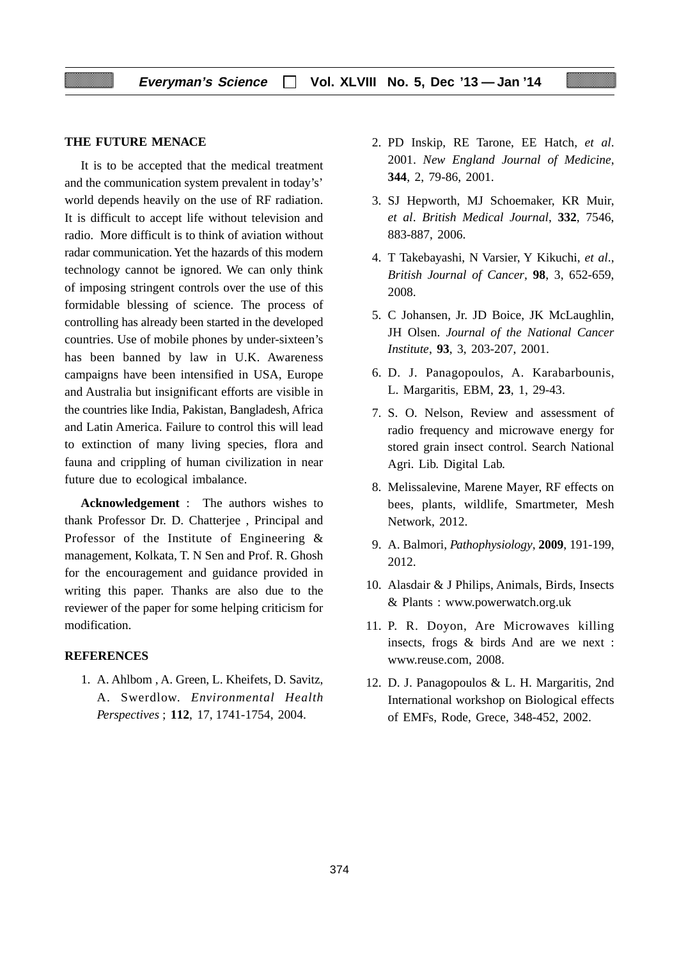#### **THE FUTURE MENACE**

It is to be accepted that the medical treatment and the communication system prevalent in today's' world depends heavily on the use of RF radiation. It is difficult to accept life without television and radio. More difficult is to think of aviation without radar communication. Yet the hazards of this modern technology cannot be ignored. We can only think of imposing stringent controls over the use of this formidable blessing of science. The process of controlling has already been started in the developed countries. Use of mobile phones by under-sixteen's has been banned by law in U.K. Awareness campaigns have been intensified in USA, Europe and Australia but insignificant efforts are visible in the countries like India, Pakistan, Bangladesh, Africa and Latin America. Failure to control this will lead to extinction of many living species, flora and fauna and crippling of human civilization in near future due to ecological imbalance.

**Acknowledgement** : The authors wishes to thank Professor Dr. D. Chatterjee , Principal and Professor of the Institute of Engineering & management, Kolkata, T. N Sen and Prof. R. Ghosh for the encouragement and guidance provided in writing this paper. Thanks are also due to the reviewer of the paper for some helping criticism for modification.

# **REFERENCES**

1. A. Ahlbom , A. Green, L. Kheifets, D. Savitz, A. Swerdlow. *Environmental Health Perspectives* ; **112**, 17, 1741-1754, 2004.

- 2. PD Inskip, RE Tarone, EE Hatch, *et al*. 2001. *New England Journal of Medicine*, **344**, 2, 79-86, 2001.
- 3. SJ Hepworth, MJ Schoemaker, KR Muir, *et al*. *British Medical Journal*, **332**, 7546, 883-887, 2006.
- 4. T Takebayashi, N Varsier, Y Kikuchi, *et al*., *British Journal of Cancer*, **98**, 3, 652-659, 2008.
- 5. C Johansen, Jr. JD Boice, JK McLaughlin, JH Olsen. *Journal of the National Cancer Institute*, **93**, 3, 203-207, 2001.
- 6. D. J. Panagopoulos, A. Karabarbounis, L. Margaritis, EBM, **23**, 1, 29-43.
- 7. S. O. Nelson, Review and assessment of radio frequency and microwave energy for stored grain insect control. Search National Agri. Lib. Digital Lab.
- 8. Melissalevine, Marene Mayer, RF effects on bees, plants, wildlife, Smartmeter, Mesh Network, 2012.
- 9. A. Balmori, *Pathophysiology*, **2009**, 191-199, 2012.
- 10. Alasdair & J Philips, Animals, Birds, Insects & Plants : www.powerwatch.org.uk
- 11. P. R. Doyon, Are Microwaves killing insects, frogs & birds And are we next : www.reuse.com, 2008.
- 12. D. J. Panagopoulos & L. H. Margaritis, 2nd International workshop on Biological effects of EMFs, Rode, Grece, 348-452, 2002.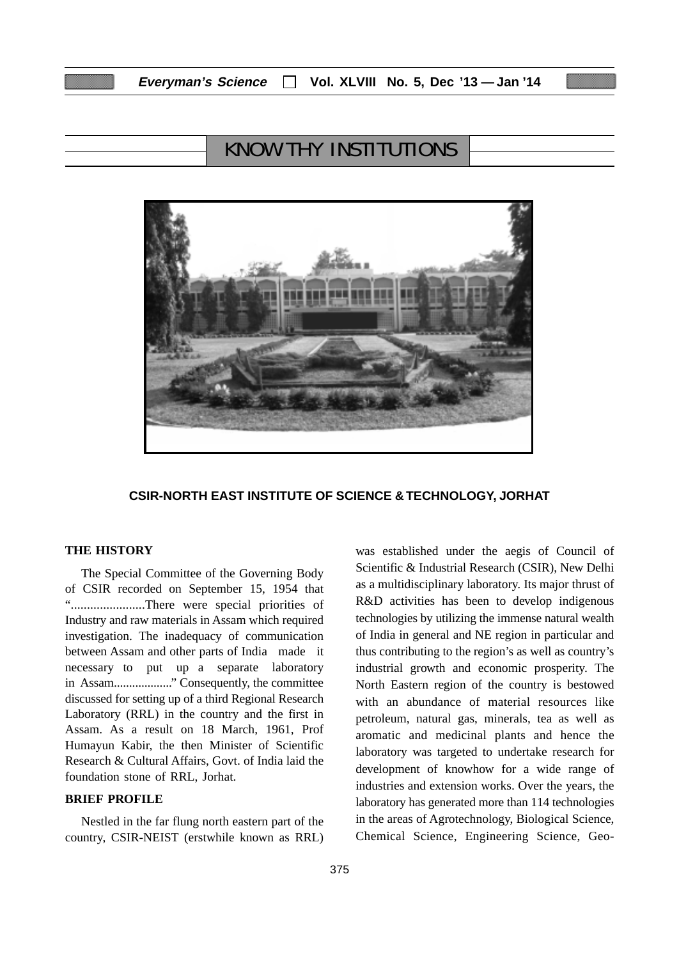# KNOW THY INSTITUTIONS



### **CSIR-NORTH EAST INSTITUTE OF SCIENCE & TECHNOLOGY, JORHAT**

### **THE HISTORY**

The Special Committee of the Governing Body of CSIR recorded on September 15, 1954 that ".......................There were special priorities of Industry and raw materials in Assam which required investigation. The inadequacy of communication between Assam and other parts of India made it necessary to put up a separate laboratory in Assam..................." Consequently, the committee discussed for setting up of a third Regional Research Laboratory (RRL) in the country and the first in Assam. As a result on 18 March, 1961, Prof Humayun Kabir, the then Minister of Scientific Research & Cultural Affairs, Govt. of India laid the foundation stone of RRL, Jorhat.

# **BRIEF PROFILE**

Nestled in the far flung north eastern part of the country, CSIR-NEIST (erstwhile known as RRL) was established under the aegis of Council of Scientific & Industrial Research (CSIR), New Delhi as a multidisciplinary laboratory. Its major thrust of R&D activities has been to develop indigenous technologies by utilizing the immense natural wealth of India in general and NE region in particular and thus contributing to the region's as well as country's industrial growth and economic prosperity. The North Eastern region of the country is bestowed with an abundance of material resources like petroleum, natural gas, minerals, tea as well as aromatic and medicinal plants and hence the laboratory was targeted to undertake research for development of knowhow for a wide range of industries and extension works. Over the years, the laboratory has generated more than 114 technologies in the areas of Agrotechnology, Biological Science, Chemical Science, Engineering Science, Geo-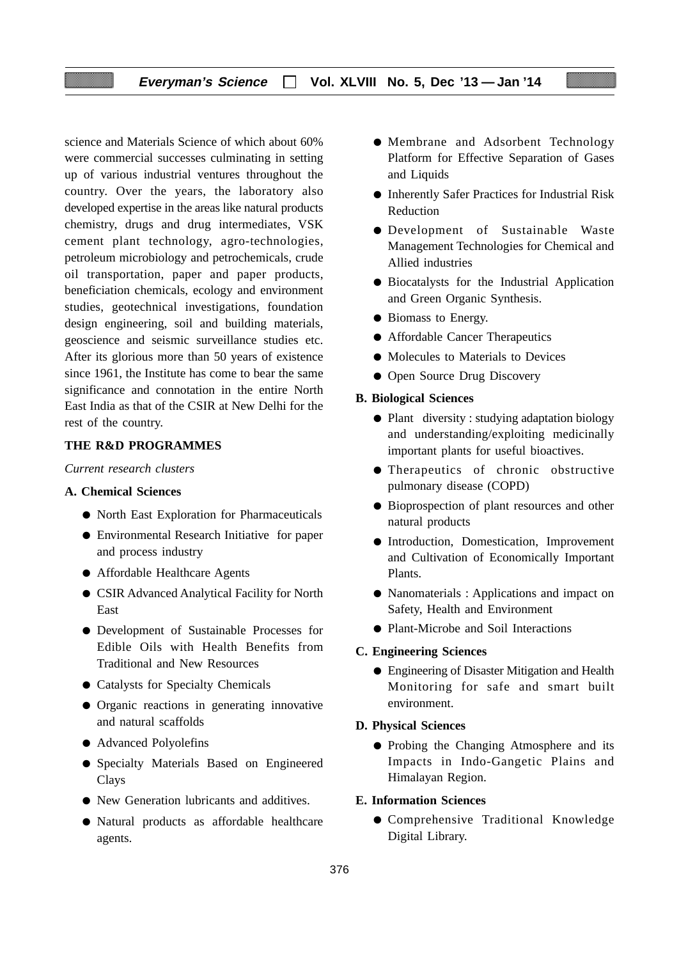# **Everyman's Science Vol. XLVIII No. 5, Dec '13 — Jan '14**

science and Materials Science of which about 60% were commercial successes culminating in setting up of various industrial ventures throughout the country. Over the years, the laboratory also developed expertise in the areas like natural products chemistry, drugs and drug intermediates, VSK cement plant technology, agro-technologies, petroleum microbiology and petrochemicals, crude oil transportation, paper and paper products, beneficiation chemicals, ecology and environment studies, geotechnical investigations, foundation design engineering, soil and building materials, geoscience and seismic surveillance studies etc. After its glorious more than 50 years of existence since 1961, the Institute has come to bear the same significance and connotation in the entire North East India as that of the CSIR at New Delhi for the rest of the country.

### **THE R&D PROGRAMMES**

*Current research clusters*

### **A. Chemical Sciences**

- North East Exploration for Pharmaceuticals
- Environmental Research Initiative for paper and process industry
- Affordable Healthcare Agents
- CSIR Advanced Analytical Facility for North East
- Development of Sustainable Processes for Edible Oils with Health Benefits from Traditional and New Resources
- Catalysts for Specialty Chemicals
- Organic reactions in generating innovative and natural scaffolds
- Advanced Polyolefins
- Specialty Materials Based on Engineered **Clays**
- New Generation lubricants and additives.
- Natural products as affordable healthcare agents.
- Membrane and Adsorbent Technology Platform for Effective Separation of Gases and Liquids
- Inherently Safer Practices for Industrial Risk Reduction
- Development of Sustainable Waste Management Technologies for Chemical and Allied industries
- Biocatalysts for the Industrial Application and Green Organic Synthesis.
- Biomass to Energy.
- Affordable Cancer Therapeutics
- Molecules to Materials to Devices
- Open Source Drug Discovery

#### **B. Biological Sciences**

- Plant diversity : studying adaptation biology and understanding/exploiting medicinally important plants for useful bioactives.
- Therapeutics of chronic obstructive pulmonary disease (COPD)
- Bioprospection of plant resources and other natural products
- Introduction, Domestication, Improvement and Cultivation of Economically Important Plants.
- Nanomaterials : Applications and impact on Safety, Health and Environment
- Plant-Microbe and Soil Interactions

#### **C. Engineering Sciences**

● Engineering of Disaster Mitigation and Health Monitoring for safe and smart built environment.

### **D. Physical Sciences**

● Probing the Changing Atmosphere and its Impacts in Indo-Gangetic Plains and Himalayan Region.

# **E. Information Sciences**

● Comprehensive Traditional Knowledge Digital Library.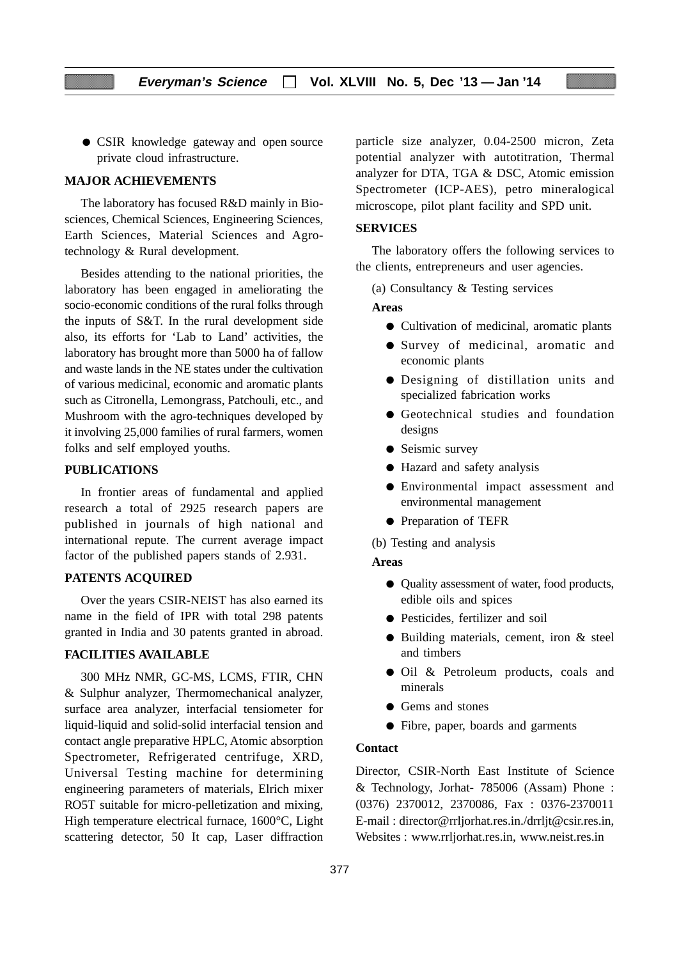● CSIR knowledge gateway and open source private cloud infrastructure.

### **MAJOR ACHIEVEMENTS**

The laboratory has focused R&D mainly in Biosciences, Chemical Sciences, Engineering Sciences, Earth Sciences, Material Sciences and Agrotechnology & Rural development.

Besides attending to the national priorities, the laboratory has been engaged in ameliorating the socio-economic conditions of the rural folks through the inputs of S&T. In the rural development side also, its efforts for 'Lab to Land' activities, the laboratory has brought more than 5000 ha of fallow and waste lands in the NE states under the cultivation of various medicinal, economic and aromatic plants such as Citronella, Lemongrass, Patchouli, etc., and Mushroom with the agro-techniques developed by it involving 25,000 families of rural farmers, women folks and self employed youths.

#### **PUBLICATIONS**

In frontier areas of fundamental and applied research a total of 2925 research papers are published in journals of high national and international repute. The current average impact factor of the published papers stands of 2.931.

#### **PATENTS ACQUIRED**

Over the years CSIR-NEIST has also earned its name in the field of IPR with total 298 patents granted in India and 30 patents granted in abroad.

#### **FACILITIES AVAILABLE**

300 MHz NMR, GC-MS, LCMS, FTIR, CHN & Sulphur analyzer, Thermomechanical analyzer, surface area analyzer, interfacial tensiometer for liquid-liquid and solid-solid interfacial tension and contact angle preparative HPLC, Atomic absorption Spectrometer, Refrigerated centrifuge, XRD, Universal Testing machine for determining engineering parameters of materials, Elrich mixer RO5T suitable for micro-pelletization and mixing, High temperature electrical furnace, 1600°C, Light scattering detector, 50 It cap, Laser diffraction

particle size analyzer, 0.04-2500 micron, Zeta potential analyzer with autotitration, Thermal analyzer for DTA, TGA & DSC, Atomic emission Spectrometer (ICP-AES), petro mineralogical microscope, pilot plant facility and SPD unit.

#### **SERVICES**

The laboratory offers the following services to the clients, entrepreneurs and user agencies.

(a) Consultancy & Testing services

#### **Areas**

- Cultivation of medicinal, aromatic plants
- Survey of medicinal, aromatic and economic plants
- Designing of distillation units and specialized fabrication works
- Geotechnical studies and foundation designs
- Seismic survey
- Hazard and safety analysis
- Environmental impact assessment and environmental management
- Preparation of TEFR

(b) Testing and analysis

#### **Areas**

- Quality assessment of water, food products, edible oils and spices
- Pesticides, fertilizer and soil
- Building materials, cement, iron & steel and timbers
- Oil & Petroleum products, coals and minerals
- Gems and stones
- Fibre, paper, boards and garments

# **Contact**

Director, CSIR-North East Institute of Science & Technology, Jorhat- 785006 (Assam) Phone : (0376) 2370012, 2370086, Fax : 0376-2370011 E-mail : director@rrljorhat.res.in./drrljt@csir.res.in, Websites : www.rrljorhat.res.in, www.neist.res.in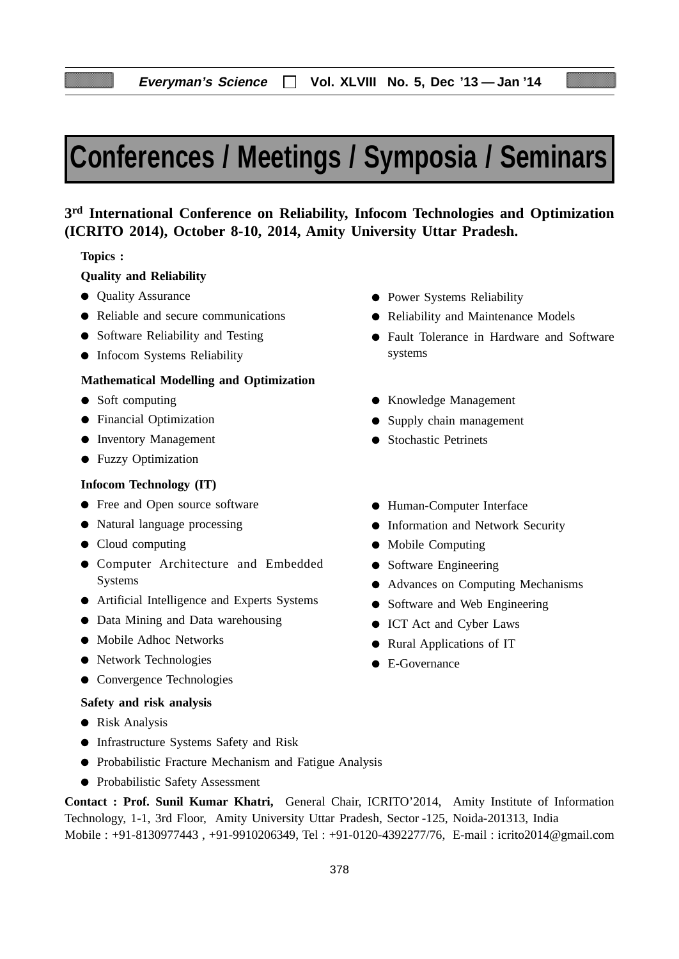# **Conferences / Meetings / Symposia / Seminars**

# **3rd International Conference on Reliability, Infocom Technologies and Optimization (ICRITO 2014), October 8-10, 2014, Amity University Uttar Pradesh.**

### **Topics :**

# **Quality and Reliability**

- Quality Assurance
- Reliable and secure communications
- Software Reliability and Testing
- Infocom Systems Reliability

# **Mathematical Modelling and Optimization**

- Soft computing
- Financial Optimization
- Inventory Management
- Fuzzy Optimization

#### **Infocom Technology (IT)**

- Free and Open source software
- Natural language processing
- Cloud computing
- Computer Architecture and Embedded Systems
- Artificial Intelligence and Experts Systems
- Data Mining and Data warehousing
- Mobile Adhoc Networks
- Network Technologies
- Convergence Technologies

#### **Safety and risk analysis**

- Risk Analysis
- Infrastructure Systems Safety and Risk
- Probabilistic Fracture Mechanism and Fatigue Analysis
- Probabilistic Safety Assessment

**Contact : Prof. Sunil Kumar Khatri,** General Chair, ICRITO'2014, Amity Institute of Information Technology, 1-1, 3rd Floor, Amity University Uttar Pradesh, Sector -125, Noida-201313, India Mobile : +91-8130977443 , +91-9910206349, Tel : +91-0120-4392277/76, E-mail : icrito2014@gmail.com

- Power Systems Reliability
- Reliability and Maintenance Models
- Fault Tolerance in Hardware and Software systems
- Knowledge Management
- Supply chain management
- Stochastic Petrinets
- Human-Computer Interface
- **•** Information and Network Security
- Mobile Computing
- Software Engineering
- Advances on Computing Mechanisms
- Software and Web Engineering
- ICT Act and Cyber Laws
- Rural Applications of IT
- E-Governance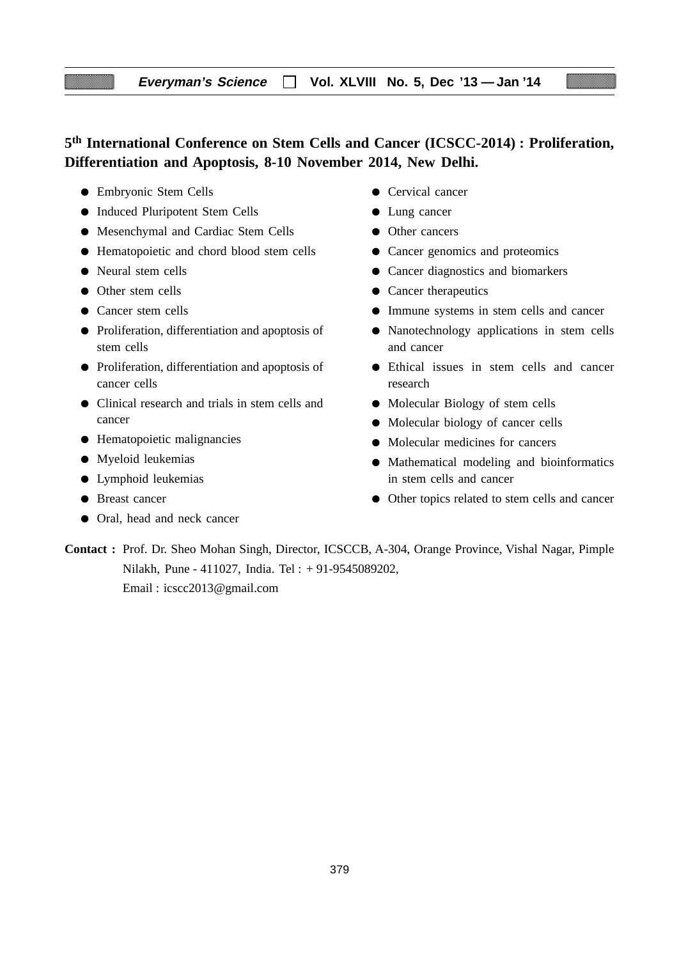# **5th International Conference on Stem Cells and Cancer (ICSCC-2014) : Proliferation, Differentiation and Apoptosis, 8-10 November 2014, New Delhi.**

- Embryonic Stem Cells
- Induced Pluripotent Stem Cells
- Mesenchymal and Cardiac Stem Cells
- Hematopoietic and chord blood stem cells
- Neural stem cells
- Other stem cells
- Cancer stem cells
- Proliferation, differentiation and apoptosis of stem cells
- Proliferation, differentiation and apoptosis of cancer cells
- Clinical research and trials in stem cells and cancer
- Hematopoietic malignancies
- Myeloid leukemias
- Lymphoid leukemias
- Breast cancer
- Oral, head and neck cancer
- Cervical cancer
- Lung cancer
- Other cancers
- Cancer genomics and proteomics
- Cancer diagnostics and biomarkers
- Cancer therapeutics
- Immune systems in stem cells and cancer
- Nanotechnology applications in stem cells and cancer
- Ethical issues in stem cells and cancer research
- Molecular Biology of stem cells
- Molecular biology of cancer cells
- Molecular medicines for cancers
- Mathematical modeling and bioinformatics in stem cells and cancer
- Other topics related to stem cells and cancer

**Contact :** Prof. Dr. Sheo Mohan Singh, Director, ICSCCB, A-304, Orange Province, Vishal Nagar, Pimple Nilakh, Pune - 411027, India. Tel : + 91-9545089202, Email : icscc2013@gmail.com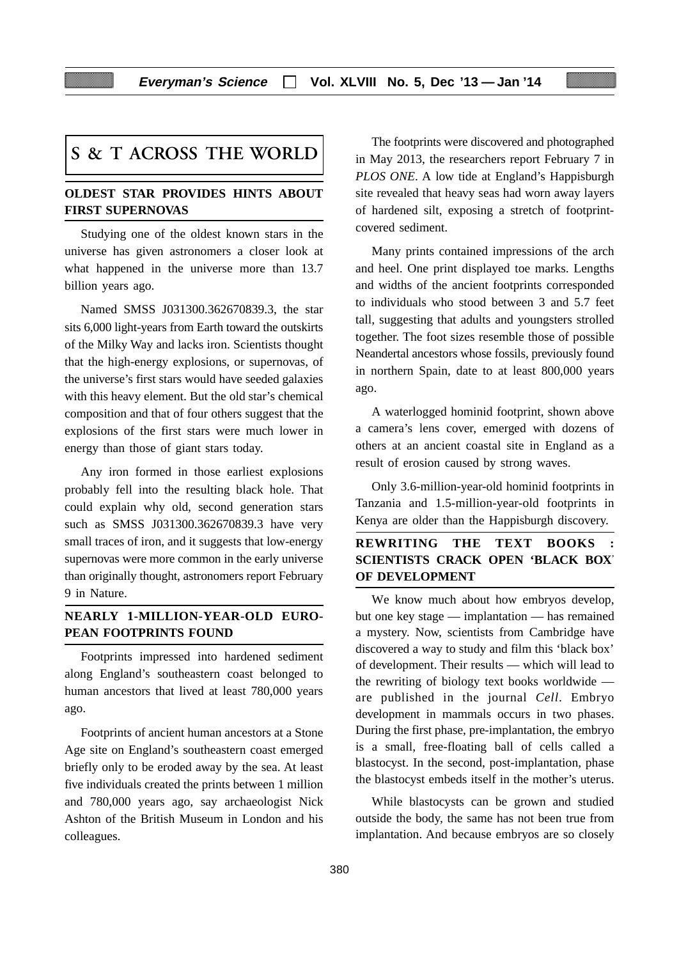# **S & T ACROSS THE WORLD**

# **OLDEST STAR PROVIDES HINTS ABOUT FIRST SUPERNOVAS**

Studying one of the oldest known stars in the universe has given astronomers a closer look at what happened in the universe more than 13.7 billion years ago.

Named SMSS J031300.362670839.3, the star sits 6,000 light-years from Earth toward the outskirts of the Milky Way and lacks iron. Scientists thought that the high-energy explosions, or supernovas, of the universe's first stars would have seeded galaxies with this heavy element. But the old star's chemical composition and that of four others suggest that the explosions of the first stars were much lower in energy than those of giant stars today.

Any iron formed in those earliest explosions probably fell into the resulting black hole. That could explain why old, second generation stars such as SMSS J031300.362670839.3 have very small traces of iron, and it suggests that low-energy supernovas were more common in the early universe than originally thought, astronomers report February 9 in Nature.

# **NEARLY 1-MILLION-YEAR-OLD EURO-PEAN FOOTPRINTS FOUND**

Footprints impressed into hardened sediment along England's southeastern coast belonged to human ancestors that lived at least 780,000 years ago.

Footprints of ancient human ancestors at a Stone Age site on England's southeastern coast emerged briefly only to be eroded away by the sea. At least five individuals created the prints between 1 million and 780,000 years ago, say archaeologist Nick Ashton of the British Museum in London and his colleagues.

The footprints were discovered and photographed in May 2013, the researchers report February 7 in *PLOS ONE*. A low tide at England's Happisburgh site revealed that heavy seas had worn away layers of hardened silt, exposing a stretch of footprintcovered sediment.

Many prints contained impressions of the arch and heel. One print displayed toe marks. Lengths and widths of the ancient footprints corresponded to individuals who stood between 3 and 5.7 feet tall, suggesting that adults and youngsters strolled together. The foot sizes resemble those of possible Neandertal ancestors whose fossils, previously found in northern Spain, date to at least 800,000 years ago.

A waterlogged hominid footprint, shown above a camera's lens cover, emerged with dozens of others at an ancient coastal site in England as a result of erosion caused by strong waves.

Only 3.6-million-year-old hominid footprints in Tanzania and 1.5-million-year-old footprints in Kenya are older than the Happisburgh discovery.

# **REWRITING THE TEXT BOOKS : SCIENTISTS CRACK OPEN 'BLACK BOX' OF DEVELOPMENT**

We know much about how embryos develop, but one key stage — implantation — has remained a mystery. Now, scientists from Cambridge have discovered a way to study and film this 'black box' of development. Their results — which will lead to the rewriting of biology text books worldwide are published in the journal *Cell*. Embryo development in mammals occurs in two phases. During the first phase, pre-implantation, the embryo is a small, free-floating ball of cells called a blastocyst. In the second, post-implantation, phase the blastocyst embeds itself in the mother's uterus.

While blastocysts can be grown and studied outside the body, the same has not been true from implantation. And because embryos are so closely